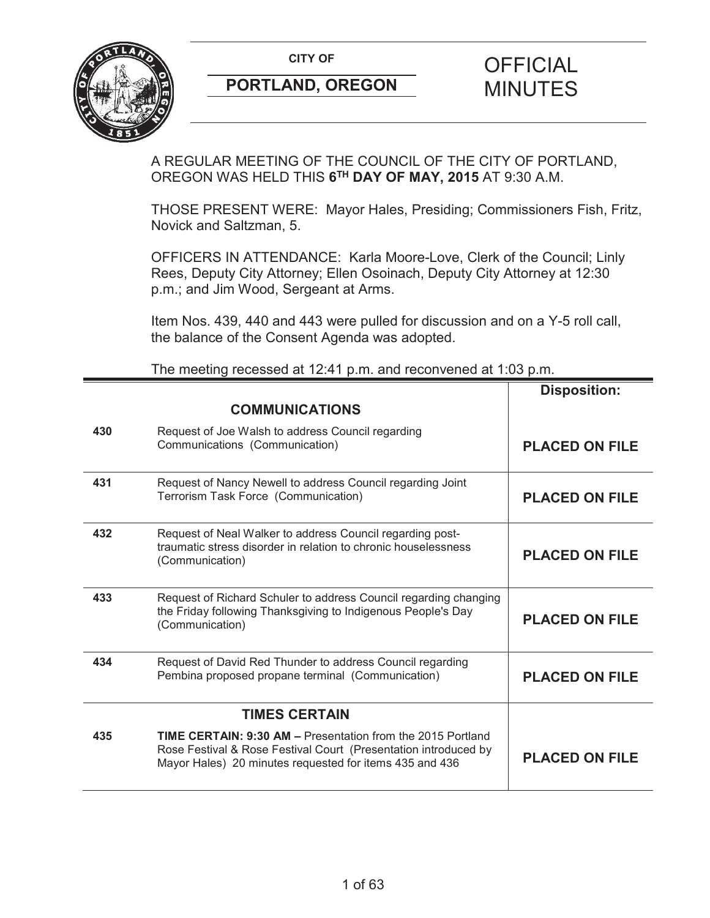

# **CITY OF CITY OF STRIPS OF FICIAL**

A REGULAR MEETING OF THE COUNCIL OF THE CITY OF PORTLAND, OREGON WAS HELD THIS **6TH DAY OF MAY, 2015** AT 9:30 A.M.

THOSE PRESENT WERE: Mayor Hales, Presiding; Commissioners Fish, Fritz, Novick and Saltzman, 5.

OFFICERS IN ATTENDANCE: Karla Moore-Love, Clerk of the Council; Linly Rees, Deputy City Attorney; Ellen Osoinach, Deputy City Attorney at 12:30 p.m.; and Jim Wood, Sergeant at Arms.

Item Nos. 439, 440 and 443 were pulled for discussion and on a Y-5 roll call, the balance of the Consent Agenda was adopted.

|     |                                                                                                                                                                                                  | <b>Disposition:</b>   |
|-----|--------------------------------------------------------------------------------------------------------------------------------------------------------------------------------------------------|-----------------------|
|     | <b>COMMUNICATIONS</b>                                                                                                                                                                            |                       |
| 430 | Request of Joe Walsh to address Council regarding<br>Communications (Communication)                                                                                                              | <b>PLACED ON FILE</b> |
| 431 | Request of Nancy Newell to address Council regarding Joint<br>Terrorism Task Force (Communication)                                                                                               | <b>PLACED ON FILE</b> |
| 432 | Request of Neal Walker to address Council regarding post-<br>traumatic stress disorder in relation to chronic houselessness<br>(Communication)                                                   | <b>PLACED ON FILE</b> |
| 433 | Request of Richard Schuler to address Council regarding changing<br>the Friday following Thanksgiving to Indigenous People's Day<br>(Communication)                                              | <b>PLACED ON FILE</b> |
| 434 | Request of David Red Thunder to address Council regarding<br>Pembina proposed propane terminal (Communication)                                                                                   | <b>PLACED ON FILE</b> |
|     | <b>TIMES CERTAIN</b>                                                                                                                                                                             |                       |
| 435 | <b>TIME CERTAIN: 9:30 AM - Presentation from the 2015 Portland</b><br>Rose Festival & Rose Festival Court (Presentation introduced by<br>Mayor Hales) 20 minutes requested for items 435 and 436 | <b>PLACED ON FILE</b> |

The meeting recessed at 12:41 p.m. and reconvened at 1:03 p.m.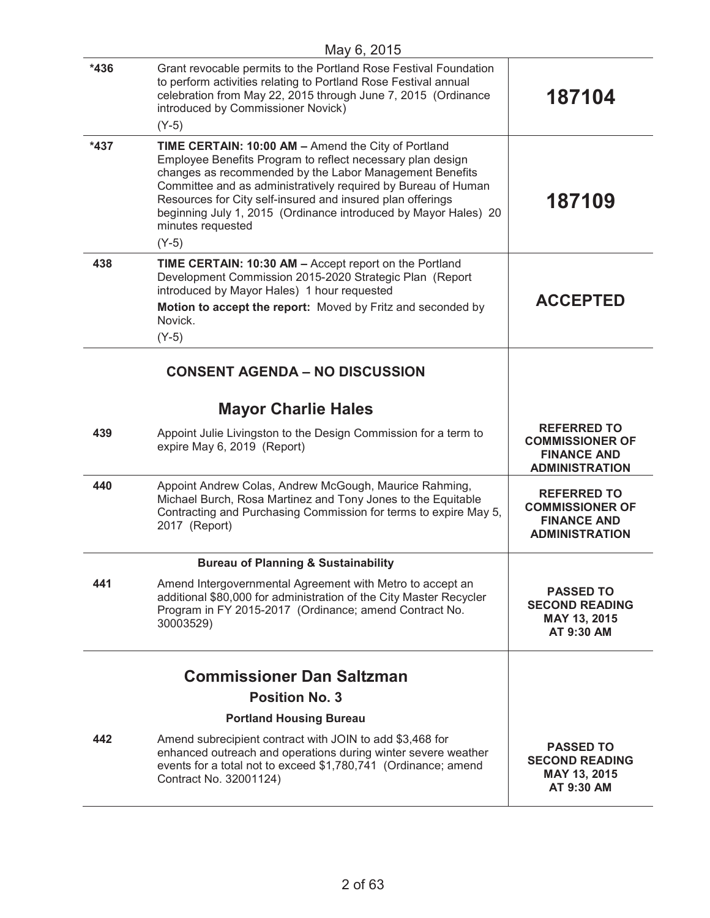|        | May 6, 2015                                                                                                                                                                                                                                                                                                                                                                                                    |                                                                                             |
|--------|----------------------------------------------------------------------------------------------------------------------------------------------------------------------------------------------------------------------------------------------------------------------------------------------------------------------------------------------------------------------------------------------------------------|---------------------------------------------------------------------------------------------|
| $*436$ | Grant revocable permits to the Portland Rose Festival Foundation<br>to perform activities relating to Portland Rose Festival annual<br>celebration from May 22, 2015 through June 7, 2015 (Ordinance<br>introduced by Commissioner Novick)<br>$(Y-5)$                                                                                                                                                          | 187104                                                                                      |
| $*437$ | TIME CERTAIN: 10:00 AM - Amend the City of Portland<br>Employee Benefits Program to reflect necessary plan design<br>changes as recommended by the Labor Management Benefits<br>Committee and as administratively required by Bureau of Human<br>Resources for City self-insured and insured plan offerings<br>beginning July 1, 2015 (Ordinance introduced by Mayor Hales) 20<br>minutes requested<br>$(Y-5)$ | 187109                                                                                      |
| 438    | TIME CERTAIN: 10:30 AM - Accept report on the Portland<br>Development Commission 2015-2020 Strategic Plan (Report<br>introduced by Mayor Hales) 1 hour requested<br>Motion to accept the report: Moved by Fritz and seconded by<br>Novick.<br>$(Y-5)$                                                                                                                                                          | <b>ACCEPTED</b>                                                                             |
|        | <b>CONSENT AGENDA - NO DISCUSSION</b>                                                                                                                                                                                                                                                                                                                                                                          |                                                                                             |
|        | <b>Mayor Charlie Hales</b>                                                                                                                                                                                                                                                                                                                                                                                     |                                                                                             |
| 439    | Appoint Julie Livingston to the Design Commission for a term to<br>expire May 6, 2019 (Report)                                                                                                                                                                                                                                                                                                                 | <b>REFERRED TO</b><br><b>COMMISSIONER OF</b><br><b>FINANCE AND</b><br><b>ADMINISTRATION</b> |
| 440    | Appoint Andrew Colas, Andrew McGough, Maurice Rahming,<br>Michael Burch, Rosa Martinez and Tony Jones to the Equitable<br>Contracting and Purchasing Commission for terms to expire May 5,<br>2017 (Report)                                                                                                                                                                                                    | <b>REFERRED TO</b><br><b>COMMISSIONER OF</b><br><b>FINANCE AND</b><br><b>ADMINISTRATION</b> |
|        | <b>Bureau of Planning &amp; Sustainability</b>                                                                                                                                                                                                                                                                                                                                                                 |                                                                                             |
| 441    | Amend Intergovernmental Agreement with Metro to accept an<br>additional \$80,000 for administration of the City Master Recycler<br>Program in FY 2015-2017 (Ordinance; amend Contract No.<br>30003529)                                                                                                                                                                                                         | <b>PASSED TO</b><br><b>SECOND READING</b><br>MAY 13, 2015<br>AT 9:30 AM                     |
|        |                                                                                                                                                                                                                                                                                                                                                                                                                |                                                                                             |
|        | <b>Commissioner Dan Saltzman</b><br><b>Position No. 3</b>                                                                                                                                                                                                                                                                                                                                                      |                                                                                             |
|        | <b>Portland Housing Bureau</b>                                                                                                                                                                                                                                                                                                                                                                                 |                                                                                             |
| 442    | Amend subrecipient contract with JOIN to add \$3,468 for<br>enhanced outreach and operations during winter severe weather<br>events for a total not to exceed \$1,780,741 (Ordinance; amend<br>Contract No. 32001124)                                                                                                                                                                                          | <b>PASSED TO</b><br><b>SECOND READING</b><br>MAY 13, 2015<br>AT 9:30 AM                     |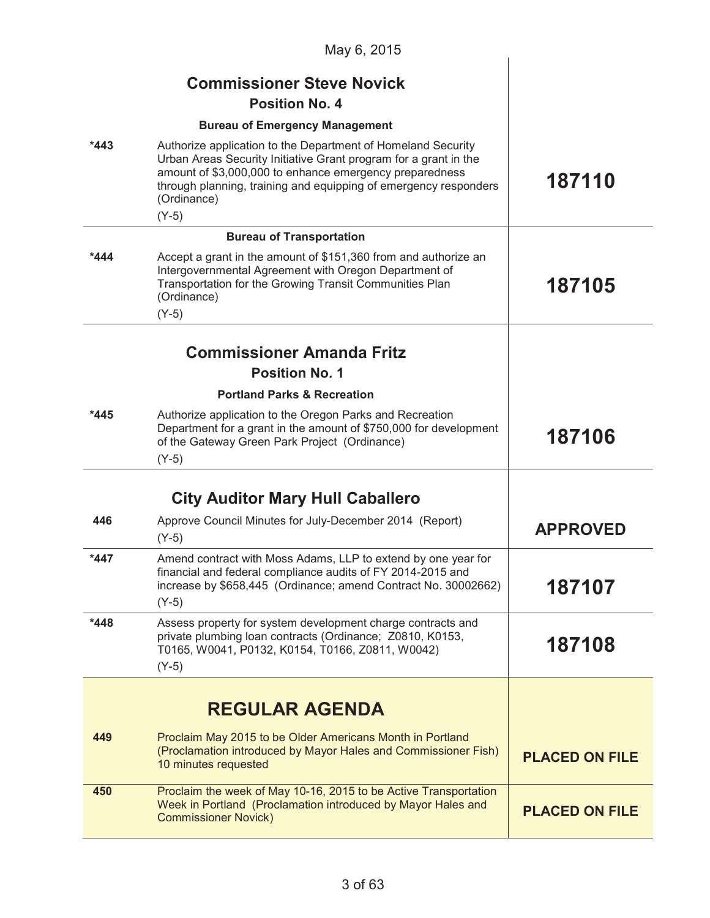|        | May 6, 2015                                                                                                                                                                                                                                                                               |                       |
|--------|-------------------------------------------------------------------------------------------------------------------------------------------------------------------------------------------------------------------------------------------------------------------------------------------|-----------------------|
|        | <b>Commissioner Steve Novick</b>                                                                                                                                                                                                                                                          |                       |
|        | <b>Position No. 4</b>                                                                                                                                                                                                                                                                     |                       |
|        | <b>Bureau of Emergency Management</b>                                                                                                                                                                                                                                                     |                       |
| *443   | Authorize application to the Department of Homeland Security<br>Urban Areas Security Initiative Grant program for a grant in the<br>amount of \$3,000,000 to enhance emergency preparedness<br>through planning, training and equipping of emergency responders<br>(Ordinance)<br>$(Y-5)$ | 187110                |
|        | <b>Bureau of Transportation</b>                                                                                                                                                                                                                                                           |                       |
| *444   | Accept a grant in the amount of \$151,360 from and authorize an<br>Intergovernmental Agreement with Oregon Department of<br>Transportation for the Growing Transit Communities Plan<br>(Ordinance)<br>$(Y-5)$                                                                             | 187105                |
|        | <b>Commissioner Amanda Fritz</b>                                                                                                                                                                                                                                                          |                       |
|        | <b>Position No. 1</b>                                                                                                                                                                                                                                                                     |                       |
|        | <b>Portland Parks &amp; Recreation</b>                                                                                                                                                                                                                                                    |                       |
| *445   | Authorize application to the Oregon Parks and Recreation<br>Department for a grant in the amount of \$750,000 for development<br>of the Gateway Green Park Project (Ordinance)<br>$(Y-5)$                                                                                                 | 187106                |
|        | <b>City Auditor Mary Hull Caballero</b>                                                                                                                                                                                                                                                   |                       |
| 446    | Approve Council Minutes for July-December 2014 (Report)<br>$(Y-5)$                                                                                                                                                                                                                        | <b>APPROVED</b>       |
| *447   | Amend contract with Moss Adams, LLP to extend by one year for<br>financial and federal compliance audits of FY 2014-2015 and<br>increase by \$658,445 (Ordinance; amend Contract No. 30002662)<br>$(Y-5)$                                                                                 | 187107                |
| $*448$ | Assess property for system development charge contracts and<br>private plumbing loan contracts (Ordinance; Z0810, K0153,<br>T0165, W0041, P0132, K0154, T0166, Z0811, W0042)<br>$(Y-5)$                                                                                                   | 187108                |
|        | <b>REGULAR AGENDA</b>                                                                                                                                                                                                                                                                     |                       |
| 449    | Proclaim May 2015 to be Older Americans Month in Portland<br>(Proclamation introduced by Mayor Hales and Commissioner Fish)<br>10 minutes requested                                                                                                                                       | <b>PLACED ON FILE</b> |
| 450    | Proclaim the week of May 10-16, 2015 to be Active Transportation<br>Week in Portland (Proclamation introduced by Mayor Hales and<br><b>Commissioner Novick)</b>                                                                                                                           | <b>PLACED ON FILE</b> |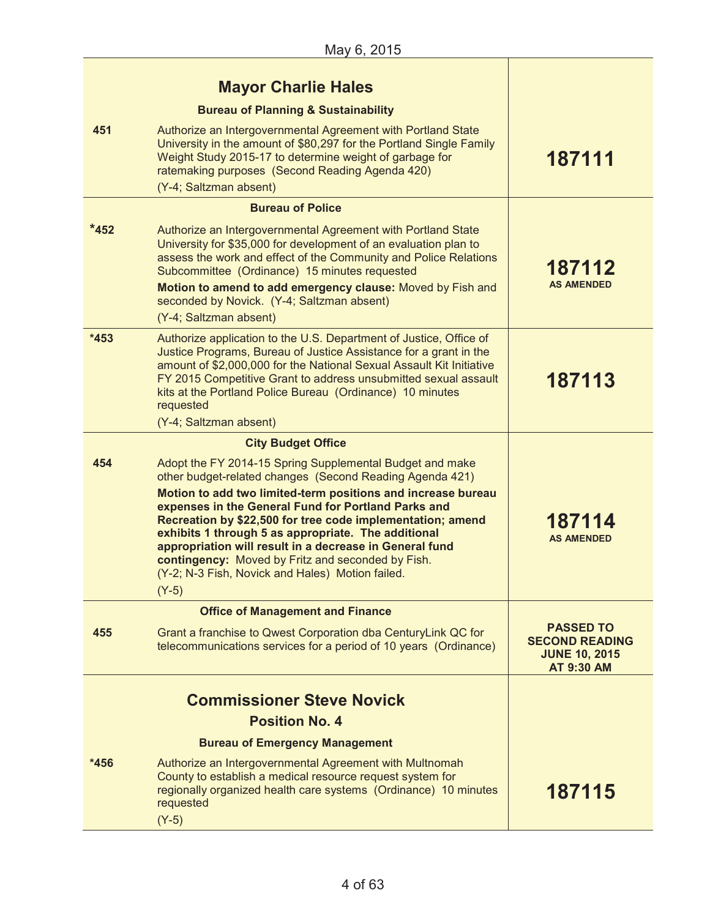| Authorize an Intergovernmental Agreement with Portland State<br>University in the amount of \$80,297 for the Portland Single Family<br>Weight Study 2015-17 to determine weight of garbage for<br>ratemaking purposes (Second Reading Agenda 420)<br>(Y-4; Saltzman absent)                                                                                                                                                                                                                                                                     | 187111                                                                                                                                               |
|-------------------------------------------------------------------------------------------------------------------------------------------------------------------------------------------------------------------------------------------------------------------------------------------------------------------------------------------------------------------------------------------------------------------------------------------------------------------------------------------------------------------------------------------------|------------------------------------------------------------------------------------------------------------------------------------------------------|
| <b>Bureau of Police</b>                                                                                                                                                                                                                                                                                                                                                                                                                                                                                                                         |                                                                                                                                                      |
| Authorize an Intergovernmental Agreement with Portland State<br>University for \$35,000 for development of an evaluation plan to<br>assess the work and effect of the Community and Police Relations<br>Subcommittee (Ordinance) 15 minutes requested<br>Motion to amend to add emergency clause: Moved by Fish and                                                                                                                                                                                                                             | 187112<br><b>AS AMENDED</b>                                                                                                                          |
|                                                                                                                                                                                                                                                                                                                                                                                                                                                                                                                                                 |                                                                                                                                                      |
| Authorize application to the U.S. Department of Justice, Office of<br>Justice Programs, Bureau of Justice Assistance for a grant in the<br>amount of \$2,000,000 for the National Sexual Assault Kit Initiative<br>FY 2015 Competitive Grant to address unsubmitted sexual assault<br>kits at the Portland Police Bureau (Ordinance) 10 minutes<br>requested<br>(Y-4; Saltzman absent)                                                                                                                                                          | 187113                                                                                                                                               |
| <b>City Budget Office</b>                                                                                                                                                                                                                                                                                                                                                                                                                                                                                                                       |                                                                                                                                                      |
| Adopt the FY 2014-15 Spring Supplemental Budget and make<br>other budget-related changes (Second Reading Agenda 421)<br>Motion to add two limited-term positions and increase bureau<br>expenses in the General Fund for Portland Parks and<br>Recreation by \$22,500 for tree code implementation; amend<br>exhibits 1 through 5 as appropriate. The additional<br>appropriation will result in a decrease in General fund<br>contingency: Moved by Fritz and seconded by Fish.<br>(Y-2; N-3 Fish, Novick and Hales) Motion failed.<br>$(Y-5)$ | 187114<br><b>AS AMENDED</b>                                                                                                                          |
| <b>Office of Management and Finance</b>                                                                                                                                                                                                                                                                                                                                                                                                                                                                                                         |                                                                                                                                                      |
| Grant a franchise to Qwest Corporation dba CenturyLink QC for<br>telecommunications services for a period of 10 years (Ordinance)                                                                                                                                                                                                                                                                                                                                                                                                               | <b>PASSED TO</b><br><b>SECOND READING</b><br><b>JUNE 10, 2015</b><br><b>AT 9:30 AM</b>                                                               |
| <b>Commissioner Steve Novick</b><br><b>Position No. 4</b>                                                                                                                                                                                                                                                                                                                                                                                                                                                                                       |                                                                                                                                                      |
| <b>Bureau of Emergency Management</b>                                                                                                                                                                                                                                                                                                                                                                                                                                                                                                           |                                                                                                                                                      |
| Authorize an Intergovernmental Agreement with Multnomah<br>County to establish a medical resource request system for<br>regionally organized health care systems (Ordinance) 10 minutes<br>requested<br>$(Y-5)$                                                                                                                                                                                                                                                                                                                                 | 187115                                                                                                                                               |
|                                                                                                                                                                                                                                                                                                                                                                                                                                                                                                                                                 | <b>Mayor Charlie Hales</b><br><b>Bureau of Planning &amp; Sustainability</b><br>seconded by Novick. (Y-4; Saltzman absent)<br>(Y-4; Saltzman absent) |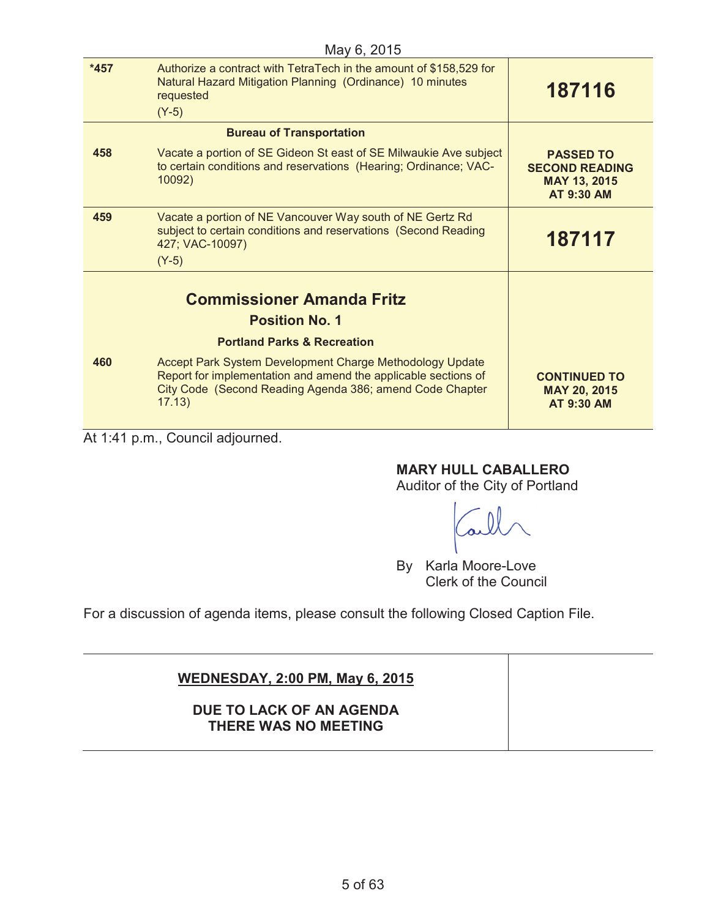| May 6, 2015                      |                                                                                                                                                                                                  |                                                                                |
|----------------------------------|--------------------------------------------------------------------------------------------------------------------------------------------------------------------------------------------------|--------------------------------------------------------------------------------|
| $*457$                           | Authorize a contract with TetraTech in the amount of \$158,529 for<br>Natural Hazard Mitigation Planning (Ordinance) 10 minutes<br>requested                                                     | 187116                                                                         |
|                                  | $(Y-5)$                                                                                                                                                                                          |                                                                                |
| <b>Bureau of Transportation</b>  |                                                                                                                                                                                                  |                                                                                |
| 458                              | Vacate a portion of SE Gideon St east of SE Milwaukie Ave subject<br>to certain conditions and reservations (Hearing; Ordinance; VAC-<br>10092)                                                  | <b>PASSED TO</b><br><b>SECOND READING</b><br>MAY 13, 2015<br><b>AT 9:30 AM</b> |
| 459                              | Vacate a portion of NE Vancouver Way south of NE Gertz Rd<br>subject to certain conditions and reservations (Second Reading<br>427; VAC-10097)<br>$(Y-5)$                                        | 187117                                                                         |
| <b>Commissioner Amanda Fritz</b> |                                                                                                                                                                                                  |                                                                                |
|                                  | <b>Position No. 1</b>                                                                                                                                                                            |                                                                                |
|                                  | <b>Portland Parks &amp; Recreation</b>                                                                                                                                                           |                                                                                |
| 460                              | Accept Park System Development Charge Methodology Update<br>Report for implementation and amend the applicable sections of<br>City Code (Second Reading Agenda 386; amend Code Chapter<br>17.13) | <b>CONTINUED TO</b><br>MAY 20, 2015<br><b>AT 9:30 AM</b>                       |

At 1:41 p.m., Council adjourned.

#### **MARY HULL CABALLERO**

Auditor of the City of Portland

By Karla Moore-Love Clerk of the Council

For a discussion of agenda items, please consult the following Closed Caption File.

## **WEDNESDAY, 2:00 PM, May 6, 2015 DUE TO LACK OF AN AGENDA THERE WAS NO MEETING**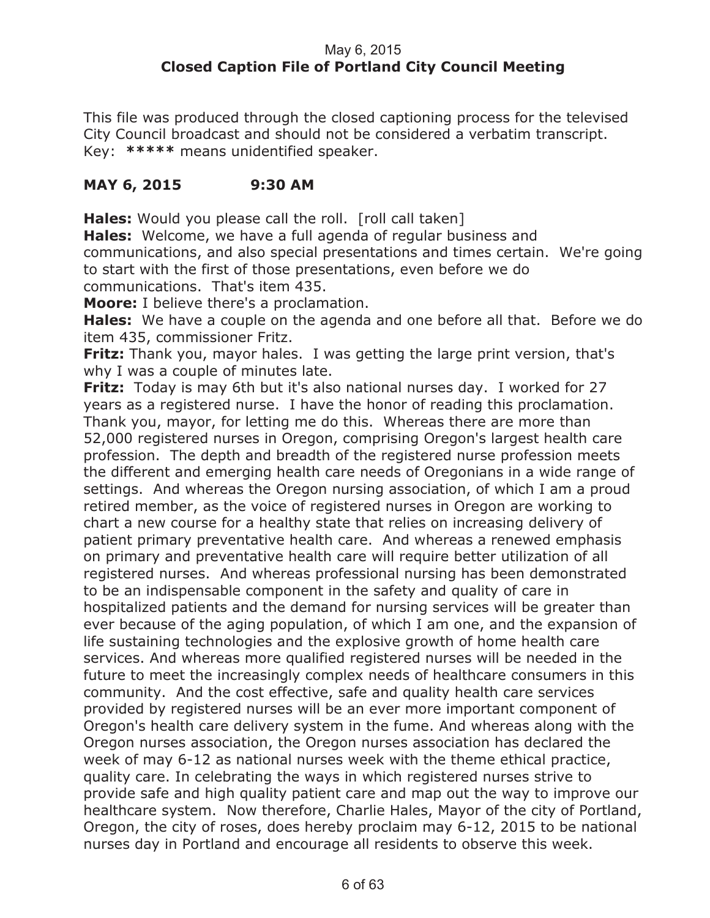#### May 6, 2015 **Closed Caption File of Portland City Council Meeting**

This file was produced through the closed captioning process for the televised City Council broadcast and should not be considered a verbatim transcript. Key: **\*\*\*\*\*** means unidentified speaker.

#### **MAY 6, 2015 9:30 AM**

**Hales:** Would you please call the roll. [roll call taken]

**Hales:** Welcome, we have a full agenda of regular business and communications, and also special presentations and times certain. We're going to start with the first of those presentations, even before we do communications. That's item 435.

**Moore:** I believe there's a proclamation.

**Hales:** We have a couple on the agenda and one before all that. Before we do item 435, commissioner Fritz.

**Fritz:** Thank you, mayor hales. I was getting the large print version, that's why I was a couple of minutes late.

**Fritz:** Today is may 6th but it's also national nurses day. I worked for 27 years as a registered nurse. I have the honor of reading this proclamation. Thank you, mayor, for letting me do this. Whereas there are more than 52,000 registered nurses in Oregon, comprising Oregon's largest health care profession. The depth and breadth of the registered nurse profession meets the different and emerging health care needs of Oregonians in a wide range of settings. And whereas the Oregon nursing association, of which I am a proud retired member, as the voice of registered nurses in Oregon are working to chart a new course for a healthy state that relies on increasing delivery of patient primary preventative health care. And whereas a renewed emphasis on primary and preventative health care will require better utilization of all registered nurses. And whereas professional nursing has been demonstrated to be an indispensable component in the safety and quality of care in hospitalized patients and the demand for nursing services will be greater than ever because of the aging population, of which I am one, and the expansion of life sustaining technologies and the explosive growth of home health care services. And whereas more qualified registered nurses will be needed in the future to meet the increasingly complex needs of healthcare consumers in this community. And the cost effective, safe and quality health care services provided by registered nurses will be an ever more important component of Oregon's health care delivery system in the fume. And whereas along with the Oregon nurses association, the Oregon nurses association has declared the week of may 6-12 as national nurses week with the theme ethical practice, quality care. In celebrating the ways in which registered nurses strive to provide safe and high quality patient care and map out the way to improve our healthcare system. Now therefore, Charlie Hales, Mayor of the city of Portland, Oregon, the city of roses, does hereby proclaim may 6-12, 2015 to be national nurses day in Portland and encourage all residents to observe this week.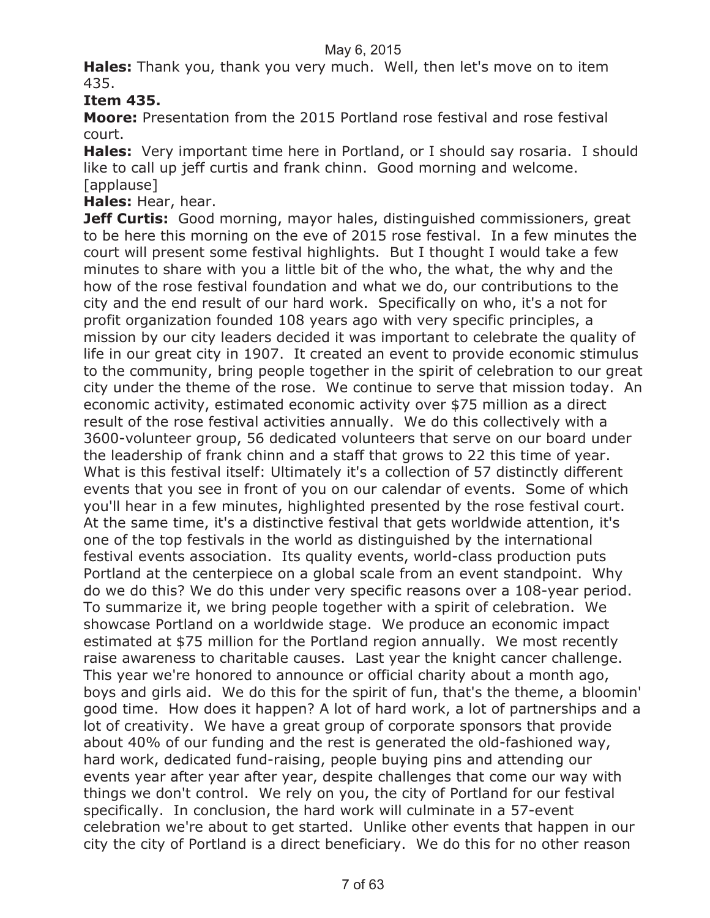**Hales:** Thank you, thank you very much. Well, then let's move on to item 435.

### **Item 435.**

**Moore:** Presentation from the 2015 Portland rose festival and rose festival court.

**Hales:** Very important time here in Portland, or I should say rosaria. I should like to call up jeff curtis and frank chinn. Good morning and welcome. [applause]

**Hales:** Hear, hear.

**Jeff Curtis:** Good morning, mayor hales, distinguished commissioners, great to be here this morning on the eve of 2015 rose festival. In a few minutes the court will present some festival highlights. But I thought I would take a few minutes to share with you a little bit of the who, the what, the why and the how of the rose festival foundation and what we do, our contributions to the city and the end result of our hard work. Specifically on who, it's a not for profit organization founded 108 years ago with very specific principles, a mission by our city leaders decided it was important to celebrate the quality of life in our great city in 1907. It created an event to provide economic stimulus to the community, bring people together in the spirit of celebration to our great city under the theme of the rose. We continue to serve that mission today. An economic activity, estimated economic activity over \$75 million as a direct result of the rose festival activities annually. We do this collectively with a 3600-volunteer group, 56 dedicated volunteers that serve on our board under the leadership of frank chinn and a staff that grows to 22 this time of year. What is this festival itself: Ultimately it's a collection of 57 distinctly different events that you see in front of you on our calendar of events. Some of which you'll hear in a few minutes, highlighted presented by the rose festival court. At the same time, it's a distinctive festival that gets worldwide attention, it's one of the top festivals in the world as distinguished by the international festival events association. Its quality events, world-class production puts Portland at the centerpiece on a global scale from an event standpoint. Why do we do this? We do this under very specific reasons over a 108-year period. To summarize it, we bring people together with a spirit of celebration. We showcase Portland on a worldwide stage. We produce an economic impact estimated at \$75 million for the Portland region annually. We most recently raise awareness to charitable causes. Last year the knight cancer challenge. This year we're honored to announce or official charity about a month ago, boys and girls aid. We do this for the spirit of fun, that's the theme, a bloomin' good time. How does it happen? A lot of hard work, a lot of partnerships and a lot of creativity. We have a great group of corporate sponsors that provide about 40% of our funding and the rest is generated the old-fashioned way, hard work, dedicated fund-raising, people buying pins and attending our events year after year after year, despite challenges that come our way with things we don't control. We rely on you, the city of Portland for our festival specifically. In conclusion, the hard work will culminate in a 57-event celebration we're about to get started. Unlike other events that happen in our city the city of Portland is a direct beneficiary. We do this for no other reason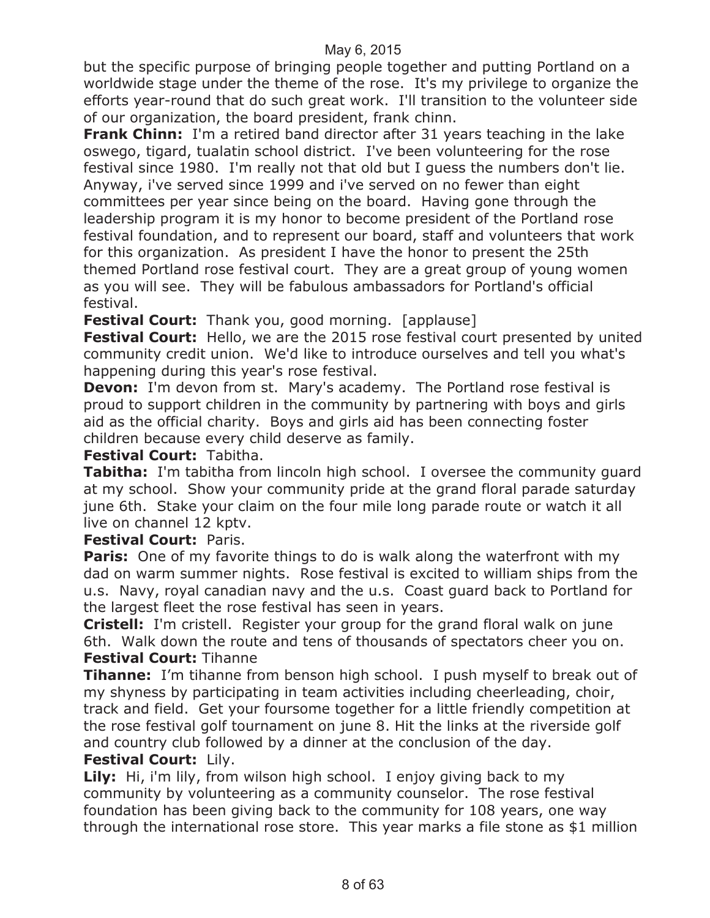but the specific purpose of bringing people together and putting Portland on a worldwide stage under the theme of the rose. It's my privilege to organize the efforts year-round that do such great work. I'll transition to the volunteer side of our organization, the board president, frank chinn.

**Frank Chinn:** I'm a retired band director after 31 years teaching in the lake oswego, tigard, tualatin school district. I've been volunteering for the rose festival since 1980. I'm really not that old but I guess the numbers don't lie. Anyway, i've served since 1999 and i've served on no fewer than eight committees per year since being on the board. Having gone through the leadership program it is my honor to become president of the Portland rose festival foundation, and to represent our board, staff and volunteers that work for this organization. As president I have the honor to present the 25th themed Portland rose festival court. They are a great group of young women as you will see. They will be fabulous ambassadors for Portland's official festival.

**Festival Court:** Thank you, good morning. [applause]

**Festival Court:** Hello, we are the 2015 rose festival court presented by united community credit union. We'd like to introduce ourselves and tell you what's happening during this year's rose festival.

**Devon:** I'm devon from st. Mary's academy. The Portland rose festival is proud to support children in the community by partnering with boys and girls aid as the official charity. Boys and girls aid has been connecting foster children because every child deserve as family.

#### **Festival Court:** Tabitha.

**Tabitha:** I'm tabitha from lincoln high school. I oversee the community guard at my school. Show your community pride at the grand floral parade saturday june 6th. Stake your claim on the four mile long parade route or watch it all live on channel 12 kptv.

#### **Festival Court:** Paris.

**Paris:** One of my favorite things to do is walk along the waterfront with my dad on warm summer nights. Rose festival is excited to william ships from the u.s. Navy, royal canadian navy and the u.s. Coast guard back to Portland for the largest fleet the rose festival has seen in years.

**Cristell:** I'm cristell. Register your group for the grand floral walk on june 6th. Walk down the route and tens of thousands of spectators cheer you on. **Festival Court:** Tihanne

**Tihanne:** I'm tihanne from benson high school. I push myself to break out of my shyness by participating in team activities including cheerleading, choir, track and field. Get your foursome together for a little friendly competition at the rose festival golf tournament on june 8. Hit the links at the riverside golf and country club followed by a dinner at the conclusion of the day.

#### **Festival Court:** Lily.

**Lily:** Hi, i'm lily, from wilson high school. I enjoy giving back to my community by volunteering as a community counselor. The rose festival foundation has been giving back to the community for 108 years, one way through the international rose store. This year marks a file stone as \$1 million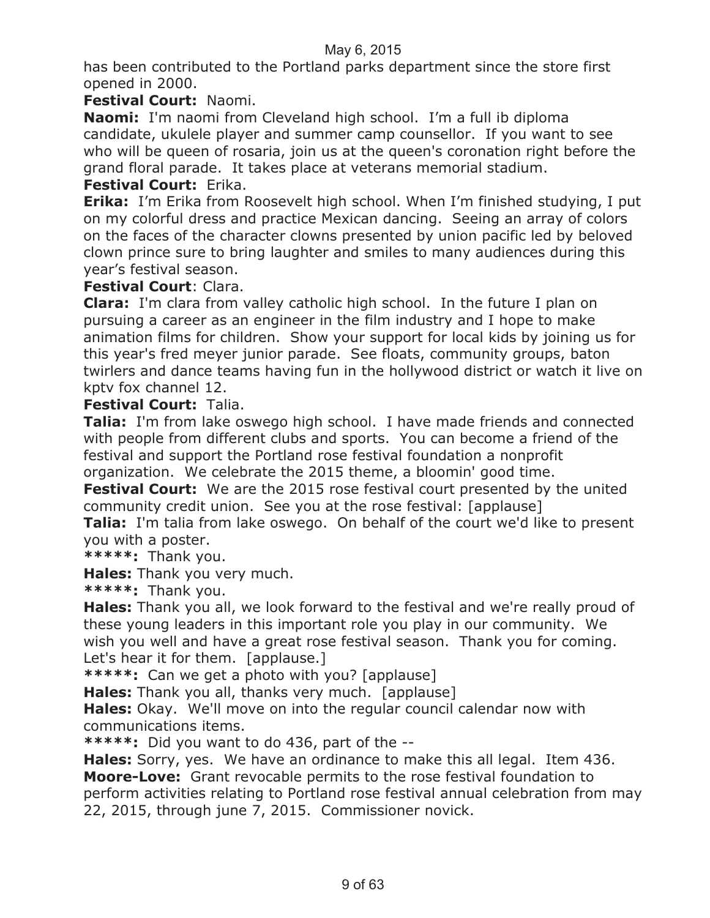has been contributed to the Portland parks department since the store first opened in 2000.

#### **Festival Court:** Naomi.

**Naomi:** I'm naomi from Cleveland high school. I'm a full ib diploma candidate, ukulele player and summer camp counsellor. If you want to see who will be queen of rosaria, join us at the queen's coronation right before the grand floral parade. It takes place at veterans memorial stadium.

#### **Festival Court:** Erika.

**Erika:** I'm Erika from Roosevelt high school. When I'm finished studying, I put on my colorful dress and practice Mexican dancing. Seeing an array of colors on the faces of the character clowns presented by union pacific led by beloved clown prince sure to bring laughter and smiles to many audiences during this year's festival season.

#### **Festival Court**: Clara.

**Clara:** I'm clara from valley catholic high school. In the future I plan on pursuing a career as an engineer in the film industry and I hope to make animation films for children. Show your support for local kids by joining us for this year's fred meyer junior parade. See floats, community groups, baton twirlers and dance teams having fun in the hollywood district or watch it live on kptv fox channel 12.

#### **Festival Court:** Talia.

**Talia:** I'm from lake oswego high school. I have made friends and connected with people from different clubs and sports. You can become a friend of the festival and support the Portland rose festival foundation a nonprofit organization. We celebrate the 2015 theme, a bloomin' good time.

**Festival Court:** We are the 2015 rose festival court presented by the united community credit union. See you at the rose festival: [applause]

**Talia:** I'm talia from lake oswego. On behalf of the court we'd like to present you with a poster.

**\*\*\*\*\*:** Thank you.

**Hales:** Thank you very much.

**\*\*\*\*\*:** Thank you.

**Hales:** Thank you all, we look forward to the festival and we're really proud of these young leaders in this important role you play in our community. We wish you well and have a great rose festival season. Thank you for coming. Let's hear it for them. [applause.]

**\*\*\*\*\*:** Can we get a photo with you? [applause]

**Hales:** Thank you all, thanks very much. [applause]

**Hales:** Okay. We'll move on into the regular council calendar now with communications items.

**\*\*\*\*\*:** Did you want to do 436, part of the --

**Hales:** Sorry, yes. We have an ordinance to make this all legal. Item 436. **Moore-Love:** Grant revocable permits to the rose festival foundation to perform activities relating to Portland rose festival annual celebration from may 22, 2015, through june 7, 2015. Commissioner novick.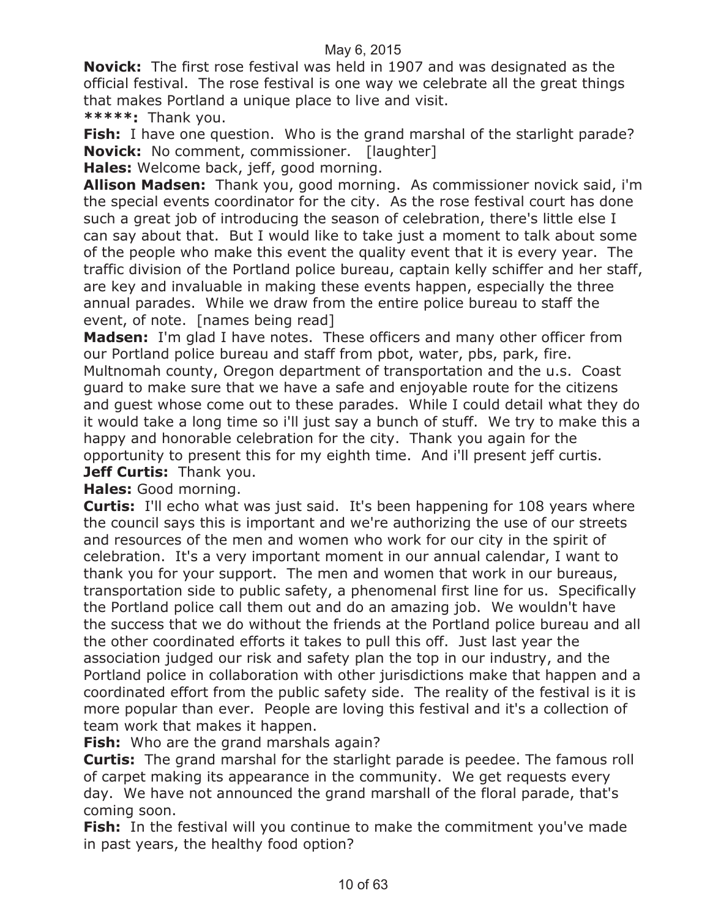**Novick:** The first rose festival was held in 1907 and was designated as the official festival. The rose festival is one way we celebrate all the great things that makes Portland a unique place to live and visit.

**\*\*\*\*\*:** Thank you.

**Fish:** I have one question. Who is the grand marshal of the starlight parade? **Novick:** No comment, commissioner. [laughter]

**Hales:** Welcome back, jeff, good morning.

**Allison Madsen:** Thank you, good morning. As commissioner novick said, i'm the special events coordinator for the city. As the rose festival court has done such a great job of introducing the season of celebration, there's little else I can say about that. But I would like to take just a moment to talk about some of the people who make this event the quality event that it is every year. The traffic division of the Portland police bureau, captain kelly schiffer and her staff, are key and invaluable in making these events happen, especially the three annual parades. While we draw from the entire police bureau to staff the event, of note. [names being read]

**Madsen:** I'm glad I have notes. These officers and many other officer from our Portland police bureau and staff from pbot, water, pbs, park, fire. Multnomah county, Oregon department of transportation and the u.s. Coast guard to make sure that we have a safe and enjoyable route for the citizens and guest whose come out to these parades. While I could detail what they do it would take a long time so i'll just say a bunch of stuff. We try to make this a happy and honorable celebration for the city. Thank you again for the opportunity to present this for my eighth time. And i'll present jeff curtis. **Jeff Curtis:** Thank you.

**Hales:** Good morning.

**Curtis:** I'll echo what was just said. It's been happening for 108 years where the council says this is important and we're authorizing the use of our streets and resources of the men and women who work for our city in the spirit of celebration. It's a very important moment in our annual calendar, I want to thank you for your support. The men and women that work in our bureaus, transportation side to public safety, a phenomenal first line for us. Specifically the Portland police call them out and do an amazing job. We wouldn't have the success that we do without the friends at the Portland police bureau and all the other coordinated efforts it takes to pull this off. Just last year the association judged our risk and safety plan the top in our industry, and the Portland police in collaboration with other jurisdictions make that happen and a coordinated effort from the public safety side. The reality of the festival is it is more popular than ever. People are loving this festival and it's a collection of team work that makes it happen.

**Fish:** Who are the grand marshals again?

**Curtis:** The grand marshal for the starlight parade is peedee. The famous roll of carpet making its appearance in the community. We get requests every day. We have not announced the grand marshall of the floral parade, that's coming soon.

**Fish:** In the festival will you continue to make the commitment you've made in past years, the healthy food option?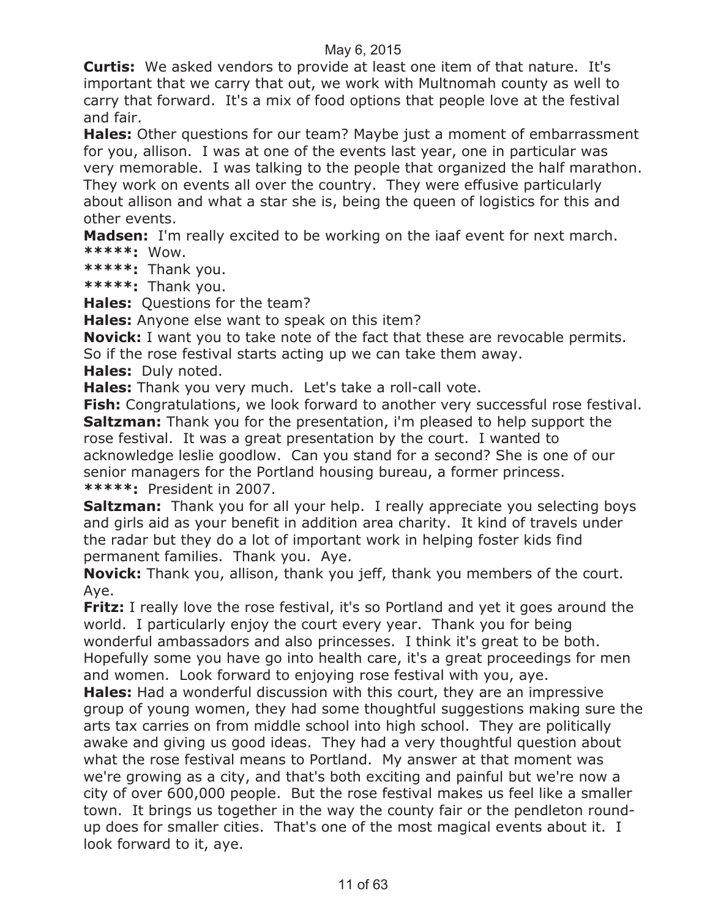**Curtis:** We asked vendors to provide at least one item of that nature. It's important that we carry that out, we work with Multnomah county as well to carry that forward. It's a mix of food options that people love at the festival and fair.

**Hales:** Other questions for our team? Maybe just a moment of embarrassment for you, allison. I was at one of the events last year, one in particular was very memorable. I was talking to the people that organized the half marathon. They work on events all over the country. They were effusive particularly about allison and what a star she is, being the queen of logistics for this and other events.

**Madsen:** I'm really excited to be working on the iaaf event for next march. **\*\*\*\*\*:** Wow.

**\*\*\*\*\*:** Thank you.

**\*\*\*\*\*:** Thank you.

**Hales:** Questions for the team?

**Hales:** Anyone else want to speak on this item?

**Novick:** I want you to take note of the fact that these are revocable permits.

So if the rose festival starts acting up we can take them away.

**Hales:** Duly noted.

**Hales:** Thank you very much. Let's take a roll-call vote.

**Fish:** Congratulations, we look forward to another very successful rose festival. **Saltzman:** Thank you for the presentation, i'm pleased to help support the rose festival. It was a great presentation by the court. I wanted to acknowledge leslie goodlow. Can you stand for a second? She is one of our senior managers for the Portland housing bureau, a former princess. **\*\*\*\*\*:** President in 2007.

**Saltzman:** Thank you for all your help. I really appreciate you selecting boys and girls aid as your benefit in addition area charity. It kind of travels under the radar but they do a lot of important work in helping foster kids find permanent families. Thank you. Aye.

**Novick:** Thank you, allison, thank you jeff, thank you members of the court. Aye.

**Fritz:** I really love the rose festival, it's so Portland and yet it goes around the world. I particularly enjoy the court every year. Thank you for being wonderful ambassadors and also princesses. I think it's great to be both. Hopefully some you have go into health care, it's a great proceedings for men and women. Look forward to enjoying rose festival with you, aye.

**Hales:** Had a wonderful discussion with this court, they are an impressive group of young women, they had some thoughtful suggestions making sure the arts tax carries on from middle school into high school. They are politically awake and giving us good ideas. They had a very thoughtful question about what the rose festival means to Portland. My answer at that moment was we're growing as a city, and that's both exciting and painful but we're now a city of over 600,000 people. But the rose festival makes us feel like a smaller town. It brings us together in the way the county fair or the pendleton roundup does for smaller cities. That's one of the most magical events about it. I look forward to it, aye.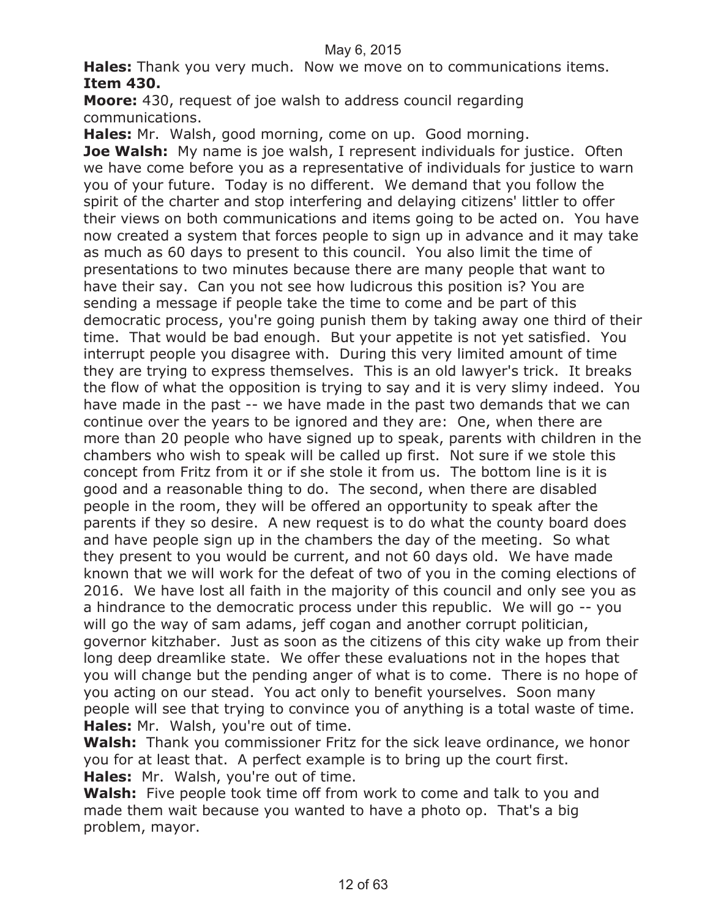**Hales:** Thank you very much. Now we move on to communications items. **Item 430.**

**Moore:** 430, request of joe walsh to address council regarding communications.

**Hales:** Mr. Walsh, good morning, come on up. Good morning.

**Joe Walsh:** My name is joe walsh, I represent individuals for justice. Often we have come before you as a representative of individuals for justice to warn you of your future. Today is no different. We demand that you follow the spirit of the charter and stop interfering and delaying citizens' littler to offer their views on both communications and items going to be acted on. You have now created a system that forces people to sign up in advance and it may take as much as 60 days to present to this council. You also limit the time of presentations to two minutes because there are many people that want to have their say. Can you not see how ludicrous this position is? You are sending a message if people take the time to come and be part of this democratic process, you're going punish them by taking away one third of their time. That would be bad enough. But your appetite is not yet satisfied. You interrupt people you disagree with. During this very limited amount of time they are trying to express themselves. This is an old lawyer's trick. It breaks the flow of what the opposition is trying to say and it is very slimy indeed. You have made in the past -- we have made in the past two demands that we can continue over the years to be ignored and they are: One, when there are more than 20 people who have signed up to speak, parents with children in the chambers who wish to speak will be called up first. Not sure if we stole this concept from Fritz from it or if she stole it from us. The bottom line is it is good and a reasonable thing to do. The second, when there are disabled people in the room, they will be offered an opportunity to speak after the parents if they so desire. A new request is to do what the county board does and have people sign up in the chambers the day of the meeting. So what they present to you would be current, and not 60 days old. We have made known that we will work for the defeat of two of you in the coming elections of 2016. We have lost all faith in the majority of this council and only see you as a hindrance to the democratic process under this republic. We will go -- you will go the way of sam adams, jeff cogan and another corrupt politician, governor kitzhaber. Just as soon as the citizens of this city wake up from their long deep dreamlike state. We offer these evaluations not in the hopes that you will change but the pending anger of what is to come. There is no hope of you acting on our stead. You act only to benefit yourselves. Soon many people will see that trying to convince you of anything is a total waste of time. **Hales:** Mr. Walsh, you're out of time.

**Walsh:** Thank you commissioner Fritz for the sick leave ordinance, we honor you for at least that. A perfect example is to bring up the court first. **Hales:** Mr. Walsh, you're out of time.

**Walsh:** Five people took time off from work to come and talk to you and made them wait because you wanted to have a photo op. That's a big problem, mayor.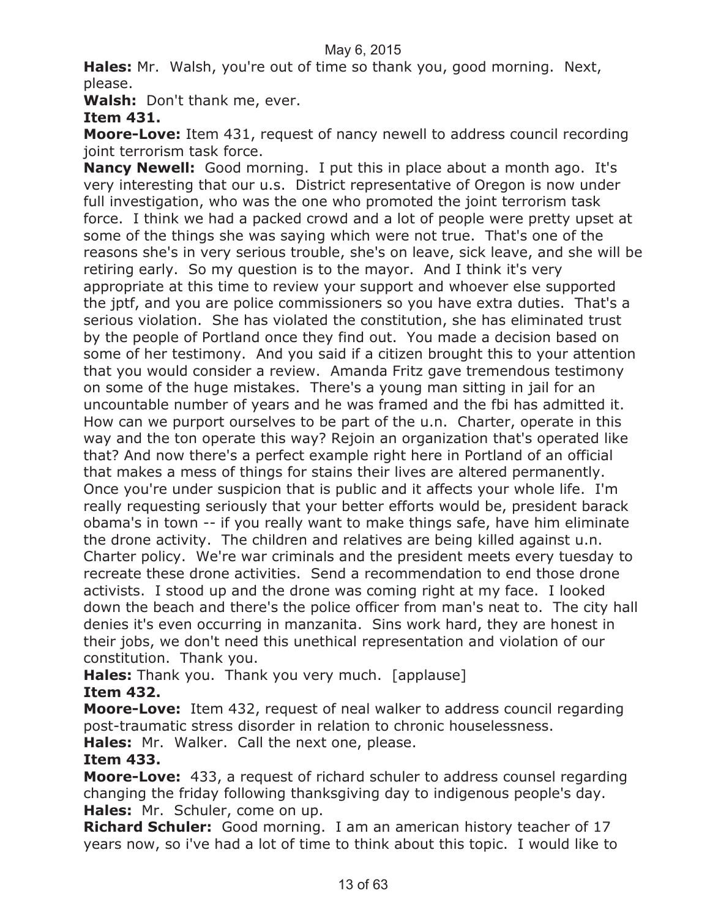**Hales:** Mr. Walsh, you're out of time so thank you, good morning. Next, please.

**Walsh:** Don't thank me, ever.

**Item 431.**

**Moore-Love:** Item 431, request of nancy newell to address council recording joint terrorism task force.

**Nancy Newell:** Good morning. I put this in place about a month ago. It's very interesting that our u.s. District representative of Oregon is now under full investigation, who was the one who promoted the joint terrorism task force. I think we had a packed crowd and a lot of people were pretty upset at some of the things she was saying which were not true. That's one of the reasons she's in very serious trouble, she's on leave, sick leave, and she will be retiring early. So my question is to the mayor. And I think it's very appropriate at this time to review your support and whoever else supported the jptf, and you are police commissioners so you have extra duties. That's a serious violation. She has violated the constitution, she has eliminated trust by the people of Portland once they find out. You made a decision based on some of her testimony. And you said if a citizen brought this to your attention that you would consider a review. Amanda Fritz gave tremendous testimony on some of the huge mistakes. There's a young man sitting in jail for an uncountable number of years and he was framed and the fbi has admitted it. How can we purport ourselves to be part of the u.n. Charter, operate in this way and the ton operate this way? Rejoin an organization that's operated like that? And now there's a perfect example right here in Portland of an official that makes a mess of things for stains their lives are altered permanently. Once you're under suspicion that is public and it affects your whole life. I'm really requesting seriously that your better efforts would be, president barack obama's in town -- if you really want to make things safe, have him eliminate the drone activity. The children and relatives are being killed against u.n. Charter policy. We're war criminals and the president meets every tuesday to recreate these drone activities. Send a recommendation to end those drone activists. I stood up and the drone was coming right at my face. I looked down the beach and there's the police officer from man's neat to. The city hall denies it's even occurring in manzanita. Sins work hard, they are honest in their jobs, we don't need this unethical representation and violation of our constitution. Thank you.

**Hales:** Thank you. Thank you very much. [applause] **Item 432.**

**Moore-Love:** Item 432, request of neal walker to address council regarding post-traumatic stress disorder in relation to chronic houselessness.

**Hales:** Mr. Walker. Call the next one, please.

#### **Item 433.**

**Moore-Love:** 433, a request of richard schuler to address counsel regarding changing the friday following thanksgiving day to indigenous people's day. **Hales:** Mr. Schuler, come on up.

**Richard Schuler:** Good morning. I am an american history teacher of 17 years now, so i've had a lot of time to think about this topic. I would like to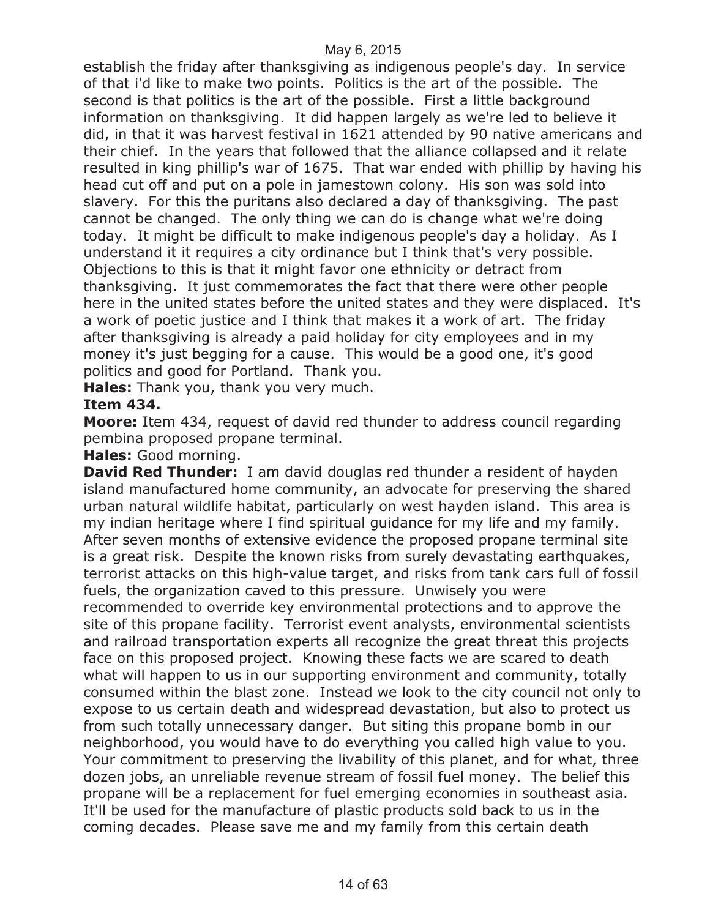establish the friday after thanksgiving as indigenous people's day. In service of that i'd like to make two points. Politics is the art of the possible. The second is that politics is the art of the possible. First a little background information on thanksgiving. It did happen largely as we're led to believe it did, in that it was harvest festival in 1621 attended by 90 native americans and their chief. In the years that followed that the alliance collapsed and it relate resulted in king phillip's war of 1675. That war ended with phillip by having his head cut off and put on a pole in jamestown colony. His son was sold into slavery. For this the puritans also declared a day of thanksgiving. The past cannot be changed. The only thing we can do is change what we're doing today. It might be difficult to make indigenous people's day a holiday. As I understand it it requires a city ordinance but I think that's very possible. Objections to this is that it might favor one ethnicity or detract from thanksgiving. It just commemorates the fact that there were other people here in the united states before the united states and they were displaced. It's a work of poetic justice and I think that makes it a work of art. The friday after thanksgiving is already a paid holiday for city employees and in my money it's just begging for a cause. This would be a good one, it's good politics and good for Portland. Thank you.

**Hales:** Thank you, thank you very much.

#### **Item 434.**

**Moore:** Item 434, request of david red thunder to address council regarding pembina proposed propane terminal.

#### **Hales:** Good morning.

**David Red Thunder:** I am david douglas red thunder a resident of hayden island manufactured home community, an advocate for preserving the shared urban natural wildlife habitat, particularly on west hayden island. This area is my indian heritage where I find spiritual guidance for my life and my family. After seven months of extensive evidence the proposed propane terminal site is a great risk. Despite the known risks from surely devastating earthquakes, terrorist attacks on this high-value target, and risks from tank cars full of fossil fuels, the organization caved to this pressure. Unwisely you were recommended to override key environmental protections and to approve the site of this propane facility. Terrorist event analysts, environmental scientists and railroad transportation experts all recognize the great threat this projects face on this proposed project. Knowing these facts we are scared to death what will happen to us in our supporting environment and community, totally consumed within the blast zone. Instead we look to the city council not only to expose to us certain death and widespread devastation, but also to protect us from such totally unnecessary danger. But siting this propane bomb in our neighborhood, you would have to do everything you called high value to you. Your commitment to preserving the livability of this planet, and for what, three dozen jobs, an unreliable revenue stream of fossil fuel money. The belief this propane will be a replacement for fuel emerging economies in southeast asia. It'll be used for the manufacture of plastic products sold back to us in the coming decades. Please save me and my family from this certain death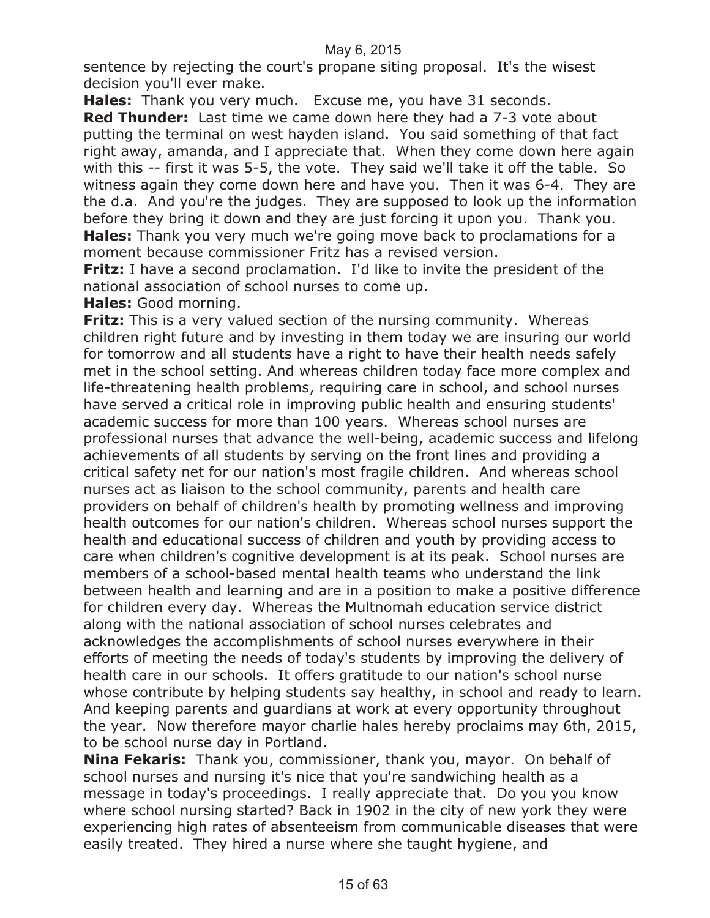sentence by rejecting the court's propane siting proposal. It's the wisest decision you'll ever make.

**Hales:** Thank you very much. Excuse me, you have 31 seconds.

**Red Thunder:** Last time we came down here they had a 7-3 vote about putting the terminal on west hayden island. You said something of that fact right away, amanda, and I appreciate that. When they come down here again with this -- first it was 5-5, the vote. They said we'll take it off the table. So witness again they come down here and have you. Then it was 6-4. They are the d.a. And you're the judges. They are supposed to look up the information before they bring it down and they are just forcing it upon you. Thank you. **Hales:** Thank you very much we're going move back to proclamations for a moment because commissioner Fritz has a revised version.

**Fritz:** I have a second proclamation. I'd like to invite the president of the national association of school nurses to come up.

#### **Hales:** Good morning.

**Fritz:** This is a very valued section of the nursing community. Whereas children right future and by investing in them today we are insuring our world for tomorrow and all students have a right to have their health needs safely met in the school setting. And whereas children today face more complex and life-threatening health problems, requiring care in school, and school nurses have served a critical role in improving public health and ensuring students' academic success for more than 100 years. Whereas school nurses are professional nurses that advance the well-being, academic success and lifelong achievements of all students by serving on the front lines and providing a critical safety net for our nation's most fragile children. And whereas school nurses act as liaison to the school community, parents and health care providers on behalf of children's health by promoting wellness and improving health outcomes for our nation's children. Whereas school nurses support the health and educational success of children and youth by providing access to care when children's cognitive development is at its peak. School nurses are members of a school-based mental health teams who understand the link between health and learning and are in a position to make a positive difference for children every day. Whereas the Multnomah education service district along with the national association of school nurses celebrates and acknowledges the accomplishments of school nurses everywhere in their efforts of meeting the needs of today's students by improving the delivery of health care in our schools. It offers gratitude to our nation's school nurse whose contribute by helping students say healthy, in school and ready to learn. And keeping parents and guardians at work at every opportunity throughout the year. Now therefore mayor charlie hales hereby proclaims may 6th, 2015, to be school nurse day in Portland.

**Nina Fekaris:** Thank you, commissioner, thank you, mayor. On behalf of school nurses and nursing it's nice that you're sandwiching health as a message in today's proceedings. I really appreciate that. Do you you know where school nursing started? Back in 1902 in the city of new york they were experiencing high rates of absenteeism from communicable diseases that were easily treated. They hired a nurse where she taught hygiene, and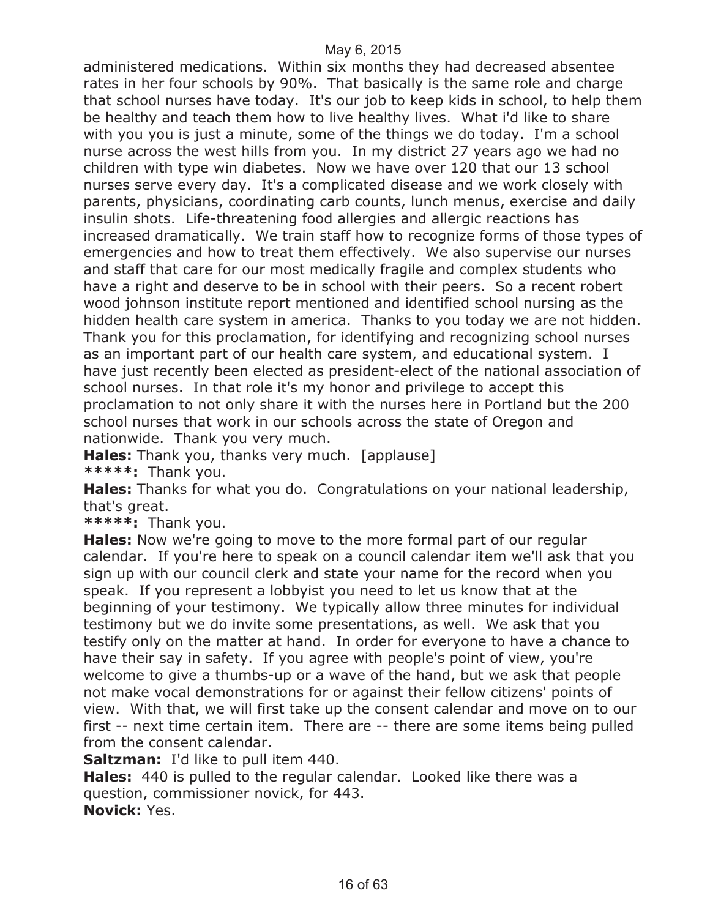administered medications. Within six months they had decreased absentee rates in her four schools by 90%. That basically is the same role and charge that school nurses have today. It's our job to keep kids in school, to help them be healthy and teach them how to live healthy lives. What i'd like to share with you you is just a minute, some of the things we do today. I'm a school nurse across the west hills from you. In my district 27 years ago we had no children with type win diabetes. Now we have over 120 that our 13 school nurses serve every day. It's a complicated disease and we work closely with parents, physicians, coordinating carb counts, lunch menus, exercise and daily insulin shots. Life-threatening food allergies and allergic reactions has increased dramatically. We train staff how to recognize forms of those types of emergencies and how to treat them effectively. We also supervise our nurses and staff that care for our most medically fragile and complex students who have a right and deserve to be in school with their peers. So a recent robert wood johnson institute report mentioned and identified school nursing as the hidden health care system in america. Thanks to you today we are not hidden. Thank you for this proclamation, for identifying and recognizing school nurses as an important part of our health care system, and educational system. I have just recently been elected as president-elect of the national association of school nurses. In that role it's my honor and privilege to accept this proclamation to not only share it with the nurses here in Portland but the 200 school nurses that work in our schools across the state of Oregon and nationwide. Thank you very much.

**Hales:** Thank you, thanks very much. [applause] **\*\*\*\*\*:** Thank you.

**Hales:** Thanks for what you do. Congratulations on your national leadership, that's great.

**\*\*\*\*\*:** Thank you.

**Hales:** Now we're going to move to the more formal part of our regular calendar. If you're here to speak on a council calendar item we'll ask that you sign up with our council clerk and state your name for the record when you speak. If you represent a lobbyist you need to let us know that at the beginning of your testimony. We typically allow three minutes for individual testimony but we do invite some presentations, as well. We ask that you testify only on the matter at hand. In order for everyone to have a chance to have their say in safety. If you agree with people's point of view, you're welcome to give a thumbs-up or a wave of the hand, but we ask that people not make vocal demonstrations for or against their fellow citizens' points of view. With that, we will first take up the consent calendar and move on to our first -- next time certain item. There are -- there are some items being pulled from the consent calendar.

**Saltzman:** I'd like to pull item 440.

**Hales:** 440 is pulled to the regular calendar. Looked like there was a question, commissioner novick, for 443. **Novick:** Yes.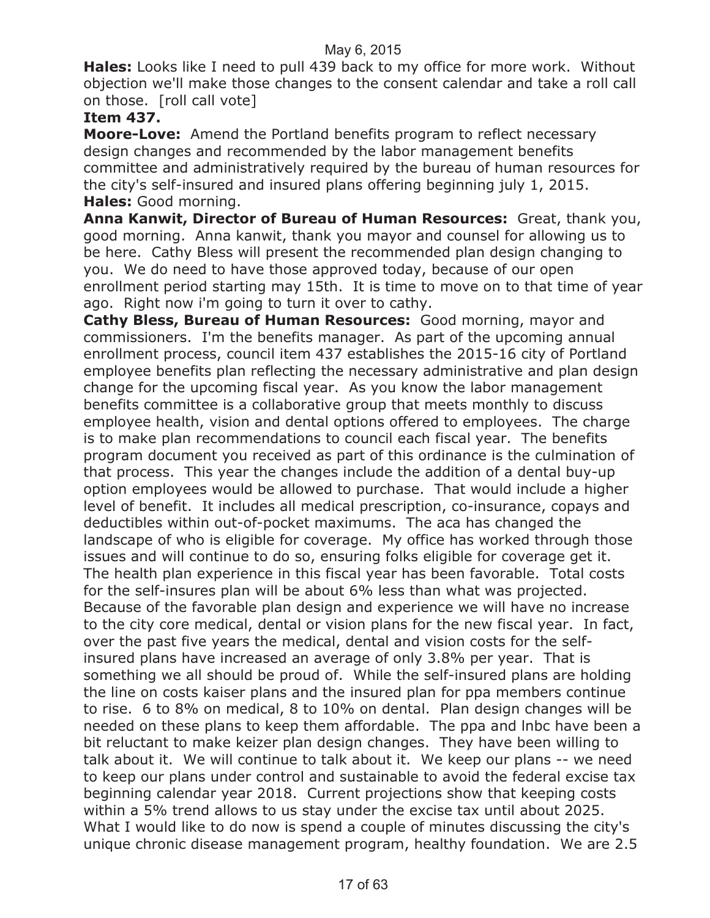**Hales:** Looks like I need to pull 439 back to my office for more work. Without objection we'll make those changes to the consent calendar and take a roll call on those. [roll call vote]

#### **Item 437.**

**Moore-Love:** Amend the Portland benefits program to reflect necessary design changes and recommended by the labor management benefits committee and administratively required by the bureau of human resources for the city's self-insured and insured plans offering beginning july 1, 2015. **Hales:** Good morning.

**Anna Kanwit, Director of Bureau of Human Resources:** Great, thank you, good morning. Anna kanwit, thank you mayor and counsel for allowing us to be here. Cathy Bless will present the recommended plan design changing to you. We do need to have those approved today, because of our open enrollment period starting may 15th. It is time to move on to that time of year ago. Right now i'm going to turn it over to cathy.

**Cathy Bless, Bureau of Human Resources:** Good morning, mayor and commissioners. I'm the benefits manager. As part of the upcoming annual enrollment process, council item 437 establishes the 2015-16 city of Portland employee benefits plan reflecting the necessary administrative and plan design change for the upcoming fiscal year. As you know the labor management benefits committee is a collaborative group that meets monthly to discuss employee health, vision and dental options offered to employees. The charge is to make plan recommendations to council each fiscal year. The benefits program document you received as part of this ordinance is the culmination of that process. This year the changes include the addition of a dental buy-up option employees would be allowed to purchase. That would include a higher level of benefit. It includes all medical prescription, co-insurance, copays and deductibles within out-of-pocket maximums. The aca has changed the landscape of who is eligible for coverage. My office has worked through those issues and will continue to do so, ensuring folks eligible for coverage get it. The health plan experience in this fiscal year has been favorable. Total costs for the self-insures plan will be about 6% less than what was projected. Because of the favorable plan design and experience we will have no increase to the city core medical, dental or vision plans for the new fiscal year. In fact, over the past five years the medical, dental and vision costs for the selfinsured plans have increased an average of only 3.8% per year. That is something we all should be proud of. While the self-insured plans are holding the line on costs kaiser plans and the insured plan for ppa members continue to rise. 6 to 8% on medical, 8 to 10% on dental. Plan design changes will be needed on these plans to keep them affordable. The ppa and lnbc have been a bit reluctant to make keizer plan design changes. They have been willing to talk about it. We will continue to talk about it. We keep our plans -- we need to keep our plans under control and sustainable to avoid the federal excise tax beginning calendar year 2018. Current projections show that keeping costs within a 5% trend allows to us stay under the excise tax until about 2025. What I would like to do now is spend a couple of minutes discussing the city's unique chronic disease management program, healthy foundation. We are 2.5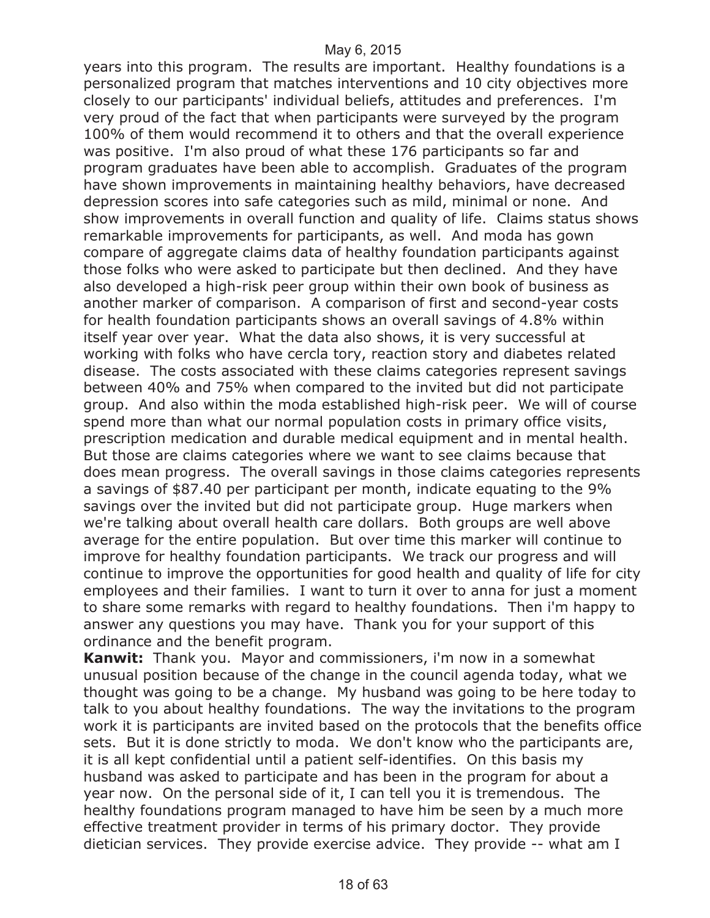years into this program. The results are important. Healthy foundations is a personalized program that matches interventions and 10 city objectives more closely to our participants' individual beliefs, attitudes and preferences. I'm very proud of the fact that when participants were surveyed by the program 100% of them would recommend it to others and that the overall experience was positive. I'm also proud of what these 176 participants so far and program graduates have been able to accomplish. Graduates of the program have shown improvements in maintaining healthy behaviors, have decreased depression scores into safe categories such as mild, minimal or none. And show improvements in overall function and quality of life. Claims status shows remarkable improvements for participants, as well. And moda has gown compare of aggregate claims data of healthy foundation participants against those folks who were asked to participate but then declined. And they have also developed a high-risk peer group within their own book of business as another marker of comparison. A comparison of first and second-year costs for health foundation participants shows an overall savings of 4.8% within itself year over year. What the data also shows, it is very successful at working with folks who have cercla tory, reaction story and diabetes related disease. The costs associated with these claims categories represent savings between 40% and 75% when compared to the invited but did not participate group. And also within the moda established high-risk peer. We will of course spend more than what our normal population costs in primary office visits, prescription medication and durable medical equipment and in mental health. But those are claims categories where we want to see claims because that does mean progress. The overall savings in those claims categories represents a savings of \$87.40 per participant per month, indicate equating to the 9% savings over the invited but did not participate group. Huge markers when we're talking about overall health care dollars. Both groups are well above average for the entire population. But over time this marker will continue to improve for healthy foundation participants. We track our progress and will continue to improve the opportunities for good health and quality of life for city employees and their families. I want to turn it over to anna for just a moment to share some remarks with regard to healthy foundations. Then i'm happy to answer any questions you may have. Thank you for your support of this ordinance and the benefit program.

**Kanwit:** Thank you. Mayor and commissioners, i'm now in a somewhat unusual position because of the change in the council agenda today, what we thought was going to be a change. My husband was going to be here today to talk to you about healthy foundations. The way the invitations to the program work it is participants are invited based on the protocols that the benefits office sets. But it is done strictly to moda. We don't know who the participants are, it is all kept confidential until a patient self-identifies. On this basis my husband was asked to participate and has been in the program for about a year now. On the personal side of it, I can tell you it is tremendous. The healthy foundations program managed to have him be seen by a much more effective treatment provider in terms of his primary doctor. They provide dietician services. They provide exercise advice. They provide -- what am I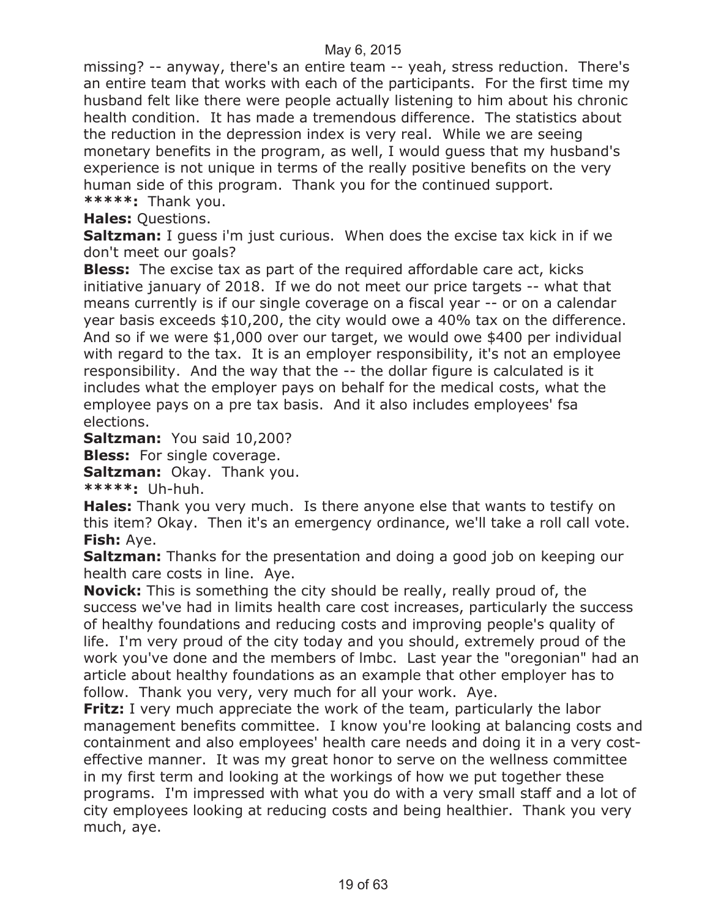missing? -- anyway, there's an entire team -- yeah, stress reduction. There's an entire team that works with each of the participants. For the first time my husband felt like there were people actually listening to him about his chronic health condition. It has made a tremendous difference. The statistics about the reduction in the depression index is very real. While we are seeing monetary benefits in the program, as well, I would guess that my husband's experience is not unique in terms of the really positive benefits on the very human side of this program. Thank you for the continued support. **\*\*\*\*\*:** Thank you.

**Hales:** Questions.

**Saltzman:** I guess i'm just curious. When does the excise tax kick in if we don't meet our goals?

**Bless:** The excise tax as part of the required affordable care act, kicks initiative january of 2018. If we do not meet our price targets -- what that means currently is if our single coverage on a fiscal year -- or on a calendar year basis exceeds \$10,200, the city would owe a 40% tax on the difference. And so if we were \$1,000 over our target, we would owe \$400 per individual with regard to the tax. It is an employer responsibility, it's not an employee responsibility. And the way that the -- the dollar figure is calculated is it includes what the employer pays on behalf for the medical costs, what the employee pays on a pre tax basis. And it also includes employees' fsa elections.

**Saltzman:** You said 10,200?

**Bless:** For single coverage.

**Saltzman:** Okay. Thank you.

**\*\*\*\*\*:** Uh-huh.

**Hales:** Thank you very much. Is there anyone else that wants to testify on this item? Okay. Then it's an emergency ordinance, we'll take a roll call vote. **Fish:** Aye.

**Saltzman:** Thanks for the presentation and doing a good job on keeping our health care costs in line. Aye.

**Novick:** This is something the city should be really, really proud of, the success we've had in limits health care cost increases, particularly the success of healthy foundations and reducing costs and improving people's quality of life. I'm very proud of the city today and you should, extremely proud of the work you've done and the members of lmbc. Last year the "oregonian" had an article about healthy foundations as an example that other employer has to follow. Thank you very, very much for all your work. Aye.

**Fritz:** I very much appreciate the work of the team, particularly the labor management benefits committee. I know you're looking at balancing costs and containment and also employees' health care needs and doing it in a very costeffective manner. It was my great honor to serve on the wellness committee in my first term and looking at the workings of how we put together these programs. I'm impressed with what you do with a very small staff and a lot of city employees looking at reducing costs and being healthier. Thank you very much, aye.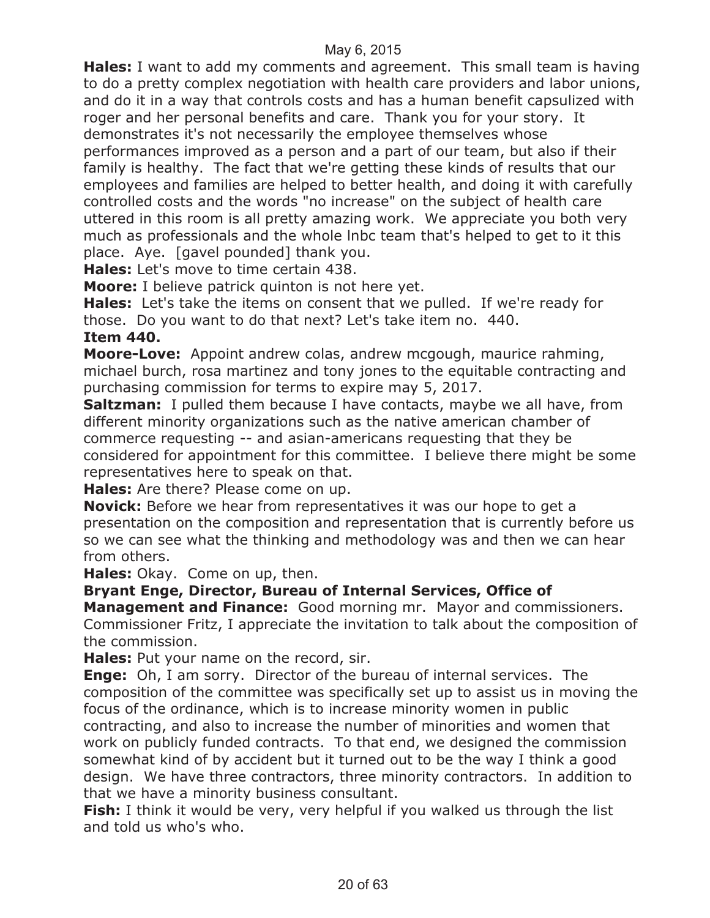**Hales:** I want to add my comments and agreement. This small team is having to do a pretty complex negotiation with health care providers and labor unions, and do it in a way that controls costs and has a human benefit capsulized with roger and her personal benefits and care. Thank you for your story. It demonstrates it's not necessarily the employee themselves whose performances improved as a person and a part of our team, but also if their family is healthy. The fact that we're getting these kinds of results that our employees and families are helped to better health, and doing it with carefully controlled costs and the words "no increase" on the subject of health care uttered in this room is all pretty amazing work. We appreciate you both very much as professionals and the whole lnbc team that's helped to get to it this place. Aye. [gavel pounded] thank you.

**Hales:** Let's move to time certain 438.

**Moore:** I believe patrick quinton is not here yet.

**Hales:** Let's take the items on consent that we pulled. If we're ready for those. Do you want to do that next? Let's take item no. 440.

**Item 440.**

**Moore-Love:** Appoint andrew colas, andrew mcgough, maurice rahming, michael burch, rosa martinez and tony jones to the equitable contracting and purchasing commission for terms to expire may 5, 2017.

**Saltzman:** I pulled them because I have contacts, maybe we all have, from different minority organizations such as the native american chamber of commerce requesting -- and asian-americans requesting that they be considered for appointment for this committee. I believe there might be some representatives here to speak on that.

**Hales:** Are there? Please come on up.

**Novick:** Before we hear from representatives it was our hope to get a presentation on the composition and representation that is currently before us so we can see what the thinking and methodology was and then we can hear from others.

**Hales:** Okay. Come on up, then.

#### **Bryant Enge, Director, Bureau of Internal Services, Office of**

**Management and Finance:** Good morning mr. Mayor and commissioners. Commissioner Fritz, I appreciate the invitation to talk about the composition of the commission.

**Hales:** Put your name on the record, sir.

**Enge:** Oh, I am sorry. Director of the bureau of internal services. The composition of the committee was specifically set up to assist us in moving the focus of the ordinance, which is to increase minority women in public contracting, and also to increase the number of minorities and women that work on publicly funded contracts. To that end, we designed the commission somewhat kind of by accident but it turned out to be the way I think a good design. We have three contractors, three minority contractors. In addition to that we have a minority business consultant.

**Fish:** I think it would be very, very helpful if you walked us through the list and told us who's who.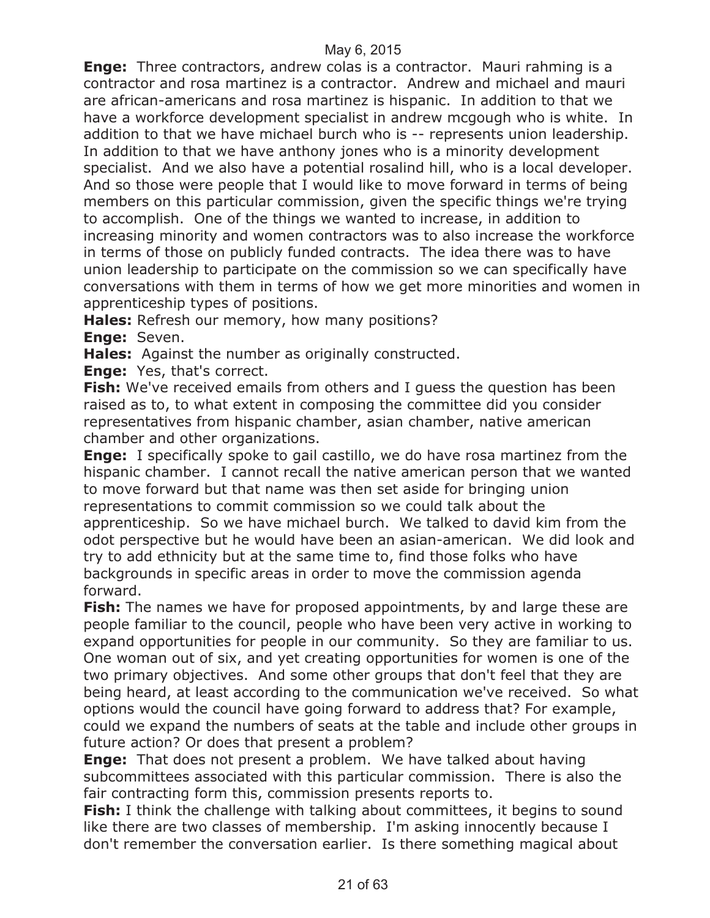**Enge:** Three contractors, andrew colas is a contractor. Mauri rahming is a contractor and rosa martinez is a contractor. Andrew and michael and mauri are african-americans and rosa martinez is hispanic. In addition to that we have a workforce development specialist in andrew mcgough who is white. In addition to that we have michael burch who is -- represents union leadership. In addition to that we have anthony jones who is a minority development specialist. And we also have a potential rosalind hill, who is a local developer. And so those were people that I would like to move forward in terms of being members on this particular commission, given the specific things we're trying to accomplish. One of the things we wanted to increase, in addition to increasing minority and women contractors was to also increase the workforce in terms of those on publicly funded contracts. The idea there was to have union leadership to participate on the commission so we can specifically have conversations with them in terms of how we get more minorities and women in apprenticeship types of positions.

**Hales:** Refresh our memory, how many positions?

**Enge:** Seven.

**Hales:** Against the number as originally constructed.

**Enge:** Yes, that's correct.

**Fish:** We've received emails from others and I guess the question has been raised as to, to what extent in composing the committee did you consider representatives from hispanic chamber, asian chamber, native american chamber and other organizations.

**Enge:** I specifically spoke to gail castillo, we do have rosa martinez from the hispanic chamber. I cannot recall the native american person that we wanted to move forward but that name was then set aside for bringing union representations to commit commission so we could talk about the apprenticeship. So we have michael burch. We talked to david kim from the odot perspective but he would have been an asian-american. We did look and try to add ethnicity but at the same time to, find those folks who have backgrounds in specific areas in order to move the commission agenda forward.

**Fish:** The names we have for proposed appointments, by and large these are people familiar to the council, people who have been very active in working to expand opportunities for people in our community. So they are familiar to us. One woman out of six, and yet creating opportunities for women is one of the two primary objectives. And some other groups that don't feel that they are being heard, at least according to the communication we've received. So what options would the council have going forward to address that? For example, could we expand the numbers of seats at the table and include other groups in future action? Or does that present a problem?

**Enge:** That does not present a problem. We have talked about having subcommittees associated with this particular commission. There is also the fair contracting form this, commission presents reports to.

**Fish:** I think the challenge with talking about committees, it begins to sound like there are two classes of membership. I'm asking innocently because I don't remember the conversation earlier. Is there something magical about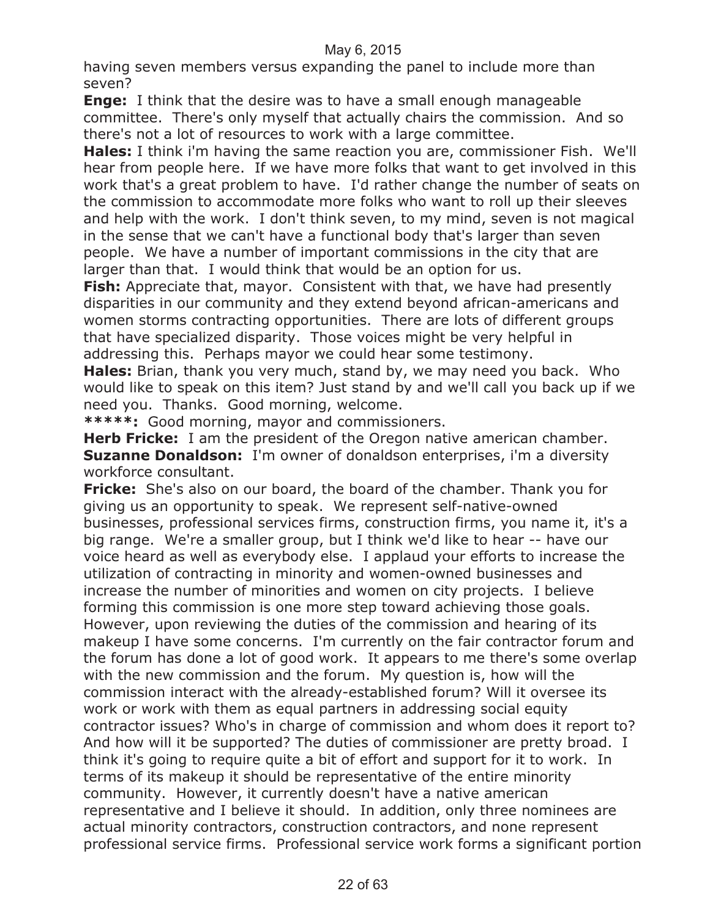having seven members versus expanding the panel to include more than seven?

**Enge:** I think that the desire was to have a small enough manageable committee. There's only myself that actually chairs the commission. And so there's not a lot of resources to work with a large committee.

**Hales:** I think i'm having the same reaction you are, commissioner Fish. We'll hear from people here. If we have more folks that want to get involved in this work that's a great problem to have. I'd rather change the number of seats on the commission to accommodate more folks who want to roll up their sleeves and help with the work. I don't think seven, to my mind, seven is not magical in the sense that we can't have a functional body that's larger than seven people. We have a number of important commissions in the city that are larger than that. I would think that would be an option for us.

**Fish:** Appreciate that, mayor. Consistent with that, we have had presently disparities in our community and they extend beyond african-americans and women storms contracting opportunities. There are lots of different groups that have specialized disparity. Those voices might be very helpful in addressing this. Perhaps mayor we could hear some testimony.

**Hales:** Brian, thank you very much, stand by, we may need you back. Who would like to speak on this item? Just stand by and we'll call you back up if we need you. Thanks. Good morning, welcome.

**\*\*\*\*\*:** Good morning, mayor and commissioners.

**Herb Fricke:** I am the president of the Oregon native american chamber. **Suzanne Donaldson:** I'm owner of donaldson enterprises, i'm a diversity workforce consultant.

**Fricke:** She's also on our board, the board of the chamber. Thank you for giving us an opportunity to speak. We represent self-native-owned businesses, professional services firms, construction firms, you name it, it's a big range. We're a smaller group, but I think we'd like to hear -- have our voice heard as well as everybody else. I applaud your efforts to increase the utilization of contracting in minority and women-owned businesses and increase the number of minorities and women on city projects. I believe forming this commission is one more step toward achieving those goals. However, upon reviewing the duties of the commission and hearing of its makeup I have some concerns. I'm currently on the fair contractor forum and the forum has done a lot of good work. It appears to me there's some overlap with the new commission and the forum. My question is, how will the commission interact with the already-established forum? Will it oversee its work or work with them as equal partners in addressing social equity contractor issues? Who's in charge of commission and whom does it report to? And how will it be supported? The duties of commissioner are pretty broad. I think it's going to require quite a bit of effort and support for it to work. In terms of its makeup it should be representative of the entire minority community. However, it currently doesn't have a native american representative and I believe it should. In addition, only three nominees are actual minority contractors, construction contractors, and none represent professional service firms. Professional service work forms a significant portion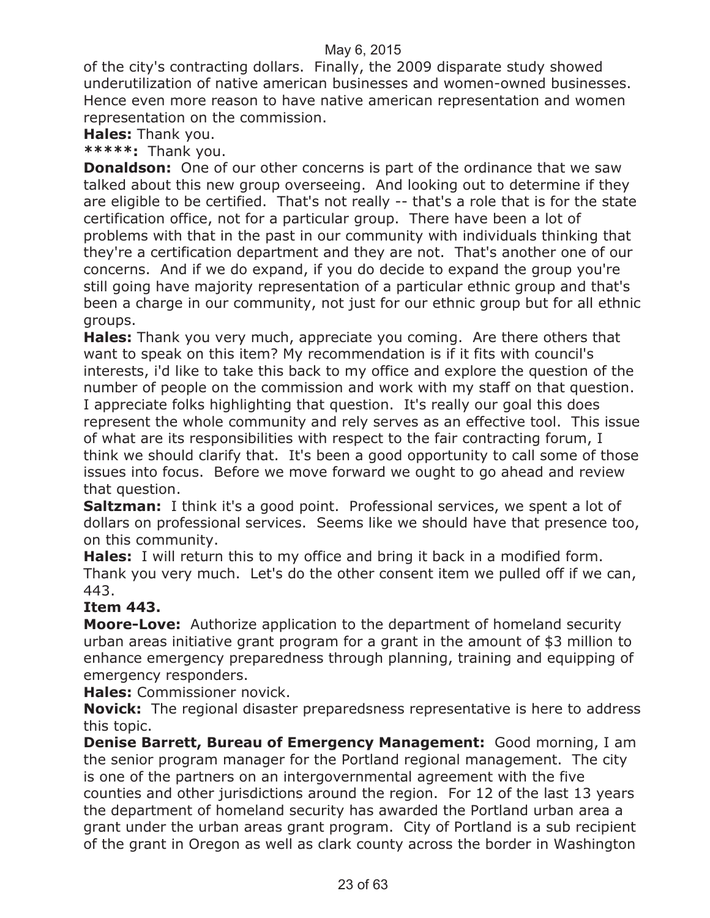of the city's contracting dollars. Finally, the 2009 disparate study showed underutilization of native american businesses and women-owned businesses. Hence even more reason to have native american representation and women representation on the commission.

**Hales:** Thank you.

**\*\*\*\*\*:** Thank you.

**Donaldson:** One of our other concerns is part of the ordinance that we saw talked about this new group overseeing. And looking out to determine if they are eligible to be certified. That's not really -- that's a role that is for the state certification office, not for a particular group. There have been a lot of problems with that in the past in our community with individuals thinking that they're a certification department and they are not. That's another one of our concerns. And if we do expand, if you do decide to expand the group you're still going have majority representation of a particular ethnic group and that's been a charge in our community, not just for our ethnic group but for all ethnic groups.

**Hales:** Thank you very much, appreciate you coming. Are there others that want to speak on this item? My recommendation is if it fits with council's interests, i'd like to take this back to my office and explore the question of the number of people on the commission and work with my staff on that question. I appreciate folks highlighting that question. It's really our goal this does represent the whole community and rely serves as an effective tool. This issue of what are its responsibilities with respect to the fair contracting forum, I think we should clarify that. It's been a good opportunity to call some of those issues into focus. Before we move forward we ought to go ahead and review that question.

**Saltzman:** I think it's a good point. Professional services, we spent a lot of dollars on professional services. Seems like we should have that presence too, on this community.

**Hales:** I will return this to my office and bring it back in a modified form. Thank you very much. Let's do the other consent item we pulled off if we can, 443.

#### **Item 443.**

**Moore-Love:** Authorize application to the department of homeland security urban areas initiative grant program for a grant in the amount of \$3 million to enhance emergency preparedness through planning, training and equipping of emergency responders.

**Hales:** Commissioner novick.

**Novick:** The regional disaster preparedsness representative is here to address this topic.

**Denise Barrett, Bureau of Emergency Management:** Good morning, I am the senior program manager for the Portland regional management. The city is one of the partners on an intergovernmental agreement with the five counties and other jurisdictions around the region. For 12 of the last 13 years the department of homeland security has awarded the Portland urban area a grant under the urban areas grant program. City of Portland is a sub recipient of the grant in Oregon as well as clark county across the border in Washington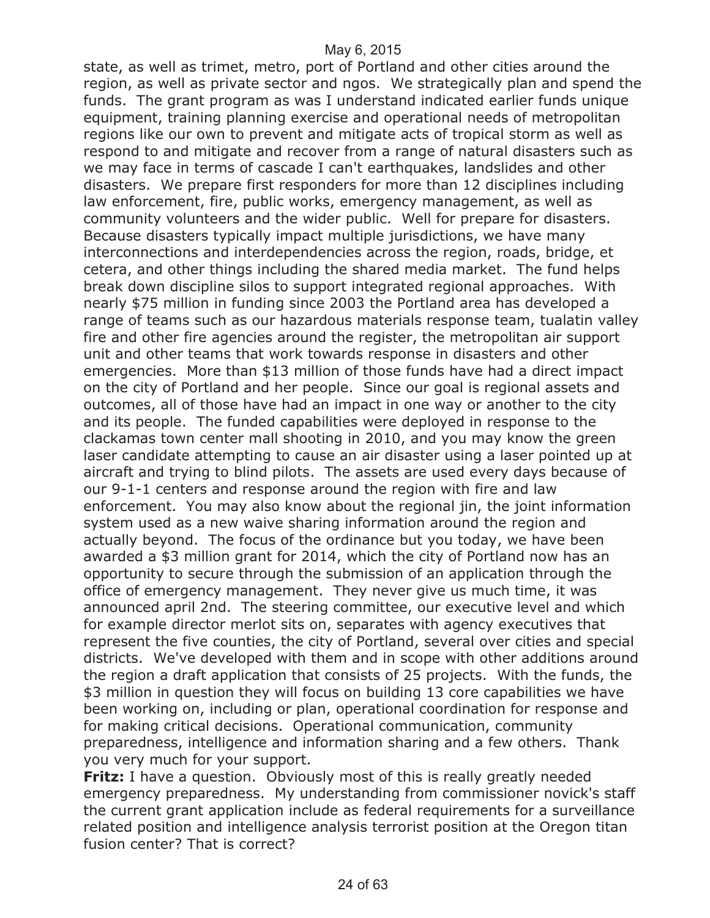state, as well as trimet, metro, port of Portland and other cities around the region, as well as private sector and ngos. We strategically plan and spend the funds. The grant program as was I understand indicated earlier funds unique equipment, training planning exercise and operational needs of metropolitan regions like our own to prevent and mitigate acts of tropical storm as well as respond to and mitigate and recover from a range of natural disasters such as we may face in terms of cascade I can't earthquakes, landslides and other disasters. We prepare first responders for more than 12 disciplines including law enforcement, fire, public works, emergency management, as well as community volunteers and the wider public. Well for prepare for disasters. Because disasters typically impact multiple jurisdictions, we have many interconnections and interdependencies across the region, roads, bridge, et cetera, and other things including the shared media market. The fund helps break down discipline silos to support integrated regional approaches. With nearly \$75 million in funding since 2003 the Portland area has developed a range of teams such as our hazardous materials response team, tualatin valley fire and other fire agencies around the register, the metropolitan air support unit and other teams that work towards response in disasters and other emergencies. More than \$13 million of those funds have had a direct impact on the city of Portland and her people. Since our goal is regional assets and outcomes, all of those have had an impact in one way or another to the city and its people. The funded capabilities were deployed in response to the clackamas town center mall shooting in 2010, and you may know the green laser candidate attempting to cause an air disaster using a laser pointed up at aircraft and trying to blind pilots. The assets are used every days because of our 9-1-1 centers and response around the region with fire and law enforcement. You may also know about the regional jin, the joint information system used as a new waive sharing information around the region and actually beyond. The focus of the ordinance but you today, we have been awarded a \$3 million grant for 2014, which the city of Portland now has an opportunity to secure through the submission of an application through the office of emergency management. They never give us much time, it was announced april 2nd. The steering committee, our executive level and which for example director merlot sits on, separates with agency executives that represent the five counties, the city of Portland, several over cities and special districts. We've developed with them and in scope with other additions around the region a draft application that consists of 25 projects. With the funds, the \$3 million in question they will focus on building 13 core capabilities we have been working on, including or plan, operational coordination for response and for making critical decisions. Operational communication, community preparedness, intelligence and information sharing and a few others. Thank you very much for your support.

**Fritz:** I have a question. Obviously most of this is really greatly needed emergency preparedness. My understanding from commissioner novick's staff the current grant application include as federal requirements for a surveillance related position and intelligence analysis terrorist position at the Oregon titan fusion center? That is correct?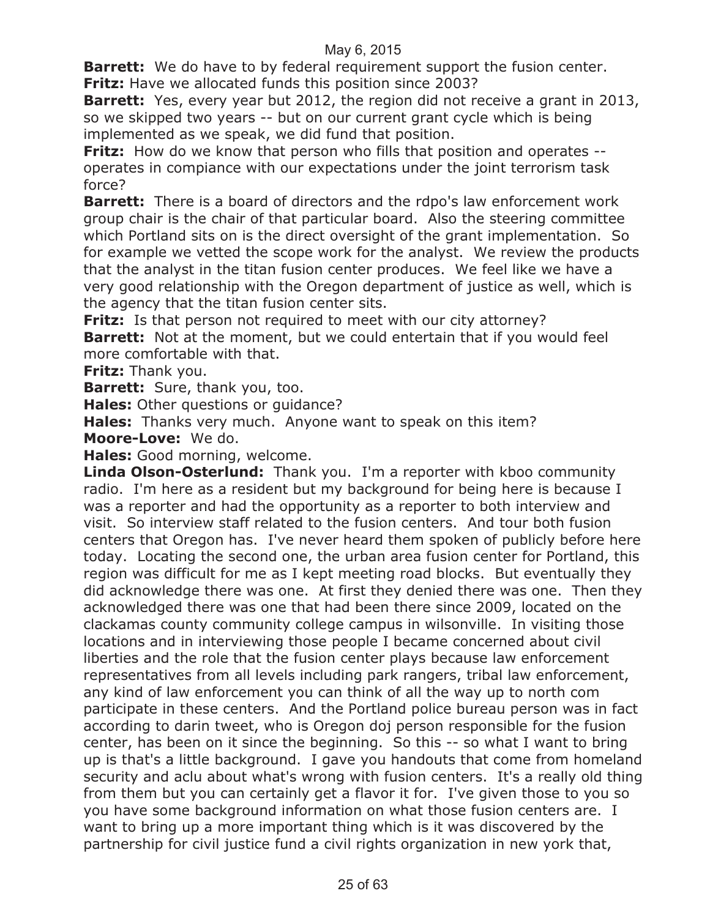**Barrett:** We do have to by federal requirement support the fusion center. **Fritz:** Have we allocated funds this position since 2003?

**Barrett:** Yes, every year but 2012, the region did not receive a grant in 2013, so we skipped two years -- but on our current grant cycle which is being implemented as we speak, we did fund that position.

**Fritz:** How do we know that person who fills that position and operates -operates in compiance with our expectations under the joint terrorism task force?

**Barrett:** There is a board of directors and the rdpo's law enforcement work group chair is the chair of that particular board. Also the steering committee which Portland sits on is the direct oversight of the grant implementation. So for example we vetted the scope work for the analyst. We review the products that the analyst in the titan fusion center produces. We feel like we have a very good relationship with the Oregon department of justice as well, which is the agency that the titan fusion center sits.

**Fritz:** Is that person not required to meet with our city attorney? **Barrett:** Not at the moment, but we could entertain that if you would feel

more comfortable with that.

**Fritz:** Thank you.

**Barrett:** Sure, thank you, too.

**Hales:** Other questions or guidance?

**Hales:** Thanks very much. Anyone want to speak on this item? **Moore-Love:** We do.

**Hales:** Good morning, welcome.

**Linda Olson-Osterlund:** Thank you. I'm a reporter with kboo community radio. I'm here as a resident but my background for being here is because I was a reporter and had the opportunity as a reporter to both interview and visit. So interview staff related to the fusion centers. And tour both fusion centers that Oregon has. I've never heard them spoken of publicly before here today. Locating the second one, the urban area fusion center for Portland, this region was difficult for me as I kept meeting road blocks. But eventually they did acknowledge there was one. At first they denied there was one. Then they acknowledged there was one that had been there since 2009, located on the clackamas county community college campus in wilsonville. In visiting those locations and in interviewing those people I became concerned about civil liberties and the role that the fusion center plays because law enforcement representatives from all levels including park rangers, tribal law enforcement, any kind of law enforcement you can think of all the way up to north com participate in these centers. And the Portland police bureau person was in fact according to darin tweet, who is Oregon doj person responsible for the fusion center, has been on it since the beginning. So this -- so what I want to bring up is that's a little background. I gave you handouts that come from homeland security and aclu about what's wrong with fusion centers. It's a really old thing from them but you can certainly get a flavor it for. I've given those to you so you have some background information on what those fusion centers are. I want to bring up a more important thing which is it was discovered by the partnership for civil justice fund a civil rights organization in new york that,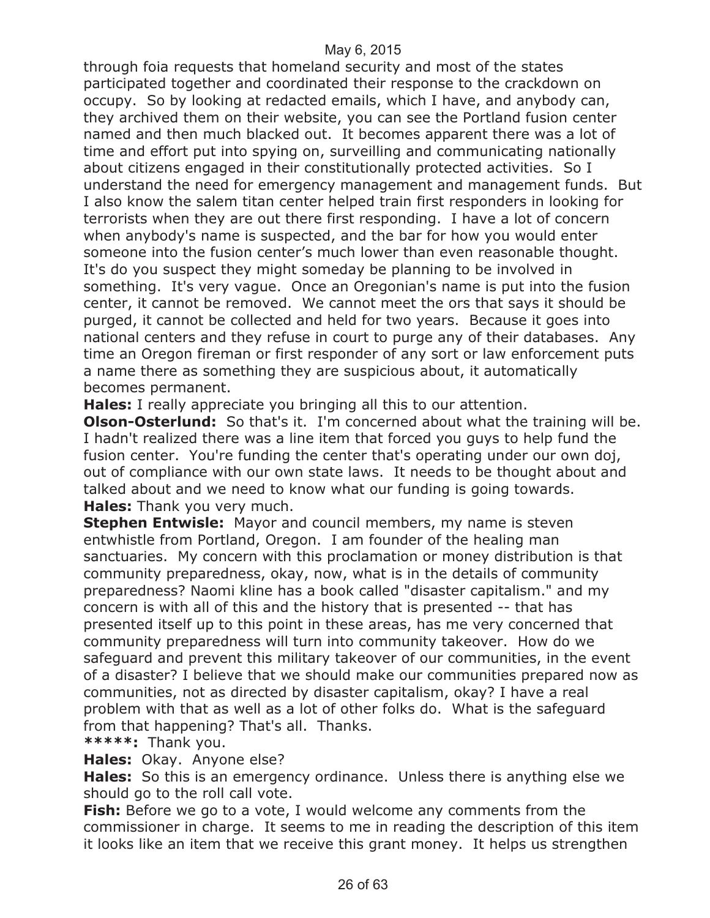through foia requests that homeland security and most of the states participated together and coordinated their response to the crackdown on occupy. So by looking at redacted emails, which I have, and anybody can, they archived them on their website, you can see the Portland fusion center named and then much blacked out. It becomes apparent there was a lot of time and effort put into spying on, surveilling and communicating nationally about citizens engaged in their constitutionally protected activities. So I understand the need for emergency management and management funds. But I also know the salem titan center helped train first responders in looking for terrorists when they are out there first responding. I have a lot of concern when anybody's name is suspected, and the bar for how you would enter someone into the fusion center's much lower than even reasonable thought. It's do you suspect they might someday be planning to be involved in something. It's very vague. Once an Oregonian's name is put into the fusion center, it cannot be removed. We cannot meet the ors that says it should be purged, it cannot be collected and held for two years. Because it goes into national centers and they refuse in court to purge any of their databases. Any time an Oregon fireman or first responder of any sort or law enforcement puts a name there as something they are suspicious about, it automatically becomes permanent.

**Hales:** I really appreciate you bringing all this to our attention.

**Olson-Osterlund:** So that's it. I'm concerned about what the training will be. I hadn't realized there was a line item that forced you guys to help fund the fusion center. You're funding the center that's operating under our own doj, out of compliance with our own state laws. It needs to be thought about and talked about and we need to know what our funding is going towards. **Hales:** Thank you very much.

**Stephen Entwisle:** Mayor and council members, my name is steven entwhistle from Portland, Oregon. I am founder of the healing man sanctuaries. My concern with this proclamation or money distribution is that community preparedness, okay, now, what is in the details of community preparedness? Naomi kline has a book called "disaster capitalism." and my concern is with all of this and the history that is presented -- that has presented itself up to this point in these areas, has me very concerned that community preparedness will turn into community takeover. How do we safeguard and prevent this military takeover of our communities, in the event of a disaster? I believe that we should make our communities prepared now as communities, not as directed by disaster capitalism, okay? I have a real problem with that as well as a lot of other folks do. What is the safeguard from that happening? That's all. Thanks.

**\*\*\*\*\*:** Thank you.

**Hales:** Okay. Anyone else?

**Hales:** So this is an emergency ordinance. Unless there is anything else we should go to the roll call vote.

**Fish:** Before we go to a vote, I would welcome any comments from the commissioner in charge. It seems to me in reading the description of this item it looks like an item that we receive this grant money. It helps us strengthen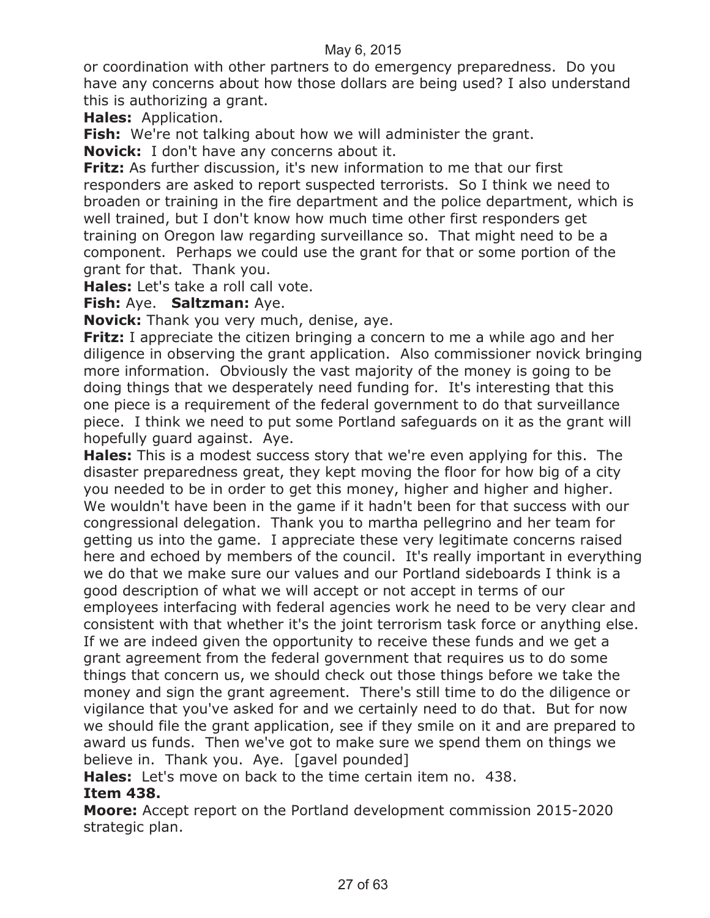or coordination with other partners to do emergency preparedness. Do you have any concerns about how those dollars are being used? I also understand this is authorizing a grant.

**Hales:** Application.

**Fish:** We're not talking about how we will administer the grant.

**Novick:** I don't have any concerns about it.

**Fritz:** As further discussion, it's new information to me that our first responders are asked to report suspected terrorists. So I think we need to broaden or training in the fire department and the police department, which is well trained, but I don't know how much time other first responders get training on Oregon law regarding surveillance so. That might need to be a component. Perhaps we could use the grant for that or some portion of the grant for that. Thank you.

**Hales:** Let's take a roll call vote.

**Fish:** Aye. **Saltzman:** Aye.

**Novick:** Thank you very much, denise, aye.

**Fritz:** I appreciate the citizen bringing a concern to me a while ago and her diligence in observing the grant application. Also commissioner novick bringing more information. Obviously the vast majority of the money is going to be doing things that we desperately need funding for. It's interesting that this one piece is a requirement of the federal government to do that surveillance piece. I think we need to put some Portland safeguards on it as the grant will hopefully guard against. Aye.

**Hales:** This is a modest success story that we're even applying for this. The disaster preparedness great, they kept moving the floor for how big of a city you needed to be in order to get this money, higher and higher and higher. We wouldn't have been in the game if it hadn't been for that success with our congressional delegation. Thank you to martha pellegrino and her team for getting us into the game. I appreciate these very legitimate concerns raised here and echoed by members of the council. It's really important in everything we do that we make sure our values and our Portland sideboards I think is a good description of what we will accept or not accept in terms of our employees interfacing with federal agencies work he need to be very clear and consistent with that whether it's the joint terrorism task force or anything else. If we are indeed given the opportunity to receive these funds and we get a grant agreement from the federal government that requires us to do some things that concern us, we should check out those things before we take the money and sign the grant agreement. There's still time to do the diligence or vigilance that you've asked for and we certainly need to do that. But for now we should file the grant application, see if they smile on it and are prepared to award us funds. Then we've got to make sure we spend them on things we believe in. Thank you. Aye. [gavel pounded]

**Hales:** Let's move on back to the time certain item no. 438.

#### **Item 438.**

**Moore:** Accept report on the Portland development commission 2015-2020 strategic plan.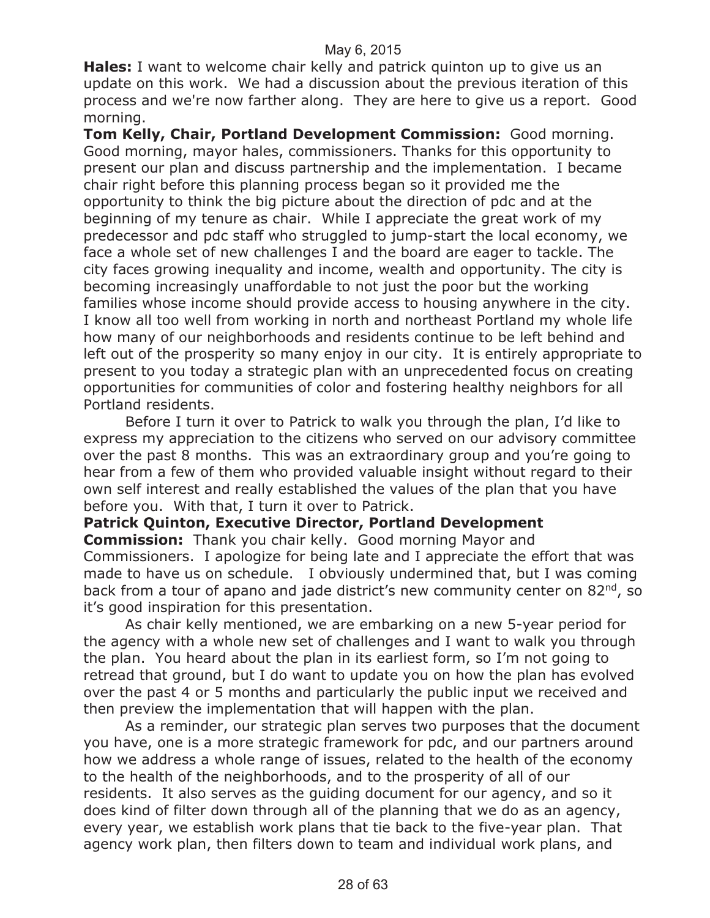**Hales:** I want to welcome chair kelly and patrick quinton up to give us an update on this work. We had a discussion about the previous iteration of this process and we're now farther along. They are here to give us a report. Good morning.

**Tom Kelly, Chair, Portland Development Commission:** Good morning. Good morning, mayor hales, commissioners. Thanks for this opportunity to present our plan and discuss partnership and the implementation. I became chair right before this planning process began so it provided me the opportunity to think the big picture about the direction of pdc and at the beginning of my tenure as chair. While I appreciate the great work of my predecessor and pdc staff who struggled to jump-start the local economy, we face a whole set of new challenges I and the board are eager to tackle. The city faces growing inequality and income, wealth and opportunity. The city is becoming increasingly unaffordable to not just the poor but the working families whose income should provide access to housing anywhere in the city. I know all too well from working in north and northeast Portland my whole life how many of our neighborhoods and residents continue to be left behind and left out of the prosperity so many enjoy in our city. It is entirely appropriate to present to you today a strategic plan with an unprecedented focus on creating opportunities for communities of color and fostering healthy neighbors for all Portland residents.

Before I turn it over to Patrick to walk you through the plan, I'd like to express my appreciation to the citizens who served on our advisory committee over the past 8 months. This was an extraordinary group and you're going to hear from a few of them who provided valuable insight without regard to their own self interest and really established the values of the plan that you have before you. With that, I turn it over to Patrick.

#### **Patrick Quinton, Executive Director, Portland Development**

**Commission:** Thank you chair kelly. Good morning Mayor and Commissioners. I apologize for being late and I appreciate the effort that was made to have us on schedule. I obviously undermined that, but I was coming back from a tour of apano and jade district's new community center on 82<sup>nd</sup>, so it's good inspiration for this presentation.

As chair kelly mentioned, we are embarking on a new 5-year period for the agency with a whole new set of challenges and I want to walk you through the plan. You heard about the plan in its earliest form, so I'm not going to retread that ground, but I do want to update you on how the plan has evolved over the past 4 or 5 months and particularly the public input we received and then preview the implementation that will happen with the plan.

As a reminder, our strategic plan serves two purposes that the document you have, one is a more strategic framework for pdc, and our partners around how we address a whole range of issues, related to the health of the economy to the health of the neighborhoods, and to the prosperity of all of our residents. It also serves as the guiding document for our agency, and so it does kind of filter down through all of the planning that we do as an agency, every year, we establish work plans that tie back to the five-year plan. That agency work plan, then filters down to team and individual work plans, and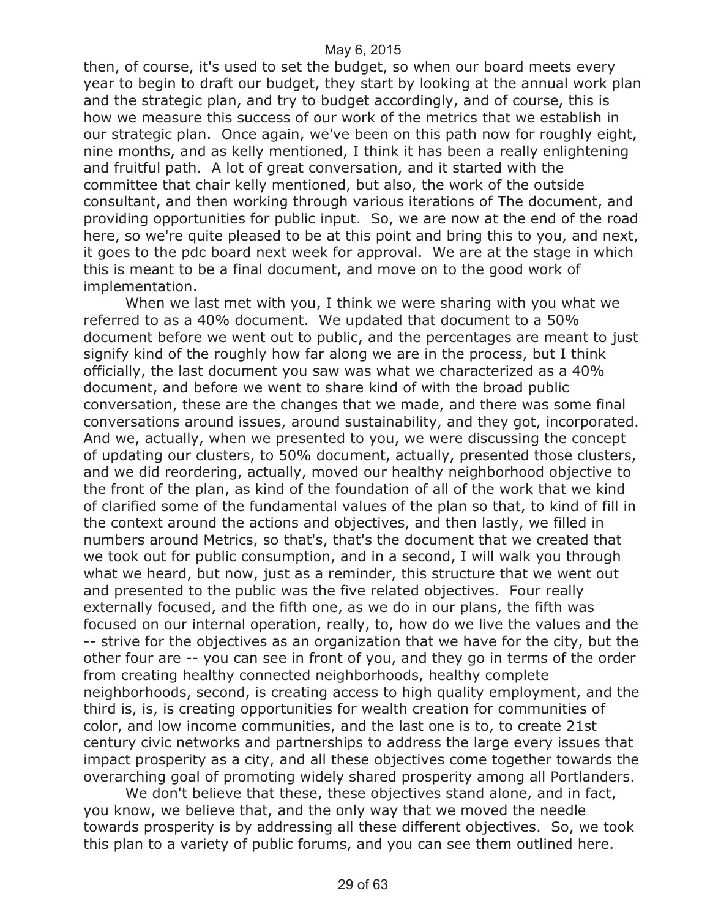then, of course, it's used to set the budget, so when our board meets every year to begin to draft our budget, they start by looking at the annual work plan and the strategic plan, and try to budget accordingly, and of course, this is how we measure this success of our work of the metrics that we establish in our strategic plan. Once again, we've been on this path now for roughly eight, nine months, and as kelly mentioned, I think it has been a really enlightening and fruitful path. A lot of great conversation, and it started with the committee that chair kelly mentioned, but also, the work of the outside consultant, and then working through various iterations of The document, and providing opportunities for public input. So, we are now at the end of the road here, so we're quite pleased to be at this point and bring this to you, and next, it goes to the pdc board next week for approval. We are at the stage in which this is meant to be a final document, and move on to the good work of implementation.

When we last met with you, I think we were sharing with you what we referred to as a 40% document. We updated that document to a 50% document before we went out to public, and the percentages are meant to just signify kind of the roughly how far along we are in the process, but I think officially, the last document you saw was what we characterized as a 40% document, and before we went to share kind of with the broad public conversation, these are the changes that we made, and there was some final conversations around issues, around sustainability, and they got, incorporated. And we, actually, when we presented to you, we were discussing the concept of updating our clusters, to 50% document, actually, presented those clusters, and we did reordering, actually, moved our healthy neighborhood objective to the front of the plan, as kind of the foundation of all of the work that we kind of clarified some of the fundamental values of the plan so that, to kind of fill in the context around the actions and objectives, and then lastly, we filled in numbers around Metrics, so that's, that's the document that we created that we took out for public consumption, and in a second, I will walk you through what we heard, but now, just as a reminder, this structure that we went out and presented to the public was the five related objectives. Four really externally focused, and the fifth one, as we do in our plans, the fifth was focused on our internal operation, really, to, how do we live the values and the -- strive for the objectives as an organization that we have for the city, but the other four are -- you can see in front of you, and they go in terms of the order from creating healthy connected neighborhoods, healthy complete neighborhoods, second, is creating access to high quality employment, and the third is, is, is creating opportunities for wealth creation for communities of color, and low income communities, and the last one is to, to create 21st century civic networks and partnerships to address the large every issues that impact prosperity as a city, and all these objectives come together towards the overarching goal of promoting widely shared prosperity among all Portlanders.

We don't believe that these, these objectives stand alone, and in fact, you know, we believe that, and the only way that we moved the needle towards prosperity is by addressing all these different objectives. So, we took this plan to a variety of public forums, and you can see them outlined here.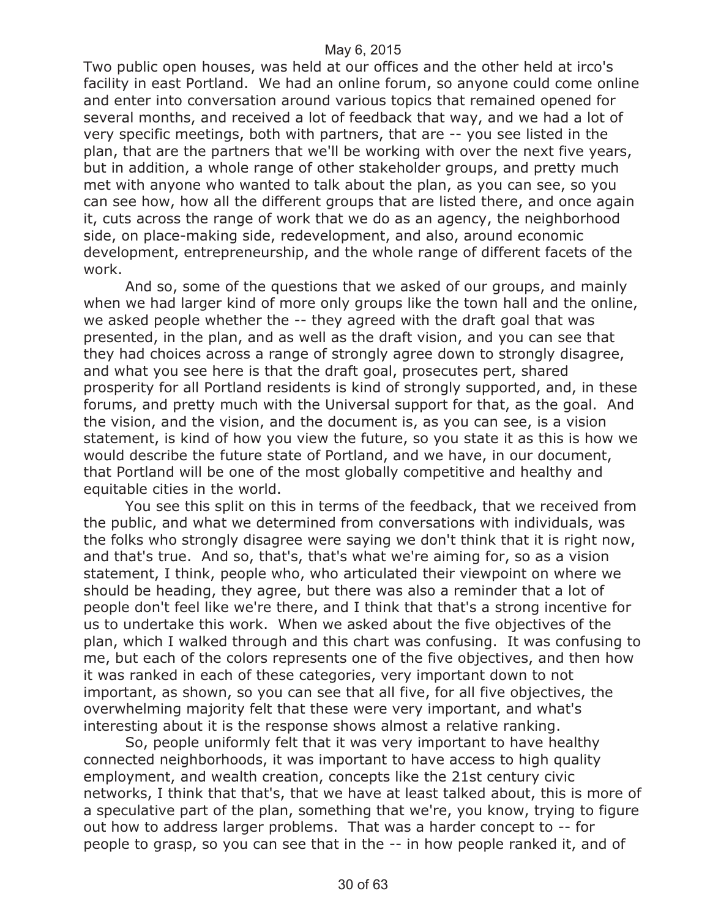Two public open houses, was held at our offices and the other held at irco's facility in east Portland. We had an online forum, so anyone could come online and enter into conversation around various topics that remained opened for several months, and received a lot of feedback that way, and we had a lot of very specific meetings, both with partners, that are -- you see listed in the plan, that are the partners that we'll be working with over the next five years, but in addition, a whole range of other stakeholder groups, and pretty much met with anyone who wanted to talk about the plan, as you can see, so you can see how, how all the different groups that are listed there, and once again it, cuts across the range of work that we do as an agency, the neighborhood side, on place-making side, redevelopment, and also, around economic development, entrepreneurship, and the whole range of different facets of the work.

And so, some of the questions that we asked of our groups, and mainly when we had larger kind of more only groups like the town hall and the online, we asked people whether the -- they agreed with the draft goal that was presented, in the plan, and as well as the draft vision, and you can see that they had choices across a range of strongly agree down to strongly disagree, and what you see here is that the draft goal, prosecutes pert, shared prosperity for all Portland residents is kind of strongly supported, and, in these forums, and pretty much with the Universal support for that, as the goal. And the vision, and the vision, and the document is, as you can see, is a vision statement, is kind of how you view the future, so you state it as this is how we would describe the future state of Portland, and we have, in our document, that Portland will be one of the most globally competitive and healthy and equitable cities in the world.

You see this split on this in terms of the feedback, that we received from the public, and what we determined from conversations with individuals, was the folks who strongly disagree were saying we don't think that it is right now, and that's true. And so, that's, that's what we're aiming for, so as a vision statement, I think, people who, who articulated their viewpoint on where we should be heading, they agree, but there was also a reminder that a lot of people don't feel like we're there, and I think that that's a strong incentive for us to undertake this work. When we asked about the five objectives of the plan, which I walked through and this chart was confusing. It was confusing to me, but each of the colors represents one of the five objectives, and then how it was ranked in each of these categories, very important down to not important, as shown, so you can see that all five, for all five objectives, the overwhelming majority felt that these were very important, and what's interesting about it is the response shows almost a relative ranking.

So, people uniformly felt that it was very important to have healthy connected neighborhoods, it was important to have access to high quality employment, and wealth creation, concepts like the 21st century civic networks, I think that that's, that we have at least talked about, this is more of a speculative part of the plan, something that we're, you know, trying to figure out how to address larger problems. That was a harder concept to -- for people to grasp, so you can see that in the -- in how people ranked it, and of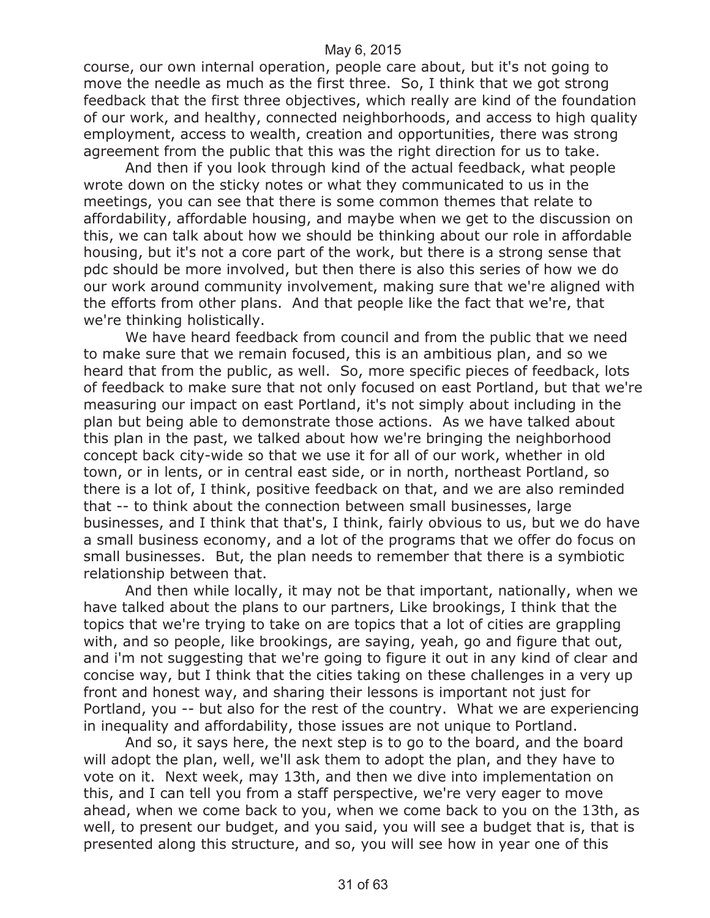course, our own internal operation, people care about, but it's not going to move the needle as much as the first three. So, I think that we got strong feedback that the first three objectives, which really are kind of the foundation of our work, and healthy, connected neighborhoods, and access to high quality employment, access to wealth, creation and opportunities, there was strong agreement from the public that this was the right direction for us to take.

And then if you look through kind of the actual feedback, what people wrote down on the sticky notes or what they communicated to us in the meetings, you can see that there is some common themes that relate to affordability, affordable housing, and maybe when we get to the discussion on this, we can talk about how we should be thinking about our role in affordable housing, but it's not a core part of the work, but there is a strong sense that pdc should be more involved, but then there is also this series of how we do our work around community involvement, making sure that we're aligned with the efforts from other plans. And that people like the fact that we're, that we're thinking holistically.

We have heard feedback from council and from the public that we need to make sure that we remain focused, this is an ambitious plan, and so we heard that from the public, as well. So, more specific pieces of feedback, lots of feedback to make sure that not only focused on east Portland, but that we're measuring our impact on east Portland, it's not simply about including in the plan but being able to demonstrate those actions. As we have talked about this plan in the past, we talked about how we're bringing the neighborhood concept back city-wide so that we use it for all of our work, whether in old town, or in lents, or in central east side, or in north, northeast Portland, so there is a lot of, I think, positive feedback on that, and we are also reminded that -- to think about the connection between small businesses, large businesses, and I think that that's, I think, fairly obvious to us, but we do have a small business economy, and a lot of the programs that we offer do focus on small businesses. But, the plan needs to remember that there is a symbiotic relationship between that.

And then while locally, it may not be that important, nationally, when we have talked about the plans to our partners, Like brookings, I think that the topics that we're trying to take on are topics that a lot of cities are grappling with, and so people, like brookings, are saying, yeah, go and figure that out, and i'm not suggesting that we're going to figure it out in any kind of clear and concise way, but I think that the cities taking on these challenges in a very up front and honest way, and sharing their lessons is important not just for Portland, you -- but also for the rest of the country. What we are experiencing in inequality and affordability, those issues are not unique to Portland.

And so, it says here, the next step is to go to the board, and the board will adopt the plan, well, we'll ask them to adopt the plan, and they have to vote on it. Next week, may 13th, and then we dive into implementation on this, and I can tell you from a staff perspective, we're very eager to move ahead, when we come back to you, when we come back to you on the 13th, as well, to present our budget, and you said, you will see a budget that is, that is presented along this structure, and so, you will see how in year one of this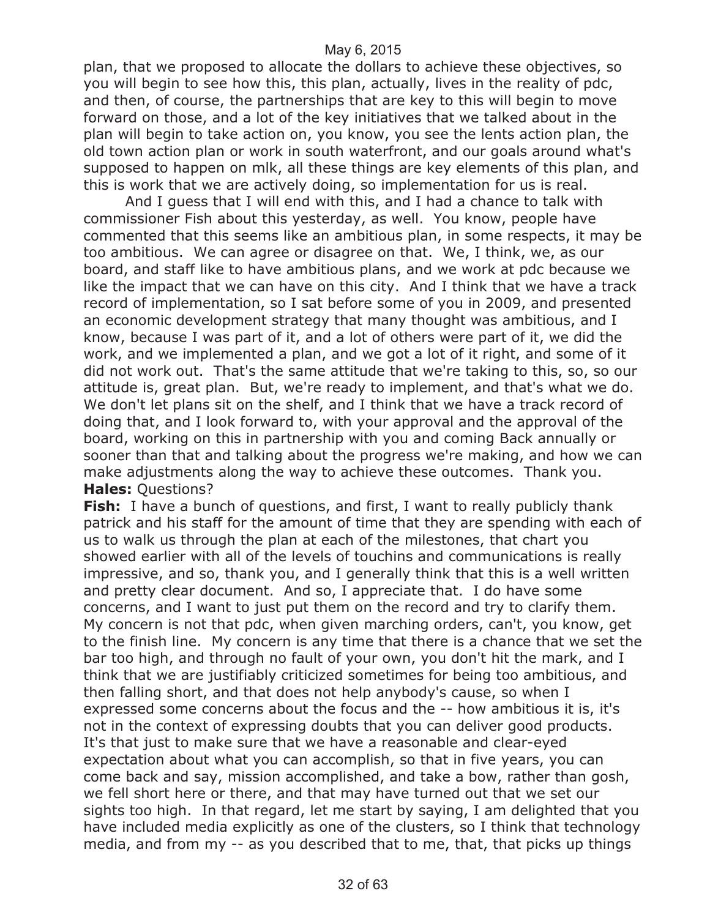plan, that we proposed to allocate the dollars to achieve these objectives, so you will begin to see how this, this plan, actually, lives in the reality of pdc, and then, of course, the partnerships that are key to this will begin to move forward on those, and a lot of the key initiatives that we talked about in the plan will begin to take action on, you know, you see the lents action plan, the old town action plan or work in south waterfront, and our goals around what's supposed to happen on mlk, all these things are key elements of this plan, and this is work that we are actively doing, so implementation for us is real.

And I guess that I will end with this, and I had a chance to talk with commissioner Fish about this yesterday, as well. You know, people have commented that this seems like an ambitious plan, in some respects, it may be too ambitious. We can agree or disagree on that. We, I think, we, as our board, and staff like to have ambitious plans, and we work at pdc because we like the impact that we can have on this city. And I think that we have a track record of implementation, so I sat before some of you in 2009, and presented an economic development strategy that many thought was ambitious, and I know, because I was part of it, and a lot of others were part of it, we did the work, and we implemented a plan, and we got a lot of it right, and some of it did not work out. That's the same attitude that we're taking to this, so, so our attitude is, great plan. But, we're ready to implement, and that's what we do. We don't let plans sit on the shelf, and I think that we have a track record of doing that, and I look forward to, with your approval and the approval of the board, working on this in partnership with you and coming Back annually or sooner than that and talking about the progress we're making, and how we can make adjustments along the way to achieve these outcomes. Thank you. **Hales:** Questions?

**Fish:** I have a bunch of questions, and first, I want to really publicly thank patrick and his staff for the amount of time that they are spending with each of us to walk us through the plan at each of the milestones, that chart you showed earlier with all of the levels of touchins and communications is really impressive, and so, thank you, and I generally think that this is a well written and pretty clear document. And so, I appreciate that. I do have some concerns, and I want to just put them on the record and try to clarify them. My concern is not that pdc, when given marching orders, can't, you know, get to the finish line. My concern is any time that there is a chance that we set the bar too high, and through no fault of your own, you don't hit the mark, and I think that we are justifiably criticized sometimes for being too ambitious, and then falling short, and that does not help anybody's cause, so when I expressed some concerns about the focus and the -- how ambitious it is, it's not in the context of expressing doubts that you can deliver good products. It's that just to make sure that we have a reasonable and clear-eyed expectation about what you can accomplish, so that in five years, you can come back and say, mission accomplished, and take a bow, rather than gosh, we fell short here or there, and that may have turned out that we set our sights too high. In that regard, let me start by saying, I am delighted that you have included media explicitly as one of the clusters, so I think that technology media, and from my -- as you described that to me, that, that picks up things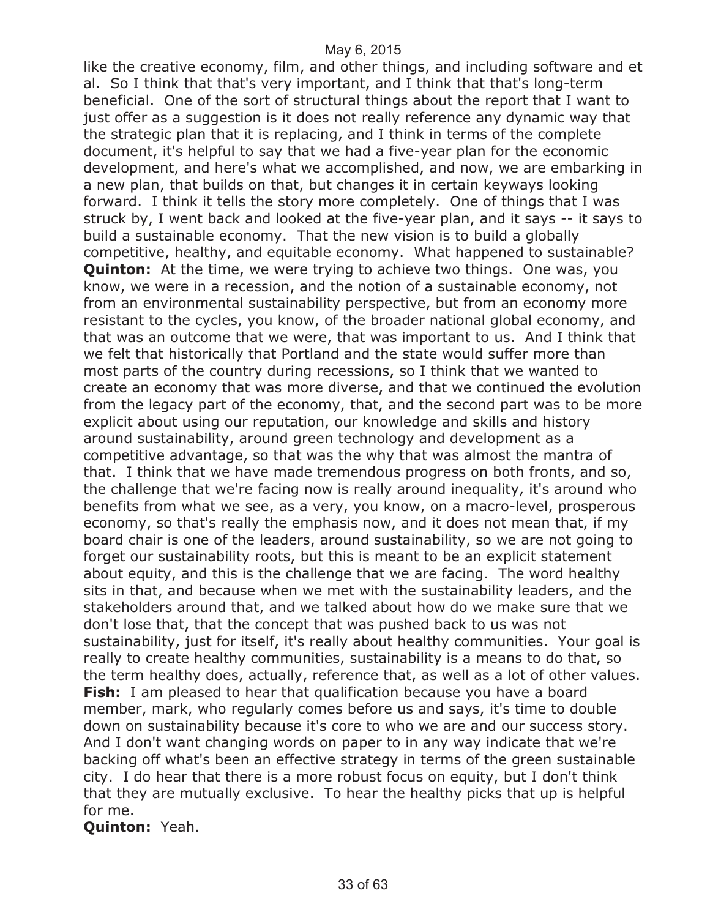like the creative economy, film, and other things, and including software and et al. So I think that that's very important, and I think that that's long-term beneficial. One of the sort of structural things about the report that I want to just offer as a suggestion is it does not really reference any dynamic way that the strategic plan that it is replacing, and I think in terms of the complete document, it's helpful to say that we had a five-year plan for the economic development, and here's what we accomplished, and now, we are embarking in a new plan, that builds on that, but changes it in certain keyways looking forward. I think it tells the story more completely. One of things that I was struck by, I went back and looked at the five-year plan, and it says -- it says to build a sustainable economy. That the new vision is to build a globally competitive, healthy, and equitable economy. What happened to sustainable? **Quinton:** At the time, we were trying to achieve two things. One was, you know, we were in a recession, and the notion of a sustainable economy, not from an environmental sustainability perspective, but from an economy more resistant to the cycles, you know, of the broader national global economy, and that was an outcome that we were, that was important to us. And I think that we felt that historically that Portland and the state would suffer more than most parts of the country during recessions, so I think that we wanted to create an economy that was more diverse, and that we continued the evolution from the legacy part of the economy, that, and the second part was to be more explicit about using our reputation, our knowledge and skills and history around sustainability, around green technology and development as a competitive advantage, so that was the why that was almost the mantra of that. I think that we have made tremendous progress on both fronts, and so, the challenge that we're facing now is really around inequality, it's around who benefits from what we see, as a very, you know, on a macro-level, prosperous economy, so that's really the emphasis now, and it does not mean that, if my board chair is one of the leaders, around sustainability, so we are not going to forget our sustainability roots, but this is meant to be an explicit statement about equity, and this is the challenge that we are facing. The word healthy sits in that, and because when we met with the sustainability leaders, and the stakeholders around that, and we talked about how do we make sure that we don't lose that, that the concept that was pushed back to us was not sustainability, just for itself, it's really about healthy communities. Your goal is really to create healthy communities, sustainability is a means to do that, so the term healthy does, actually, reference that, as well as a lot of other values. **Fish:** I am pleased to hear that qualification because you have a board member, mark, who regularly comes before us and says, it's time to double down on sustainability because it's core to who we are and our success story. And I don't want changing words on paper to in any way indicate that we're backing off what's been an effective strategy in terms of the green sustainable city. I do hear that there is a more robust focus on equity, but I don't think that they are mutually exclusive. To hear the healthy picks that up is helpful for me.

**Quinton:** Yeah.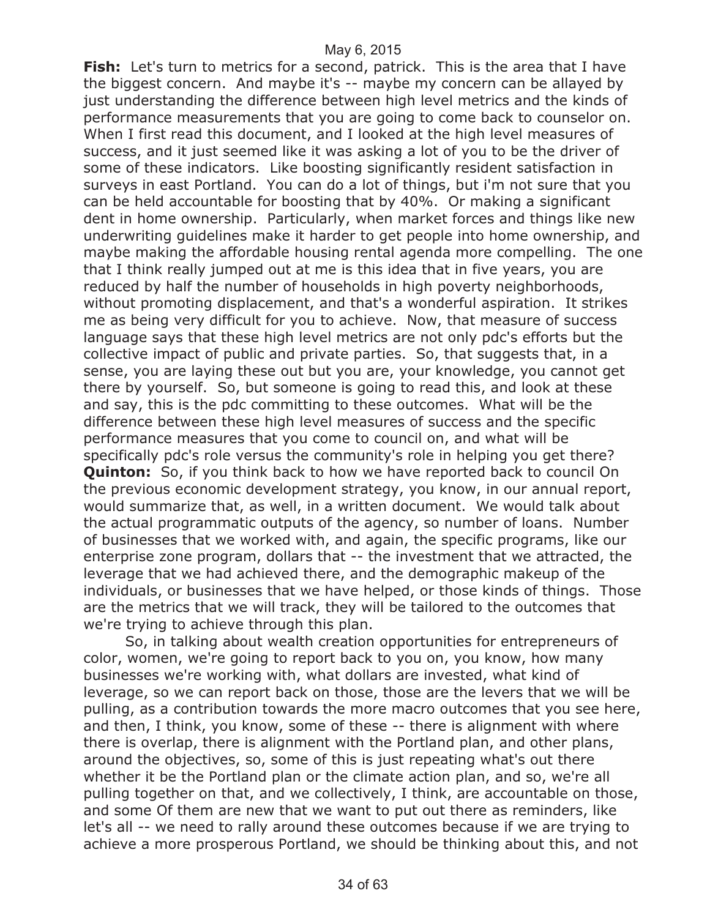**Fish:** Let's turn to metrics for a second, patrick. This is the area that I have the biggest concern. And maybe it's -- maybe my concern can be allayed by just understanding the difference between high level metrics and the kinds of performance measurements that you are going to come back to counselor on. When I first read this document, and I looked at the high level measures of success, and it just seemed like it was asking a lot of you to be the driver of some of these indicators. Like boosting significantly resident satisfaction in surveys in east Portland. You can do a lot of things, but i'm not sure that you can be held accountable for boosting that by 40%. Or making a significant dent in home ownership. Particularly, when market forces and things like new underwriting guidelines make it harder to get people into home ownership, and maybe making the affordable housing rental agenda more compelling. The one that I think really jumped out at me is this idea that in five years, you are reduced by half the number of households in high poverty neighborhoods, without promoting displacement, and that's a wonderful aspiration. It strikes me as being very difficult for you to achieve. Now, that measure of success language says that these high level metrics are not only pdc's efforts but the collective impact of public and private parties. So, that suggests that, in a sense, you are laying these out but you are, your knowledge, you cannot get there by yourself. So, but someone is going to read this, and look at these and say, this is the pdc committing to these outcomes. What will be the difference between these high level measures of success and the specific performance measures that you come to council on, and what will be specifically pdc's role versus the community's role in helping you get there? **Quinton:** So, if you think back to how we have reported back to council On the previous economic development strategy, you know, in our annual report, would summarize that, as well, in a written document. We would talk about the actual programmatic outputs of the agency, so number of loans. Number of businesses that we worked with, and again, the specific programs, like our enterprise zone program, dollars that -- the investment that we attracted, the leverage that we had achieved there, and the demographic makeup of the individuals, or businesses that we have helped, or those kinds of things. Those are the metrics that we will track, they will be tailored to the outcomes that we're trying to achieve through this plan.

So, in talking about wealth creation opportunities for entrepreneurs of color, women, we're going to report back to you on, you know, how many businesses we're working with, what dollars are invested, what kind of leverage, so we can report back on those, those are the levers that we will be pulling, as a contribution towards the more macro outcomes that you see here, and then, I think, you know, some of these -- there is alignment with where there is overlap, there is alignment with the Portland plan, and other plans, around the objectives, so, some of this is just repeating what's out there whether it be the Portland plan or the climate action plan, and so, we're all pulling together on that, and we collectively, I think, are accountable on those, and some Of them are new that we want to put out there as reminders, like let's all -- we need to rally around these outcomes because if we are trying to achieve a more prosperous Portland, we should be thinking about this, and not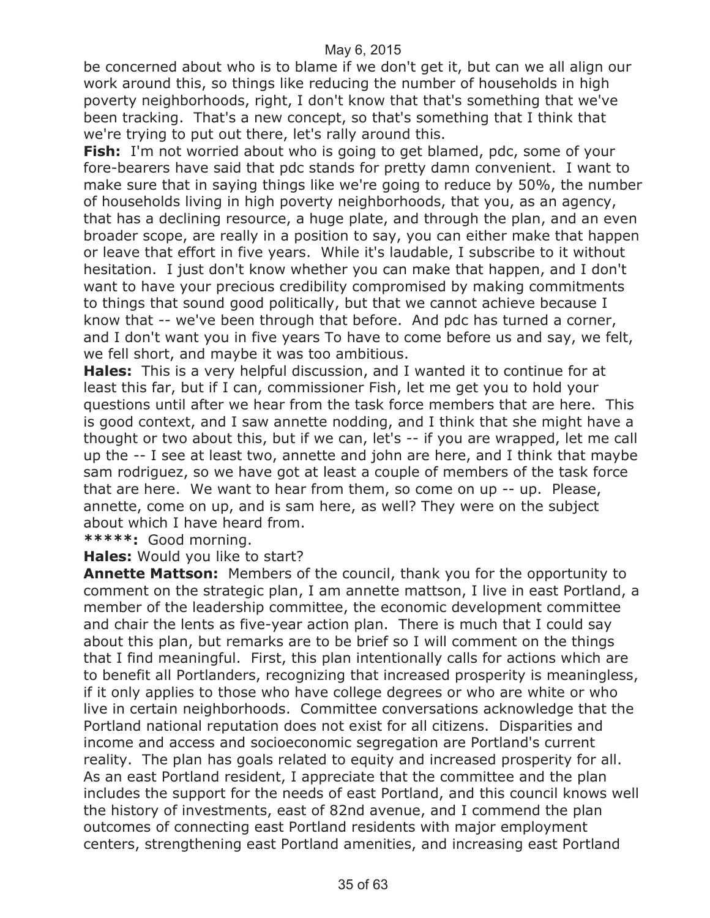be concerned about who is to blame if we don't get it, but can we all align our work around this, so things like reducing the number of households in high poverty neighborhoods, right, I don't know that that's something that we've been tracking. That's a new concept, so that's something that I think that we're trying to put out there, let's rally around this.

**Fish:** I'm not worried about who is going to get blamed, pdc, some of your fore-bearers have said that pdc stands for pretty damn convenient. I want to make sure that in saying things like we're going to reduce by 50%, the number of households living in high poverty neighborhoods, that you, as an agency, that has a declining resource, a huge plate, and through the plan, and an even broader scope, are really in a position to say, you can either make that happen or leave that effort in five years. While it's laudable, I subscribe to it without hesitation. I just don't know whether you can make that happen, and I don't want to have your precious credibility compromised by making commitments to things that sound good politically, but that we cannot achieve because I know that -- we've been through that before. And pdc has turned a corner, and I don't want you in five years To have to come before us and say, we felt, we fell short, and maybe it was too ambitious.

**Hales:** This is a very helpful discussion, and I wanted it to continue for at least this far, but if I can, commissioner Fish, let me get you to hold your questions until after we hear from the task force members that are here. This is good context, and I saw annette nodding, and I think that she might have a thought or two about this, but if we can, let's -- if you are wrapped, let me call up the -- I see at least two, annette and john are here, and I think that maybe sam rodriguez, so we have got at least a couple of members of the task force that are here. We want to hear from them, so come on up -- up. Please, annette, come on up, and is sam here, as well? They were on the subject about which I have heard from.

**\*\*\*\*\*:** Good morning.

**Hales:** Would you like to start?

**Annette Mattson:** Members of the council, thank you for the opportunity to comment on the strategic plan, I am annette mattson, I live in east Portland, a member of the leadership committee, the economic development committee and chair the lents as five-year action plan. There is much that I could say about this plan, but remarks are to be brief so I will comment on the things that I find meaningful. First, this plan intentionally calls for actions which are to benefit all Portlanders, recognizing that increased prosperity is meaningless, if it only applies to those who have college degrees or who are white or who live in certain neighborhoods. Committee conversations acknowledge that the Portland national reputation does not exist for all citizens. Disparities and income and access and socioeconomic segregation are Portland's current reality. The plan has goals related to equity and increased prosperity for all. As an east Portland resident, I appreciate that the committee and the plan includes the support for the needs of east Portland, and this council knows well the history of investments, east of 82nd avenue, and I commend the plan outcomes of connecting east Portland residents with major employment centers, strengthening east Portland amenities, and increasing east Portland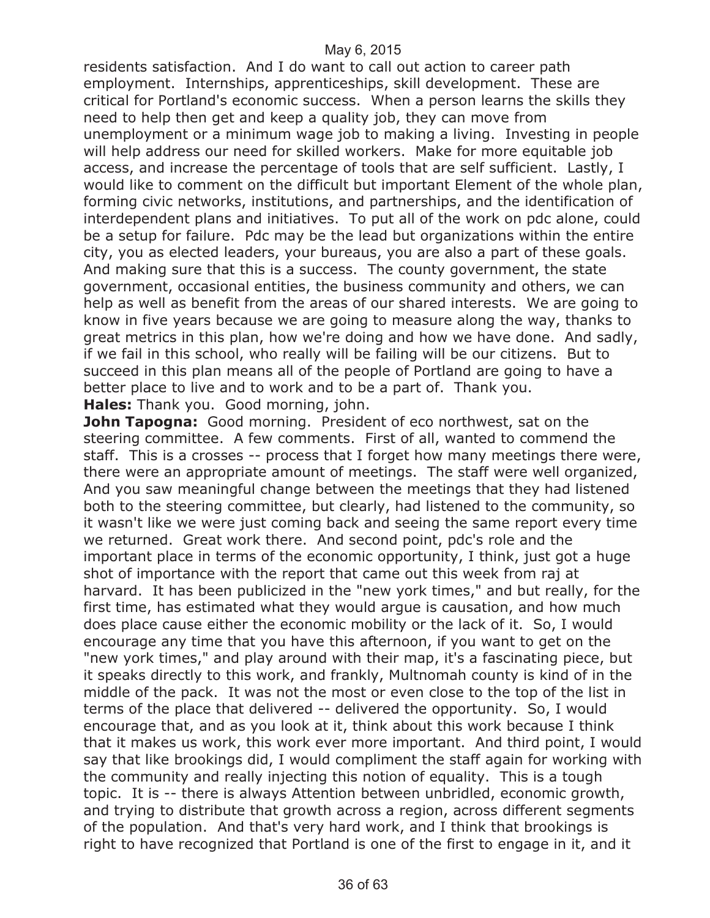residents satisfaction. And I do want to call out action to career path employment. Internships, apprenticeships, skill development. These are critical for Portland's economic success. When a person learns the skills they need to help then get and keep a quality job, they can move from unemployment or a minimum wage job to making a living. Investing in people will help address our need for skilled workers. Make for more equitable job access, and increase the percentage of tools that are self sufficient. Lastly, I would like to comment on the difficult but important Element of the whole plan, forming civic networks, institutions, and partnerships, and the identification of interdependent plans and initiatives. To put all of the work on pdc alone, could be a setup for failure. Pdc may be the lead but organizations within the entire city, you as elected leaders, your bureaus, you are also a part of these goals. And making sure that this is a success. The county government, the state government, occasional entities, the business community and others, we can help as well as benefit from the areas of our shared interests. We are going to know in five years because we are going to measure along the way, thanks to great metrics in this plan, how we're doing and how we have done. And sadly, if we fail in this school, who really will be failing will be our citizens. But to succeed in this plan means all of the people of Portland are going to have a better place to live and to work and to be a part of. Thank you.

**Hales:** Thank you. Good morning, john.

**John Tapogna:** Good morning. President of eco northwest, sat on the steering committee. A few comments. First of all, wanted to commend the staff. This is a crosses -- process that I forget how many meetings there were, there were an appropriate amount of meetings. The staff were well organized, And you saw meaningful change between the meetings that they had listened both to the steering committee, but clearly, had listened to the community, so it wasn't like we were just coming back and seeing the same report every time we returned. Great work there. And second point, pdc's role and the important place in terms of the economic opportunity, I think, just got a huge shot of importance with the report that came out this week from raj at harvard. It has been publicized in the "new york times," and but really, for the first time, has estimated what they would argue is causation, and how much does place cause either the economic mobility or the lack of it. So, I would encourage any time that you have this afternoon, if you want to get on the "new york times," and play around with their map, it's a fascinating piece, but it speaks directly to this work, and frankly, Multnomah county is kind of in the middle of the pack. It was not the most or even close to the top of the list in terms of the place that delivered -- delivered the opportunity. So, I would encourage that, and as you look at it, think about this work because I think that it makes us work, this work ever more important. And third point, I would say that like brookings did, I would compliment the staff again for working with the community and really injecting this notion of equality. This is a tough topic. It is -- there is always Attention between unbridled, economic growth, and trying to distribute that growth across a region, across different segments of the population. And that's very hard work, and I think that brookings is right to have recognized that Portland is one of the first to engage in it, and it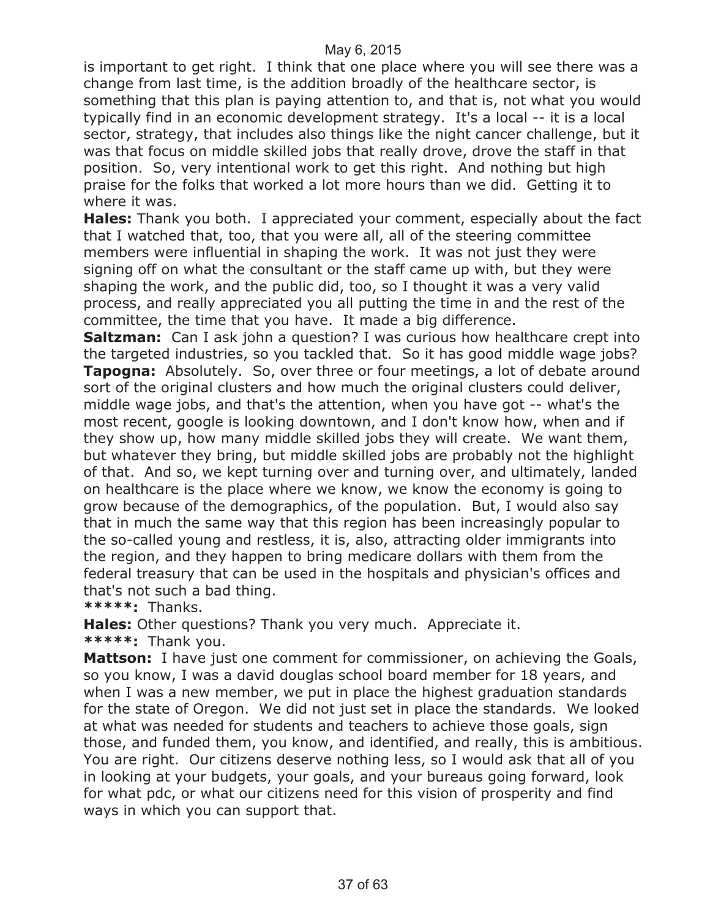is important to get right. I think that one place where you will see there was a change from last time, is the addition broadly of the healthcare sector, is something that this plan is paying attention to, and that is, not what you would typically find in an economic development strategy. It's a local -- it is a local sector, strategy, that includes also things like the night cancer challenge, but it was that focus on middle skilled jobs that really drove, drove the staff in that position. So, very intentional work to get this right. And nothing but high praise for the folks that worked a lot more hours than we did. Getting it to where it was.

**Hales:** Thank you both. I appreciated your comment, especially about the fact that I watched that, too, that you were all, all of the steering committee members were influential in shaping the work. It was not just they were signing off on what the consultant or the staff came up with, but they were shaping the work, and the public did, too, so I thought it was a very valid process, and really appreciated you all putting the time in and the rest of the committee, the time that you have. It made a big difference.

**Saltzman:** Can I ask john a question? I was curious how healthcare crept into the targeted industries, so you tackled that. So it has good middle wage jobs? **Tapogna:** Absolutely. So, over three or four meetings, a lot of debate around sort of the original clusters and how much the original clusters could deliver, middle wage jobs, and that's the attention, when you have got -- what's the most recent, google is looking downtown, and I don't know how, when and if they show up, how many middle skilled jobs they will create. We want them, but whatever they bring, but middle skilled jobs are probably not the highlight of that. And so, we kept turning over and turning over, and ultimately, landed on healthcare is the place where we know, we know the economy is going to grow because of the demographics, of the population. But, I would also say that in much the same way that this region has been increasingly popular to the so-called young and restless, it is, also, attracting older immigrants into the region, and they happen to bring medicare dollars with them from the federal treasury that can be used in the hospitals and physician's offices and that's not such a bad thing.

**\*\*\*\*\*:** Thanks.

**Hales:** Other questions? Thank you very much. Appreciate it. **\*\*\*\*\*:** Thank you.

**Mattson:** I have just one comment for commissioner, on achieving the Goals, so you know, I was a david douglas school board member for 18 years, and when I was a new member, we put in place the highest graduation standards for the state of Oregon. We did not just set in place the standards. We looked at what was needed for students and teachers to achieve those goals, sign those, and funded them, you know, and identified, and really, this is ambitious. You are right. Our citizens deserve nothing less, so I would ask that all of you in looking at your budgets, your goals, and your bureaus going forward, look for what pdc, or what our citizens need for this vision of prosperity and find ways in which you can support that.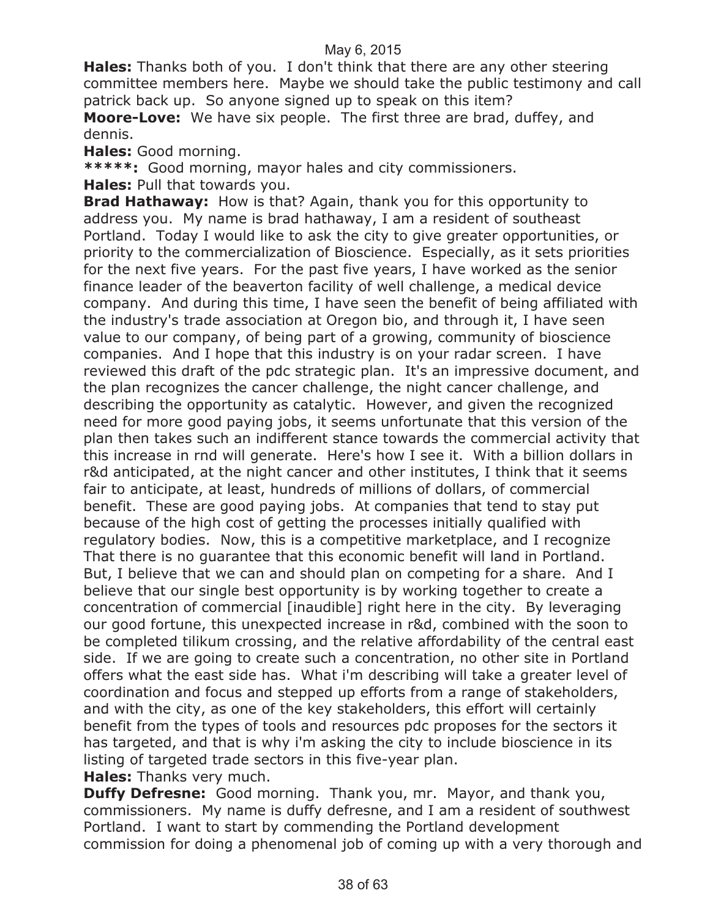**Hales:** Thanks both of you. I don't think that there are any other steering committee members here. Maybe we should take the public testimony and call patrick back up. So anyone signed up to speak on this item?

**Moore-Love:** We have six people. The first three are brad, duffey, and dennis.

**Hales:** Good morning.

**\*\*\*\*\*:** Good morning, mayor hales and city commissioners.

**Hales:** Pull that towards you.

**Brad Hathaway:** How is that? Again, thank you for this opportunity to address you. My name is brad hathaway, I am a resident of southeast Portland. Today I would like to ask the city to give greater opportunities, or priority to the commercialization of Bioscience. Especially, as it sets priorities for the next five years. For the past five years, I have worked as the senior finance leader of the beaverton facility of well challenge, a medical device company. And during this time, I have seen the benefit of being affiliated with the industry's trade association at Oregon bio, and through it, I have seen value to our company, of being part of a growing, community of bioscience companies. And I hope that this industry is on your radar screen. I have reviewed this draft of the pdc strategic plan. It's an impressive document, and the plan recognizes the cancer challenge, the night cancer challenge, and describing the opportunity as catalytic. However, and given the recognized need for more good paying jobs, it seems unfortunate that this version of the plan then takes such an indifferent stance towards the commercial activity that this increase in rnd will generate. Here's how I see it. With a billion dollars in r&d anticipated, at the night cancer and other institutes, I think that it seems fair to anticipate, at least, hundreds of millions of dollars, of commercial benefit. These are good paying jobs. At companies that tend to stay put because of the high cost of getting the processes initially qualified with regulatory bodies. Now, this is a competitive marketplace, and I recognize That there is no guarantee that this economic benefit will land in Portland. But, I believe that we can and should plan on competing for a share. And I believe that our single best opportunity is by working together to create a concentration of commercial [inaudible] right here in the city. By leveraging our good fortune, this unexpected increase in r&d, combined with the soon to be completed tilikum crossing, and the relative affordability of the central east side. If we are going to create such a concentration, no other site in Portland offers what the east side has. What i'm describing will take a greater level of coordination and focus and stepped up efforts from a range of stakeholders, and with the city, as one of the key stakeholders, this effort will certainly benefit from the types of tools and resources pdc proposes for the sectors it has targeted, and that is why i'm asking the city to include bioscience in its listing of targeted trade sectors in this five-year plan.

**Hales:** Thanks very much.

**Duffy Defresne:** Good morning. Thank you, mr. Mayor, and thank you, commissioners. My name is duffy defresne, and I am a resident of southwest Portland. I want to start by commending the Portland development commission for doing a phenomenal job of coming up with a very thorough and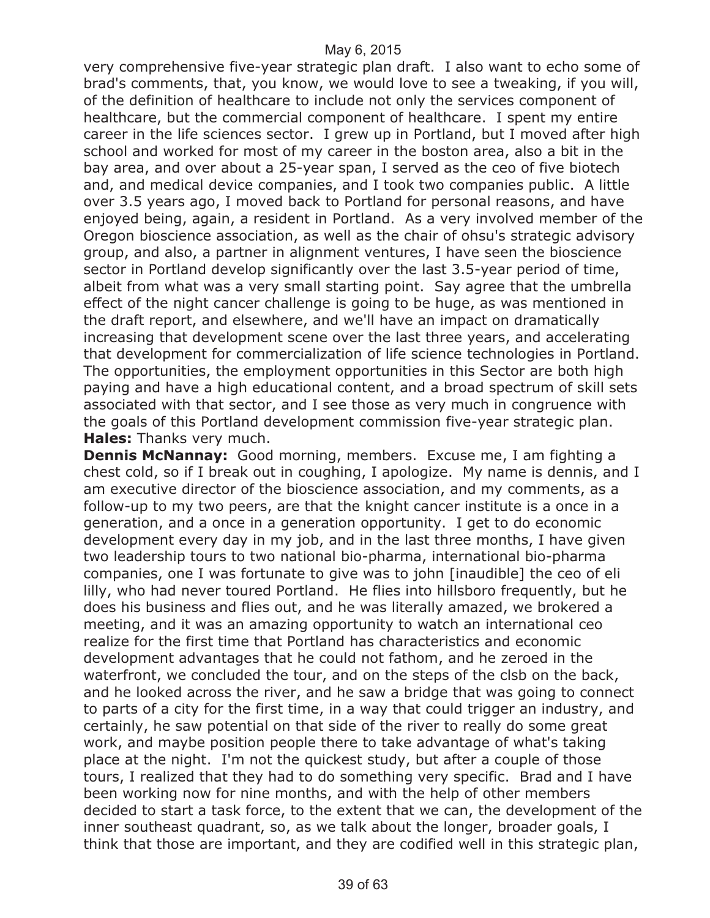very comprehensive five-year strategic plan draft. I also want to echo some of brad's comments, that, you know, we would love to see a tweaking, if you will, of the definition of healthcare to include not only the services component of healthcare, but the commercial component of healthcare. I spent my entire career in the life sciences sector. I grew up in Portland, but I moved after high school and worked for most of my career in the boston area, also a bit in the bay area, and over about a 25-year span, I served as the ceo of five biotech and, and medical device companies, and I took two companies public. A little over 3.5 years ago, I moved back to Portland for personal reasons, and have enjoyed being, again, a resident in Portland. As a very involved member of the Oregon bioscience association, as well as the chair of ohsu's strategic advisory group, and also, a partner in alignment ventures, I have seen the bioscience sector in Portland develop significantly over the last 3.5-year period of time, albeit from what was a very small starting point. Say agree that the umbrella effect of the night cancer challenge is going to be huge, as was mentioned in the draft report, and elsewhere, and we'll have an impact on dramatically increasing that development scene over the last three years, and accelerating that development for commercialization of life science technologies in Portland. The opportunities, the employment opportunities in this Sector are both high paying and have a high educational content, and a broad spectrum of skill sets associated with that sector, and I see those as very much in congruence with the goals of this Portland development commission five-year strategic plan. **Hales:** Thanks very much.

**Dennis McNannay:** Good morning, members. Excuse me, I am fighting a chest cold, so if I break out in coughing, I apologize. My name is dennis, and I am executive director of the bioscience association, and my comments, as a follow-up to my two peers, are that the knight cancer institute is a once in a generation, and a once in a generation opportunity. I get to do economic development every day in my job, and in the last three months, I have given two leadership tours to two national bio-pharma, international bio-pharma companies, one I was fortunate to give was to john [inaudible] the ceo of eli lilly, who had never toured Portland. He flies into hillsboro frequently, but he does his business and flies out, and he was literally amazed, we brokered a meeting, and it was an amazing opportunity to watch an international ceo realize for the first time that Portland has characteristics and economic development advantages that he could not fathom, and he zeroed in the waterfront, we concluded the tour, and on the steps of the clsb on the back, and he looked across the river, and he saw a bridge that was going to connect to parts of a city for the first time, in a way that could trigger an industry, and certainly, he saw potential on that side of the river to really do some great work, and maybe position people there to take advantage of what's taking place at the night. I'm not the quickest study, but after a couple of those tours, I realized that they had to do something very specific. Brad and I have been working now for nine months, and with the help of other members decided to start a task force, to the extent that we can, the development of the inner southeast quadrant, so, as we talk about the longer, broader goals, I think that those are important, and they are codified well in this strategic plan,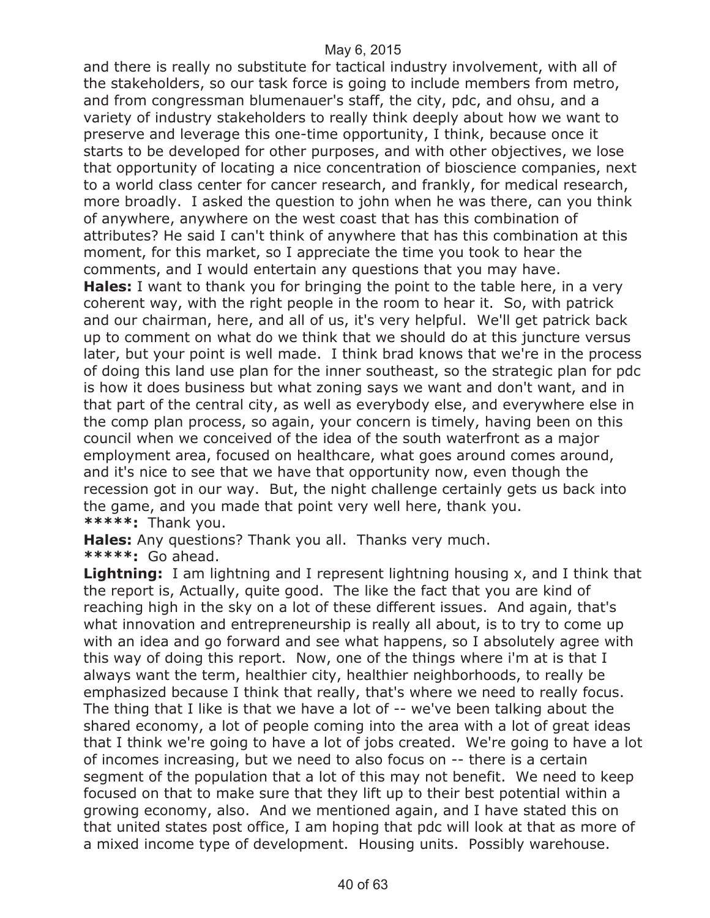and there is really no substitute for tactical industry involvement, with all of the stakeholders, so our task force is going to include members from metro, and from congressman blumenauer's staff, the city, pdc, and ohsu, and a variety of industry stakeholders to really think deeply about how we want to preserve and leverage this one-time opportunity, I think, because once it starts to be developed for other purposes, and with other objectives, we lose that opportunity of locating a nice concentration of bioscience companies, next to a world class center for cancer research, and frankly, for medical research, more broadly. I asked the question to john when he was there, can you think of anywhere, anywhere on the west coast that has this combination of attributes? He said I can't think of anywhere that has this combination at this moment, for this market, so I appreciate the time you took to hear the comments, and I would entertain any questions that you may have.

**Hales:** I want to thank you for bringing the point to the table here, in a very coherent way, with the right people in the room to hear it. So, with patrick and our chairman, here, and all of us, it's very helpful. We'll get patrick back up to comment on what do we think that we should do at this juncture versus later, but your point is well made. I think brad knows that we're in the process of doing this land use plan for the inner southeast, so the strategic plan for pdc is how it does business but what zoning says we want and don't want, and in that part of the central city, as well as everybody else, and everywhere else in the comp plan process, so again, your concern is timely, having been on this council when we conceived of the idea of the south waterfront as a major employment area, focused on healthcare, what goes around comes around, and it's nice to see that we have that opportunity now, even though the recession got in our way. But, the night challenge certainly gets us back into the game, and you made that point very well here, thank you. **\*\*\*\*\*:** Thank you.

**Hales:** Any questions? Thank you all. Thanks very much. **\*\*\*\*\*:** Go ahead.

**Lightning:** I am lightning and I represent lightning housing x, and I think that the report is, Actually, quite good. The like the fact that you are kind of reaching high in the sky on a lot of these different issues. And again, that's what innovation and entrepreneurship is really all about, is to try to come up with an idea and go forward and see what happens, so I absolutely agree with this way of doing this report. Now, one of the things where i'm at is that I always want the term, healthier city, healthier neighborhoods, to really be emphasized because I think that really, that's where we need to really focus. The thing that I like is that we have a lot of -- we've been talking about the shared economy, a lot of people coming into the area with a lot of great ideas that I think we're going to have a lot of jobs created. We're going to have a lot of incomes increasing, but we need to also focus on -- there is a certain segment of the population that a lot of this may not benefit. We need to keep focused on that to make sure that they lift up to their best potential within a growing economy, also. And we mentioned again, and I have stated this on that united states post office, I am hoping that pdc will look at that as more of a mixed income type of development. Housing units. Possibly warehouse.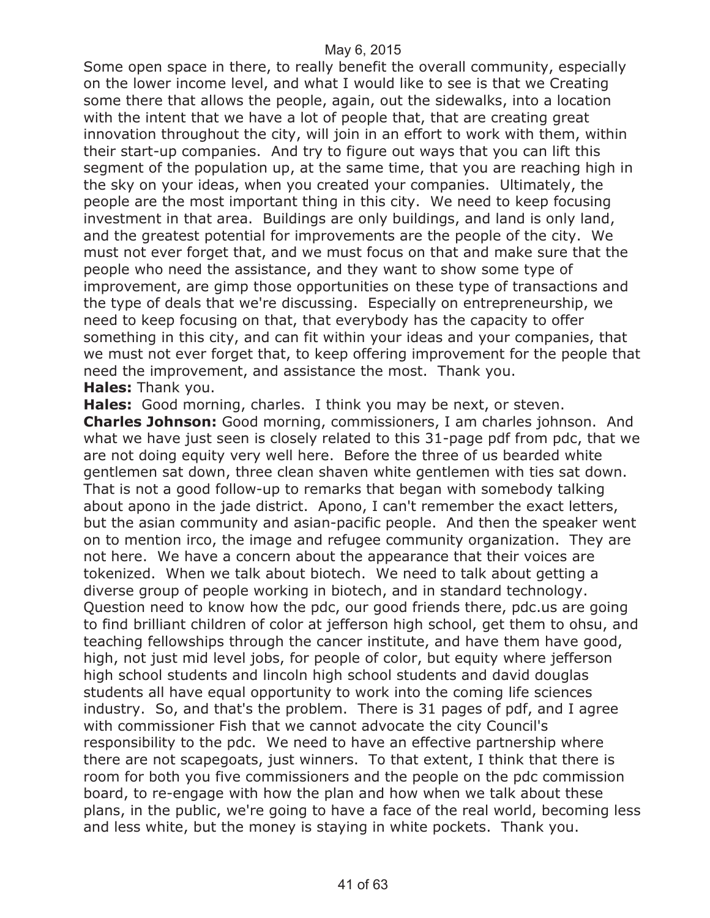Some open space in there, to really benefit the overall community, especially on the lower income level, and what I would like to see is that we Creating some there that allows the people, again, out the sidewalks, into a location with the intent that we have a lot of people that, that are creating great innovation throughout the city, will join in an effort to work with them, within their start-up companies. And try to figure out ways that you can lift this segment of the population up, at the same time, that you are reaching high in the sky on your ideas, when you created your companies. Ultimately, the people are the most important thing in this city. We need to keep focusing investment in that area. Buildings are only buildings, and land is only land, and the greatest potential for improvements are the people of the city. We must not ever forget that, and we must focus on that and make sure that the people who need the assistance, and they want to show some type of improvement, are gimp those opportunities on these type of transactions and the type of deals that we're discussing. Especially on entrepreneurship, we need to keep focusing on that, that everybody has the capacity to offer something in this city, and can fit within your ideas and your companies, that we must not ever forget that, to keep offering improvement for the people that need the improvement, and assistance the most. Thank you. **Hales:** Thank you.

**Hales:** Good morning, charles. I think you may be next, or steven. **Charles Johnson:** Good morning, commissioners, I am charles johnson. And what we have just seen is closely related to this 31-page pdf from pdc, that we are not doing equity very well here. Before the three of us bearded white gentlemen sat down, three clean shaven white gentlemen with ties sat down. That is not a good follow-up to remarks that began with somebody talking about apono in the jade district. Apono, I can't remember the exact letters, but the asian community and asian-pacific people. And then the speaker went on to mention irco, the image and refugee community organization. They are not here. We have a concern about the appearance that their voices are tokenized. When we talk about biotech. We need to talk about getting a diverse group of people working in biotech, and in standard technology. Question need to know how the pdc, our good friends there, pdc.us are going to find brilliant children of color at jefferson high school, get them to ohsu, and teaching fellowships through the cancer institute, and have them have good, high, not just mid level jobs, for people of color, but equity where jefferson high school students and lincoln high school students and david douglas students all have equal opportunity to work into the coming life sciences industry. So, and that's the problem. There is 31 pages of pdf, and I agree with commissioner Fish that we cannot advocate the city Council's responsibility to the pdc. We need to have an effective partnership where there are not scapegoats, just winners. To that extent, I think that there is room for both you five commissioners and the people on the pdc commission board, to re-engage with how the plan and how when we talk about these plans, in the public, we're going to have a face of the real world, becoming less and less white, but the money is staying in white pockets. Thank you.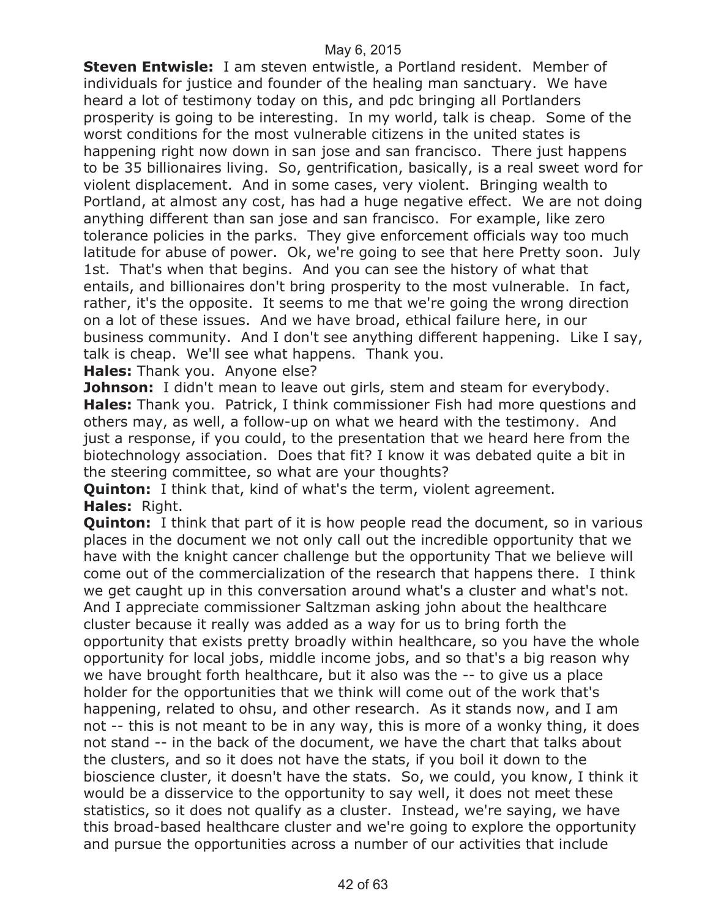**Steven Entwisle:** I am steven entwistle, a Portland resident. Member of individuals for justice and founder of the healing man sanctuary. We have heard a lot of testimony today on this, and pdc bringing all Portlanders prosperity is going to be interesting. In my world, talk is cheap. Some of the worst conditions for the most vulnerable citizens in the united states is happening right now down in san jose and san francisco. There just happens to be 35 billionaires living. So, gentrification, basically, is a real sweet word for violent displacement. And in some cases, very violent. Bringing wealth to Portland, at almost any cost, has had a huge negative effect. We are not doing anything different than san jose and san francisco. For example, like zero tolerance policies in the parks. They give enforcement officials way too much latitude for abuse of power. Ok, we're going to see that here Pretty soon. July 1st. That's when that begins. And you can see the history of what that entails, and billionaires don't bring prosperity to the most vulnerable. In fact, rather, it's the opposite. It seems to me that we're going the wrong direction on a lot of these issues. And we have broad, ethical failure here, in our business community. And I don't see anything different happening. Like I say, talk is cheap. We'll see what happens. Thank you.

**Hales:** Thank you. Anyone else?

**Johnson:** I didn't mean to leave out girls, stem and steam for everybody. **Hales:** Thank you. Patrick, I think commissioner Fish had more questions and others may, as well, a follow-up on what we heard with the testimony. And just a response, if you could, to the presentation that we heard here from the biotechnology association. Does that fit? I know it was debated quite a bit in the steering committee, so what are your thoughts?

**Quinton:** I think that, kind of what's the term, violent agreement. **Hales:** Right.

**Quinton:** I think that part of it is how people read the document, so in various places in the document we not only call out the incredible opportunity that we have with the knight cancer challenge but the opportunity That we believe will come out of the commercialization of the research that happens there. I think we get caught up in this conversation around what's a cluster and what's not. And I appreciate commissioner Saltzman asking john about the healthcare cluster because it really was added as a way for us to bring forth the opportunity that exists pretty broadly within healthcare, so you have the whole opportunity for local jobs, middle income jobs, and so that's a big reason why we have brought forth healthcare, but it also was the -- to give us a place holder for the opportunities that we think will come out of the work that's happening, related to ohsu, and other research. As it stands now, and I am not -- this is not meant to be in any way, this is more of a wonky thing, it does not stand -- in the back of the document, we have the chart that talks about the clusters, and so it does not have the stats, if you boil it down to the bioscience cluster, it doesn't have the stats. So, we could, you know, I think it would be a disservice to the opportunity to say well, it does not meet these statistics, so it does not qualify as a cluster. Instead, we're saying, we have this broad-based healthcare cluster and we're going to explore the opportunity and pursue the opportunities across a number of our activities that include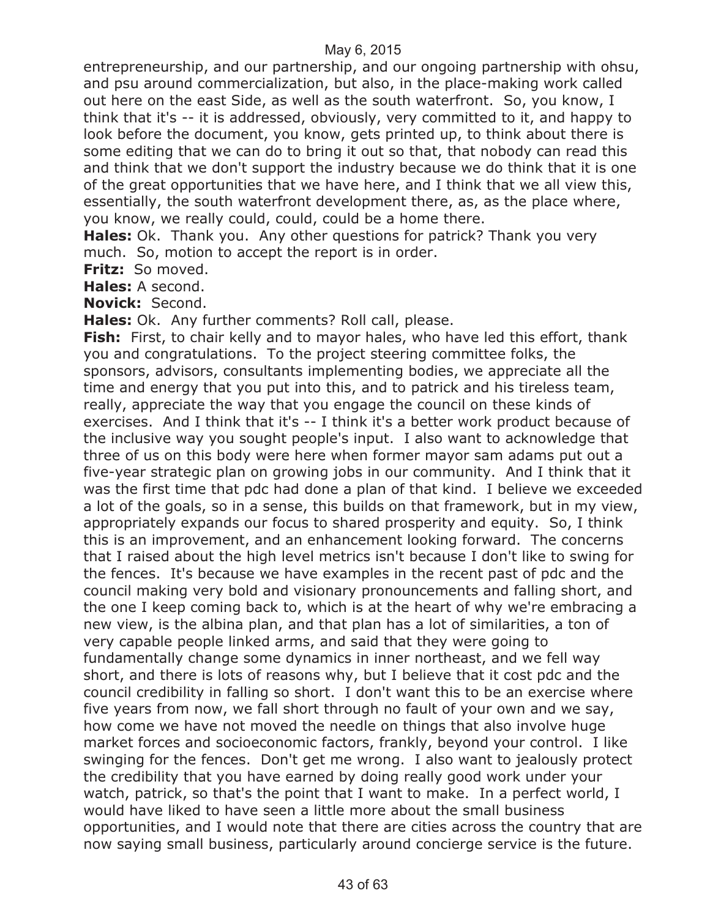entrepreneurship, and our partnership, and our ongoing partnership with ohsu, and psu around commercialization, but also, in the place-making work called out here on the east Side, as well as the south waterfront. So, you know, I think that it's -- it is addressed, obviously, very committed to it, and happy to look before the document, you know, gets printed up, to think about there is some editing that we can do to bring it out so that, that nobody can read this and think that we don't support the industry because we do think that it is one of the great opportunities that we have here, and I think that we all view this, essentially, the south waterfront development there, as, as the place where, you know, we really could, could, could be a home there.

**Hales:** Ok. Thank you. Any other questions for patrick? Thank you very much. So, motion to accept the report is in order.

**Fritz:** So moved.

**Hales:** A second.

**Novick:** Second.

**Hales:** Ok. Any further comments? Roll call, please.

**Fish:** First, to chair kelly and to mayor hales, who have led this effort, thank you and congratulations. To the project steering committee folks, the sponsors, advisors, consultants implementing bodies, we appreciate all the time and energy that you put into this, and to patrick and his tireless team, really, appreciate the way that you engage the council on these kinds of exercises. And I think that it's -- I think it's a better work product because of the inclusive way you sought people's input. I also want to acknowledge that three of us on this body were here when former mayor sam adams put out a five-year strategic plan on growing jobs in our community. And I think that it was the first time that pdc had done a plan of that kind. I believe we exceeded a lot of the goals, so in a sense, this builds on that framework, but in my view, appropriately expands our focus to shared prosperity and equity. So, I think this is an improvement, and an enhancement looking forward. The concerns that I raised about the high level metrics isn't because I don't like to swing for the fences. It's because we have examples in the recent past of pdc and the council making very bold and visionary pronouncements and falling short, and the one I keep coming back to, which is at the heart of why we're embracing a new view, is the albina plan, and that plan has a lot of similarities, a ton of very capable people linked arms, and said that they were going to fundamentally change some dynamics in inner northeast, and we fell way short, and there is lots of reasons why, but I believe that it cost pdc and the council credibility in falling so short. I don't want this to be an exercise where five years from now, we fall short through no fault of your own and we say, how come we have not moved the needle on things that also involve huge market forces and socioeconomic factors, frankly, beyond your control. I like swinging for the fences. Don't get me wrong. I also want to jealously protect the credibility that you have earned by doing really good work under your watch, patrick, so that's the point that I want to make. In a perfect world, I would have liked to have seen a little more about the small business opportunities, and I would note that there are cities across the country that are now saying small business, particularly around concierge service is the future.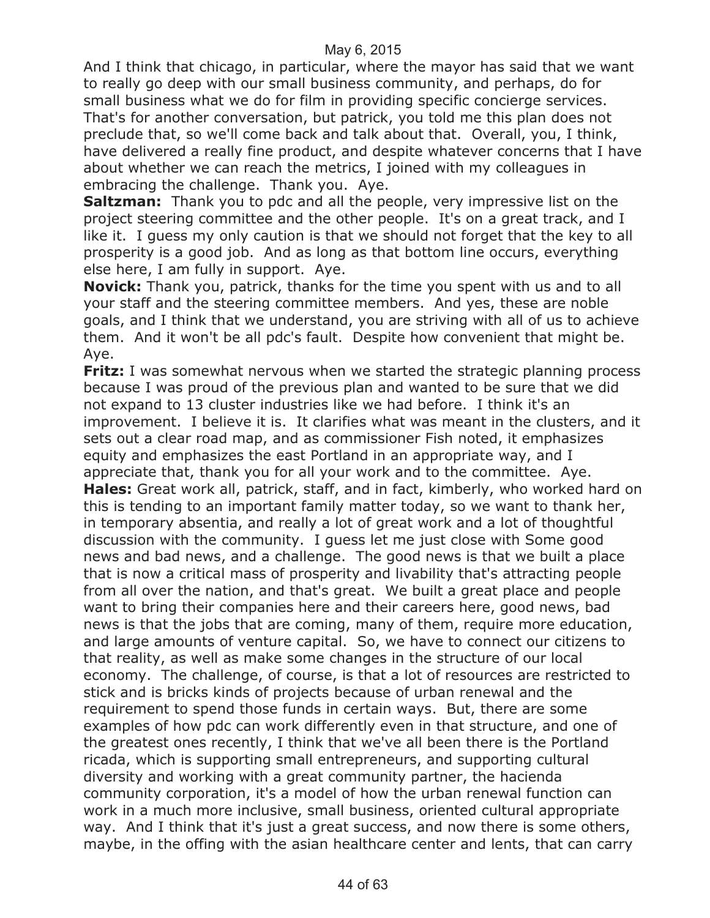And I think that chicago, in particular, where the mayor has said that we want to really go deep with our small business community, and perhaps, do for small business what we do for film in providing specific concierge services. That's for another conversation, but patrick, you told me this plan does not preclude that, so we'll come back and talk about that. Overall, you, I think, have delivered a really fine product, and despite whatever concerns that I have about whether we can reach the metrics, I joined with my colleagues in embracing the challenge. Thank you. Aye.

**Saltzman:** Thank you to pdc and all the people, very impressive list on the project steering committee and the other people. It's on a great track, and I like it. I guess my only caution is that we should not forget that the key to all prosperity is a good job. And as long as that bottom line occurs, everything else here, I am fully in support. Aye.

**Novick:** Thank you, patrick, thanks for the time you spent with us and to all your staff and the steering committee members. And yes, these are noble goals, and I think that we understand, you are striving with all of us to achieve them. And it won't be all pdc's fault. Despite how convenient that might be. Aye.

**Fritz:** I was somewhat nervous when we started the strategic planning process because I was proud of the previous plan and wanted to be sure that we did not expand to 13 cluster industries like we had before. I think it's an improvement. I believe it is. It clarifies what was meant in the clusters, and it sets out a clear road map, and as commissioner Fish noted, it emphasizes equity and emphasizes the east Portland in an appropriate way, and I appreciate that, thank you for all your work and to the committee. Aye. **Hales:** Great work all, patrick, staff, and in fact, kimberly, who worked hard on this is tending to an important family matter today, so we want to thank her, in temporary absentia, and really a lot of great work and a lot of thoughtful discussion with the community. I guess let me just close with Some good news and bad news, and a challenge. The good news is that we built a place that is now a critical mass of prosperity and livability that's attracting people from all over the nation, and that's great. We built a great place and people want to bring their companies here and their careers here, good news, bad news is that the jobs that are coming, many of them, require more education, and large amounts of venture capital. So, we have to connect our citizens to that reality, as well as make some changes in the structure of our local economy. The challenge, of course, is that a lot of resources are restricted to stick and is bricks kinds of projects because of urban renewal and the requirement to spend those funds in certain ways. But, there are some examples of how pdc can work differently even in that structure, and one of the greatest ones recently, I think that we've all been there is the Portland ricada, which is supporting small entrepreneurs, and supporting cultural diversity and working with a great community partner, the hacienda community corporation, it's a model of how the urban renewal function can work in a much more inclusive, small business, oriented cultural appropriate way. And I think that it's just a great success, and now there is some others, maybe, in the offing with the asian healthcare center and lents, that can carry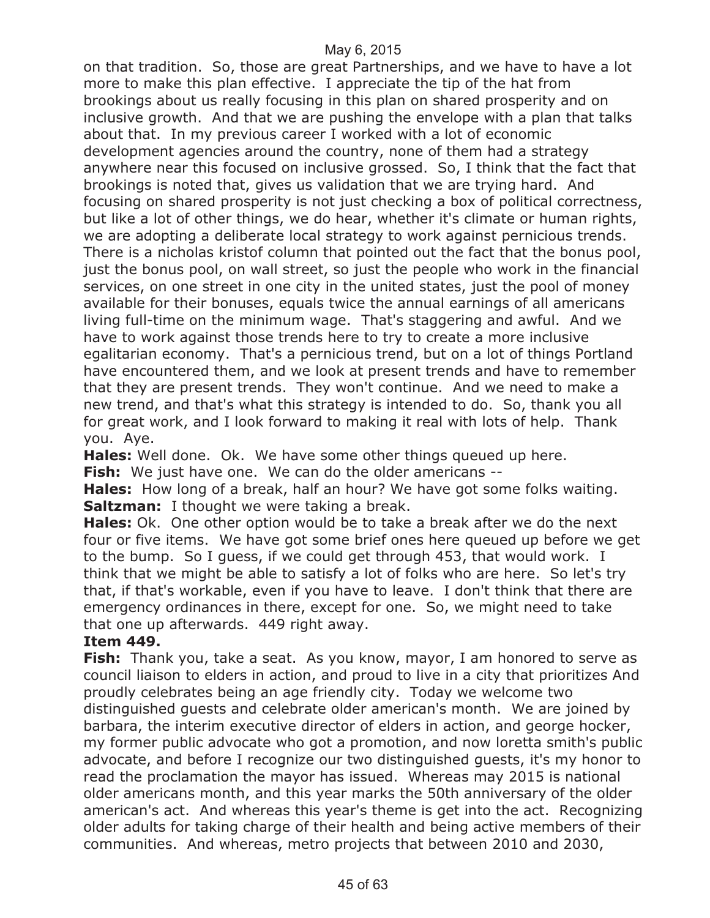on that tradition. So, those are great Partnerships, and we have to have a lot more to make this plan effective. I appreciate the tip of the hat from brookings about us really focusing in this plan on shared prosperity and on inclusive growth. And that we are pushing the envelope with a plan that talks about that. In my previous career I worked with a lot of economic development agencies around the country, none of them had a strategy anywhere near this focused on inclusive grossed. So, I think that the fact that brookings is noted that, gives us validation that we are trying hard. And focusing on shared prosperity is not just checking a box of political correctness, but like a lot of other things, we do hear, whether it's climate or human rights, we are adopting a deliberate local strategy to work against pernicious trends. There is a nicholas kristof column that pointed out the fact that the bonus pool, just the bonus pool, on wall street, so just the people who work in the financial services, on one street in one city in the united states, just the pool of money available for their bonuses, equals twice the annual earnings of all americans living full-time on the minimum wage. That's staggering and awful. And we have to work against those trends here to try to create a more inclusive egalitarian economy. That's a pernicious trend, but on a lot of things Portland have encountered them, and we look at present trends and have to remember that they are present trends. They won't continue. And we need to make a new trend, and that's what this strategy is intended to do. So, thank you all for great work, and I look forward to making it real with lots of help. Thank you. Aye.

**Hales:** Well done. Ok. We have some other things queued up here. **Fish:** We just have one. We can do the older americans --

**Hales:** How long of a break, half an hour? We have got some folks waiting. **Saltzman:** I thought we were taking a break.

**Hales:** Ok. One other option would be to take a break after we do the next four or five items. We have got some brief ones here queued up before we get to the bump. So I guess, if we could get through 453, that would work. I think that we might be able to satisfy a lot of folks who are here. So let's try that, if that's workable, even if you have to leave. I don't think that there are emergency ordinances in there, except for one. So, we might need to take that one up afterwards. 449 right away.

#### **Item 449.**

**Fish:** Thank you, take a seat. As you know, mayor, I am honored to serve as council liaison to elders in action, and proud to live in a city that prioritizes And proudly celebrates being an age friendly city. Today we welcome two distinguished guests and celebrate older american's month. We are joined by barbara, the interim executive director of elders in action, and george hocker, my former public advocate who got a promotion, and now loretta smith's public advocate, and before I recognize our two distinguished guests, it's my honor to read the proclamation the mayor has issued. Whereas may 2015 is national older americans month, and this year marks the 50th anniversary of the older american's act. And whereas this year's theme is get into the act. Recognizing older adults for taking charge of their health and being active members of their communities. And whereas, metro projects that between 2010 and 2030,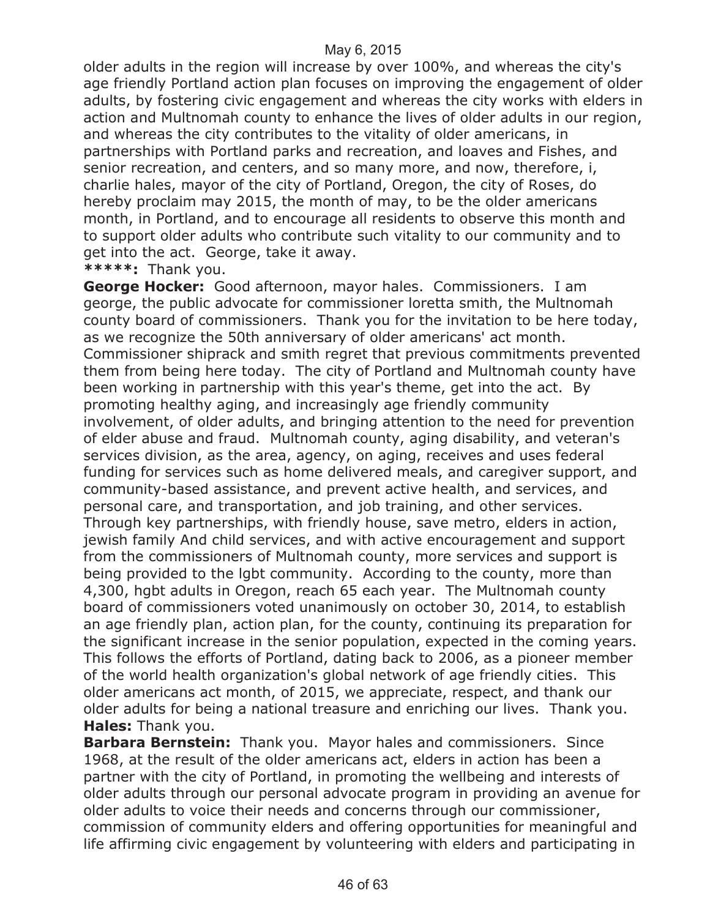older adults in the region will increase by over 100%, and whereas the city's age friendly Portland action plan focuses on improving the engagement of older adults, by fostering civic engagement and whereas the city works with elders in action and Multnomah county to enhance the lives of older adults in our region, and whereas the city contributes to the vitality of older americans, in partnerships with Portland parks and recreation, and loaves and Fishes, and senior recreation, and centers, and so many more, and now, therefore, i, charlie hales, mayor of the city of Portland, Oregon, the city of Roses, do hereby proclaim may 2015, the month of may, to be the older americans month, in Portland, and to encourage all residents to observe this month and to support older adults who contribute such vitality to our community and to get into the act. George, take it away.

**\*\*\*\*\*:** Thank you.

**George Hocker:** Good afternoon, mayor hales. Commissioners. I am george, the public advocate for commissioner loretta smith, the Multnomah county board of commissioners. Thank you for the invitation to be here today, as we recognize the 50th anniversary of older americans' act month. Commissioner shiprack and smith regret that previous commitments prevented them from being here today. The city of Portland and Multnomah county have been working in partnership with this year's theme, get into the act. By promoting healthy aging, and increasingly age friendly community involvement, of older adults, and bringing attention to the need for prevention of elder abuse and fraud. Multnomah county, aging disability, and veteran's services division, as the area, agency, on aging, receives and uses federal funding for services such as home delivered meals, and caregiver support, and community-based assistance, and prevent active health, and services, and personal care, and transportation, and job training, and other services. Through key partnerships, with friendly house, save metro, elders in action, jewish family And child services, and with active encouragement and support from the commissioners of Multnomah county, more services and support is being provided to the lgbt community. According to the county, more than 4,300, hgbt adults in Oregon, reach 65 each year. The Multnomah county board of commissioners voted unanimously on october 30, 2014, to establish an age friendly plan, action plan, for the county, continuing its preparation for the significant increase in the senior population, expected in the coming years. This follows the efforts of Portland, dating back to 2006, as a pioneer member of the world health organization's global network of age friendly cities. This older americans act month, of 2015, we appreciate, respect, and thank our older adults for being a national treasure and enriching our lives. Thank you. **Hales:** Thank you.

**Barbara Bernstein:** Thank you. Mayor hales and commissioners. Since 1968, at the result of the older americans act, elders in action has been a partner with the city of Portland, in promoting the wellbeing and interests of older adults through our personal advocate program in providing an avenue for older adults to voice their needs and concerns through our commissioner, commission of community elders and offering opportunities for meaningful and life affirming civic engagement by volunteering with elders and participating in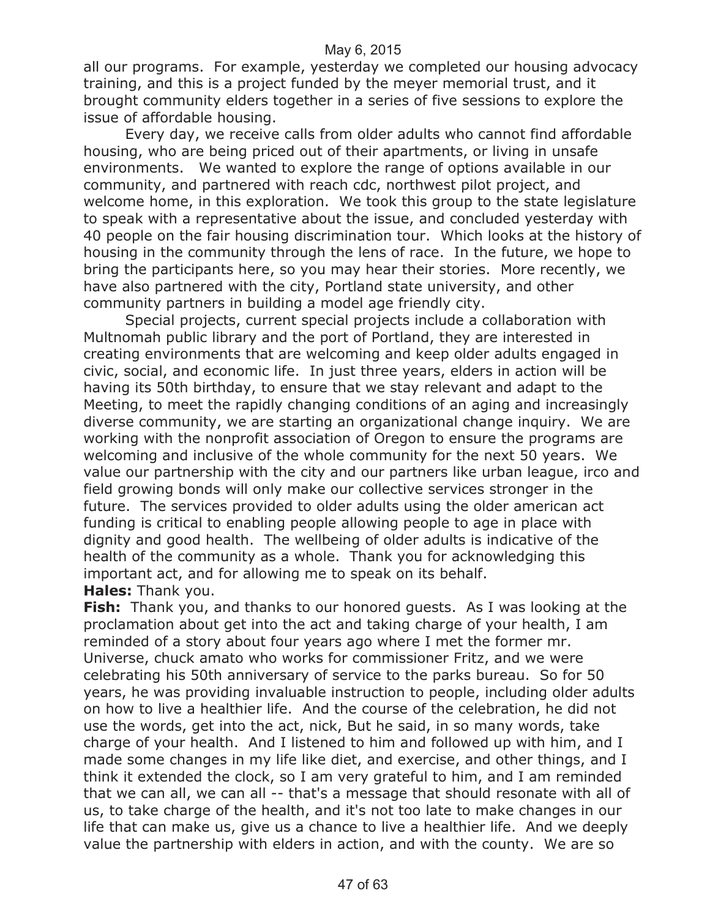all our programs. For example, yesterday we completed our housing advocacy training, and this is a project funded by the meyer memorial trust, and it brought community elders together in a series of five sessions to explore the issue of affordable housing.

Every day, we receive calls from older adults who cannot find affordable housing, who are being priced out of their apartments, or living in unsafe environments. We wanted to explore the range of options available in our community, and partnered with reach cdc, northwest pilot project, and welcome home, in this exploration. We took this group to the state legislature to speak with a representative about the issue, and concluded yesterday with 40 people on the fair housing discrimination tour. Which looks at the history of housing in the community through the lens of race. In the future, we hope to bring the participants here, so you may hear their stories. More recently, we have also partnered with the city, Portland state university, and other community partners in building a model age friendly city.

Special projects, current special projects include a collaboration with Multnomah public library and the port of Portland, they are interested in creating environments that are welcoming and keep older adults engaged in civic, social, and economic life. In just three years, elders in action will be having its 50th birthday, to ensure that we stay relevant and adapt to the Meeting, to meet the rapidly changing conditions of an aging and increasingly diverse community, we are starting an organizational change inquiry. We are working with the nonprofit association of Oregon to ensure the programs are welcoming and inclusive of the whole community for the next 50 years. We value our partnership with the city and our partners like urban league, irco and field growing bonds will only make our collective services stronger in the future. The services provided to older adults using the older american act funding is critical to enabling people allowing people to age in place with dignity and good health. The wellbeing of older adults is indicative of the health of the community as a whole. Thank you for acknowledging this important act, and for allowing me to speak on its behalf. **Hales:** Thank you.

**Fish:** Thank you, and thanks to our honored guests. As I was looking at the proclamation about get into the act and taking charge of your health, I am reminded of a story about four years ago where I met the former mr. Universe, chuck amato who works for commissioner Fritz, and we were celebrating his 50th anniversary of service to the parks bureau. So for 50 years, he was providing invaluable instruction to people, including older adults on how to live a healthier life. And the course of the celebration, he did not use the words, get into the act, nick, But he said, in so many words, take charge of your health. And I listened to him and followed up with him, and I made some changes in my life like diet, and exercise, and other things, and I think it extended the clock, so I am very grateful to him, and I am reminded that we can all, we can all -- that's a message that should resonate with all of us, to take charge of the health, and it's not too late to make changes in our life that can make us, give us a chance to live a healthier life. And we deeply value the partnership with elders in action, and with the county. We are so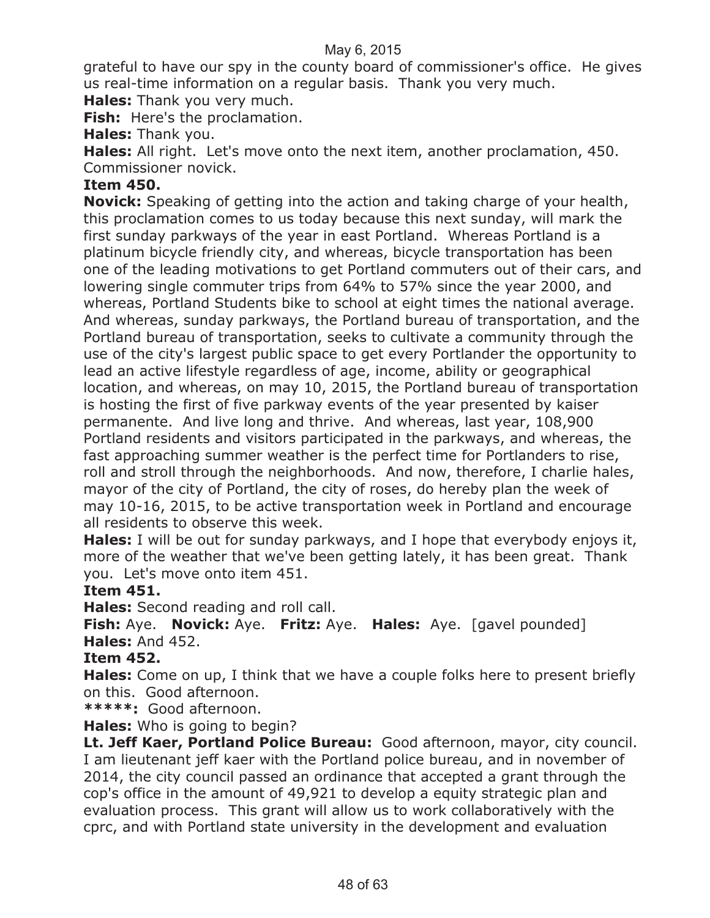grateful to have our spy in the county board of commissioner's office. He gives us real-time information on a regular basis. Thank you very much.

**Hales:** Thank you very much.

**Fish:** Here's the proclamation.

**Hales:** Thank you.

**Hales:** All right. Let's move onto the next item, another proclamation, 450. Commissioner novick.

#### **Item 450.**

**Novick:** Speaking of getting into the action and taking charge of your health, this proclamation comes to us today because this next sunday, will mark the first sunday parkways of the year in east Portland. Whereas Portland is a platinum bicycle friendly city, and whereas, bicycle transportation has been one of the leading motivations to get Portland commuters out of their cars, and lowering single commuter trips from 64% to 57% since the year 2000, and whereas, Portland Students bike to school at eight times the national average. And whereas, sunday parkways, the Portland bureau of transportation, and the Portland bureau of transportation, seeks to cultivate a community through the use of the city's largest public space to get every Portlander the opportunity to lead an active lifestyle regardless of age, income, ability or geographical location, and whereas, on may 10, 2015, the Portland bureau of transportation is hosting the first of five parkway events of the year presented by kaiser permanente. And live long and thrive. And whereas, last year, 108,900 Portland residents and visitors participated in the parkways, and whereas, the fast approaching summer weather is the perfect time for Portlanders to rise, roll and stroll through the neighborhoods. And now, therefore, I charlie hales, mayor of the city of Portland, the city of roses, do hereby plan the week of may 10-16, 2015, to be active transportation week in Portland and encourage all residents to observe this week.

**Hales:** I will be out for sunday parkways, and I hope that everybody enjoys it, more of the weather that we've been getting lately, it has been great. Thank you. Let's move onto item 451.

#### **Item 451.**

**Hales:** Second reading and roll call.

**Fish:** Aye. **Novick:** Aye. **Fritz:** Aye. **Hales:** Aye. [gavel pounded] **Hales:** And 452.

#### **Item 452.**

**Hales:** Come on up, I think that we have a couple folks here to present briefly on this. Good afternoon.

**\*\*\*\*\*:** Good afternoon.

**Hales:** Who is going to begin?

**Lt. Jeff Kaer, Portland Police Bureau:** Good afternoon, mayor, city council. I am lieutenant jeff kaer with the Portland police bureau, and in november of 2014, the city council passed an ordinance that accepted a grant through the cop's office in the amount of 49,921 to develop a equity strategic plan and evaluation process. This grant will allow us to work collaboratively with the cprc, and with Portland state university in the development and evaluation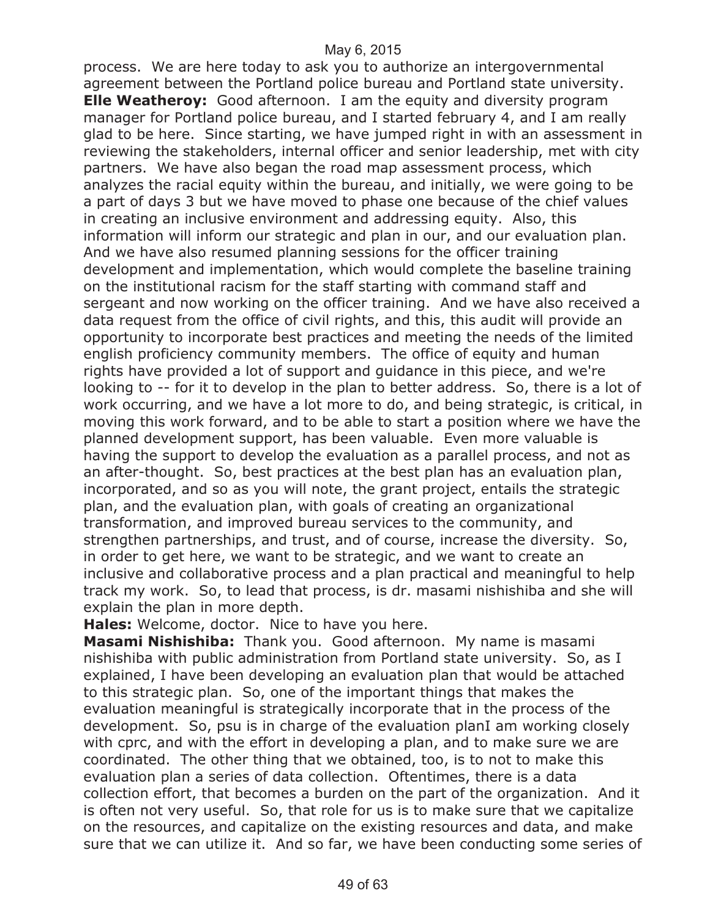process. We are here today to ask you to authorize an intergovernmental agreement between the Portland police bureau and Portland state university. **Elle Weatheroy:** Good afternoon. I am the equity and diversity program manager for Portland police bureau, and I started february 4, and I am really glad to be here. Since starting, we have jumped right in with an assessment in reviewing the stakeholders, internal officer and senior leadership, met with city partners. We have also began the road map assessment process, which analyzes the racial equity within the bureau, and initially, we were going to be a part of days 3 but we have moved to phase one because of the chief values in creating an inclusive environment and addressing equity. Also, this information will inform our strategic and plan in our, and our evaluation plan. And we have also resumed planning sessions for the officer training development and implementation, which would complete the baseline training on the institutional racism for the staff starting with command staff and sergeant and now working on the officer training. And we have also received a data request from the office of civil rights, and this, this audit will provide an opportunity to incorporate best practices and meeting the needs of the limited english proficiency community members. The office of equity and human rights have provided a lot of support and guidance in this piece, and we're looking to -- for it to develop in the plan to better address. So, there is a lot of work occurring, and we have a lot more to do, and being strategic, is critical, in moving this work forward, and to be able to start a position where we have the planned development support, has been valuable. Even more valuable is having the support to develop the evaluation as a parallel process, and not as an after-thought. So, best practices at the best plan has an evaluation plan, incorporated, and so as you will note, the grant project, entails the strategic plan, and the evaluation plan, with goals of creating an organizational transformation, and improved bureau services to the community, and strengthen partnerships, and trust, and of course, increase the diversity. So, in order to get here, we want to be strategic, and we want to create an inclusive and collaborative process and a plan practical and meaningful to help track my work. So, to lead that process, is dr. masami nishishiba and she will explain the plan in more depth.

**Hales:** Welcome, doctor. Nice to have you here.

**Masami Nishishiba:** Thank you. Good afternoon. My name is masami nishishiba with public administration from Portland state university. So, as I explained, I have been developing an evaluation plan that would be attached to this strategic plan. So, one of the important things that makes the evaluation meaningful is strategically incorporate that in the process of the development. So, psu is in charge of the evaluation planI am working closely with cprc, and with the effort in developing a plan, and to make sure we are coordinated. The other thing that we obtained, too, is to not to make this evaluation plan a series of data collection. Oftentimes, there is a data collection effort, that becomes a burden on the part of the organization. And it is often not very useful. So, that role for us is to make sure that we capitalize on the resources, and capitalize on the existing resources and data, and make sure that we can utilize it. And so far, we have been conducting some series of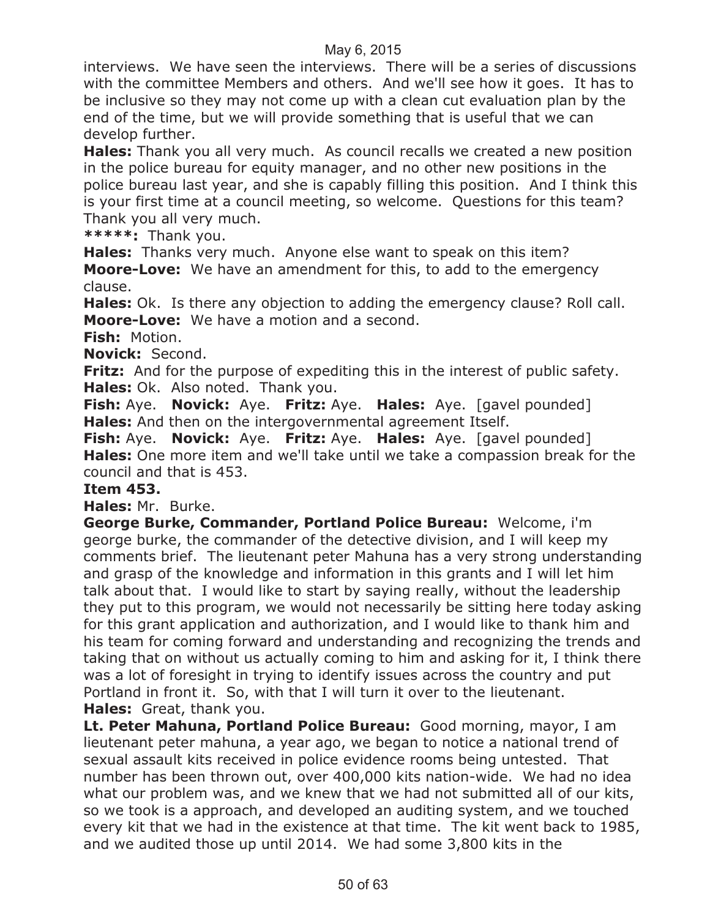interviews. We have seen the interviews. There will be a series of discussions with the committee Members and others. And we'll see how it goes. It has to be inclusive so they may not come up with a clean cut evaluation plan by the end of the time, but we will provide something that is useful that we can develop further.

**Hales:** Thank you all very much. As council recalls we created a new position in the police bureau for equity manager, and no other new positions in the police bureau last year, and she is capably filling this position. And I think this is your first time at a council meeting, so welcome. Questions for this team? Thank you all very much.

**\*\*\*\*\*:** Thank you.

**Hales:** Thanks very much. Anyone else want to speak on this item? **Moore-Love:** We have an amendment for this, to add to the emergency clause.

**Hales:** Ok. Is there any objection to adding the emergency clause? Roll call. **Moore-Love:** We have a motion and a second.

**Fish:** Motion.

**Novick:** Second.

**Fritz:** And for the purpose of expediting this in the interest of public safety. **Hales:** Ok. Also noted. Thank you.

**Fish:** Aye. **Novick:** Aye. **Fritz:** Aye. **Hales:** Aye. [gavel pounded] **Hales:** And then on the intergovernmental agreement Itself.

**Fish:** Aye. **Novick:** Aye. **Fritz:** Aye. **Hales:** Aye. [gavel pounded] **Hales:** One more item and we'll take until we take a compassion break for the council and that is 453.

#### **Item 453.**

**Hales:** Mr. Burke.

**George Burke, Commander, Portland Police Bureau:** Welcome, i'm george burke, the commander of the detective division, and I will keep my comments brief. The lieutenant peter Mahuna has a very strong understanding and grasp of the knowledge and information in this grants and I will let him talk about that. I would like to start by saying really, without the leadership they put to this program, we would not necessarily be sitting here today asking for this grant application and authorization, and I would like to thank him and his team for coming forward and understanding and recognizing the trends and taking that on without us actually coming to him and asking for it, I think there was a lot of foresight in trying to identify issues across the country and put Portland in front it. So, with that I will turn it over to the lieutenant. **Hales:** Great, thank you.

**Lt. Peter Mahuna, Portland Police Bureau:** Good morning, mayor, I am lieutenant peter mahuna, a year ago, we began to notice a national trend of sexual assault kits received in police evidence rooms being untested. That number has been thrown out, over 400,000 kits nation-wide. We had no idea what our problem was, and we knew that we had not submitted all of our kits, so we took is a approach, and developed an auditing system, and we touched every kit that we had in the existence at that time. The kit went back to 1985, and we audited those up until 2014. We had some 3,800 kits in the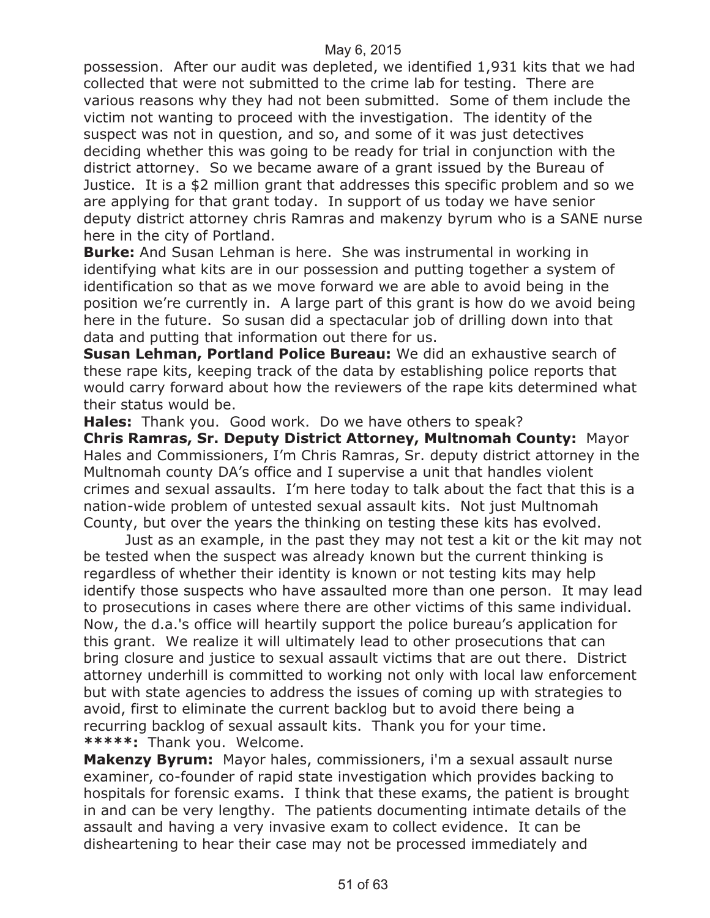possession. After our audit was depleted, we identified 1,931 kits that we had collected that were not submitted to the crime lab for testing. There are various reasons why they had not been submitted. Some of them include the victim not wanting to proceed with the investigation. The identity of the suspect was not in question, and so, and some of it was just detectives deciding whether this was going to be ready for trial in conjunction with the district attorney. So we became aware of a grant issued by the Bureau of Justice. It is a \$2 million grant that addresses this specific problem and so we are applying for that grant today. In support of us today we have senior deputy district attorney chris Ramras and makenzy byrum who is a SANE nurse here in the city of Portland.

**Burke:** And Susan Lehman is here. She was instrumental in working in identifying what kits are in our possession and putting together a system of identification so that as we move forward we are able to avoid being in the position we're currently in. A large part of this grant is how do we avoid being here in the future. So susan did a spectacular job of drilling down into that data and putting that information out there for us.

**Susan Lehman, Portland Police Bureau:** We did an exhaustive search of these rape kits, keeping track of the data by establishing police reports that would carry forward about how the reviewers of the rape kits determined what their status would be.

**Hales:** Thank you. Good work. Do we have others to speak?

**Chris Ramras, Sr. Deputy District Attorney, Multnomah County:** Mayor Hales and Commissioners, I'm Chris Ramras, Sr. deputy district attorney in the Multnomah county DA's office and I supervise a unit that handles violent crimes and sexual assaults. I'm here today to talk about the fact that this is a nation-wide problem of untested sexual assault kits. Not just Multnomah County, but over the years the thinking on testing these kits has evolved.

Just as an example, in the past they may not test a kit or the kit may not be tested when the suspect was already known but the current thinking is regardless of whether their identity is known or not testing kits may help identify those suspects who have assaulted more than one person. It may lead to prosecutions in cases where there are other victims of this same individual. Now, the d.a.'s office will heartily support the police bureau's application for this grant. We realize it will ultimately lead to other prosecutions that can bring closure and justice to sexual assault victims that are out there. District attorney underhill is committed to working not only with local law enforcement but with state agencies to address the issues of coming up with strategies to avoid, first to eliminate the current backlog but to avoid there being a recurring backlog of sexual assault kits. Thank you for your time. **\*\*\*\*\*:** Thank you. Welcome.

**Makenzy Byrum:** Mayor hales, commissioners, i'm a sexual assault nurse examiner, co-founder of rapid state investigation which provides backing to hospitals for forensic exams. I think that these exams, the patient is brought in and can be very lengthy. The patients documenting intimate details of the assault and having a very invasive exam to collect evidence. It can be disheartening to hear their case may not be processed immediately and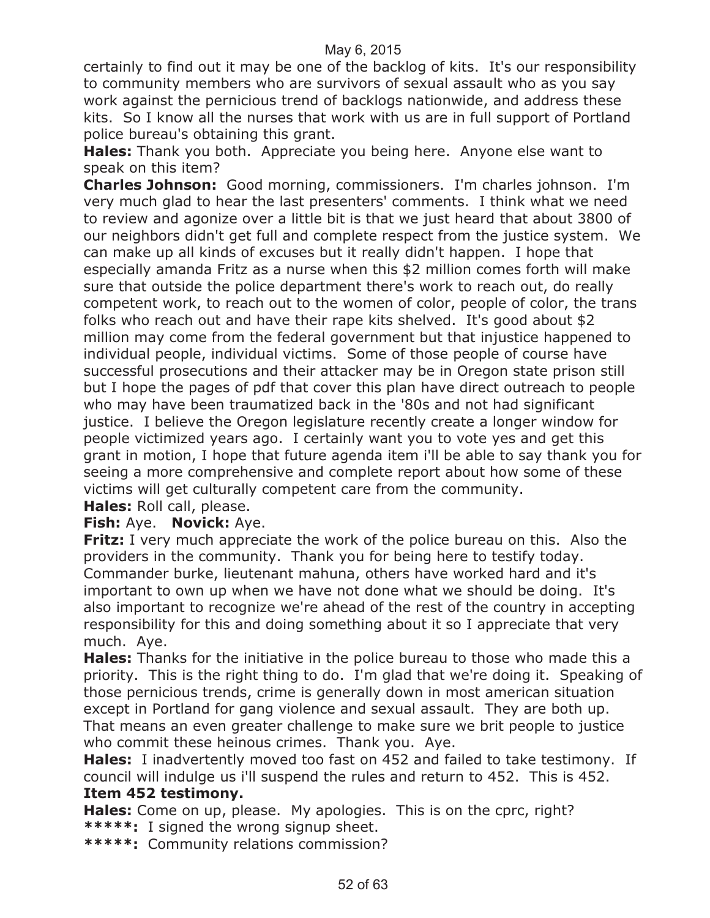certainly to find out it may be one of the backlog of kits. It's our responsibility to community members who are survivors of sexual assault who as you say work against the pernicious trend of backlogs nationwide, and address these kits. So I know all the nurses that work with us are in full support of Portland police bureau's obtaining this grant.

**Hales:** Thank you both. Appreciate you being here. Anyone else want to speak on this item?

**Charles Johnson:** Good morning, commissioners. I'm charles johnson. I'm very much glad to hear the last presenters' comments. I think what we need to review and agonize over a little bit is that we just heard that about 3800 of our neighbors didn't get full and complete respect from the justice system. We can make up all kinds of excuses but it really didn't happen. I hope that especially amanda Fritz as a nurse when this \$2 million comes forth will make sure that outside the police department there's work to reach out, do really competent work, to reach out to the women of color, people of color, the trans folks who reach out and have their rape kits shelved. It's good about \$2 million may come from the federal government but that injustice happened to individual people, individual victims. Some of those people of course have successful prosecutions and their attacker may be in Oregon state prison still but I hope the pages of pdf that cover this plan have direct outreach to people who may have been traumatized back in the '80s and not had significant justice. I believe the Oregon legislature recently create a longer window for people victimized years ago. I certainly want you to vote yes and get this grant in motion, I hope that future agenda item i'll be able to say thank you for seeing a more comprehensive and complete report about how some of these victims will get culturally competent care from the community.

**Hales:** Roll call, please.

#### **Fish:** Aye. **Novick:** Aye.

**Fritz:** I very much appreciate the work of the police bureau on this. Also the providers in the community. Thank you for being here to testify today. Commander burke, lieutenant mahuna, others have worked hard and it's important to own up when we have not done what we should be doing. It's also important to recognize we're ahead of the rest of the country in accepting responsibility for this and doing something about it so I appreciate that very much. Aye.

**Hales:** Thanks for the initiative in the police bureau to those who made this a priority. This is the right thing to do. I'm glad that we're doing it. Speaking of those pernicious trends, crime is generally down in most american situation except in Portland for gang violence and sexual assault. They are both up. That means an even greater challenge to make sure we brit people to justice who commit these heinous crimes. Thank you. Aye.

**Hales:** I inadvertently moved too fast on 452 and failed to take testimony. If council will indulge us i'll suspend the rules and return to 452. This is 452.

#### **Item 452 testimony.**

**Hales:** Come on up, please. My apologies. This is on the cprc, right? **\*\*\*\*\*:** I signed the wrong signup sheet.

**\*\*\*\*\*:** Community relations commission?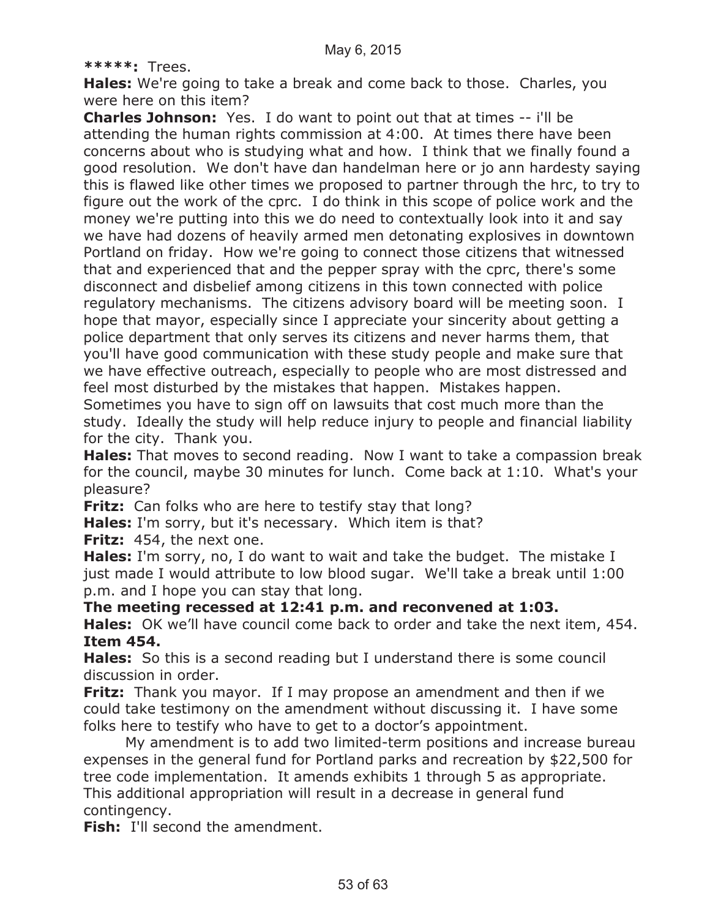#### **\*\*\*\*\*:** Trees.

**Hales:** We're going to take a break and come back to those. Charles, you were here on this item?

**Charles Johnson:** Yes. I do want to point out that at times -- i'll be attending the human rights commission at 4:00. At times there have been concerns about who is studying what and how. I think that we finally found a good resolution. We don't have dan handelman here or jo ann hardesty saying this is flawed like other times we proposed to partner through the hrc, to try to figure out the work of the cprc. I do think in this scope of police work and the money we're putting into this we do need to contextually look into it and say we have had dozens of heavily armed men detonating explosives in downtown Portland on friday. How we're going to connect those citizens that witnessed that and experienced that and the pepper spray with the cprc, there's some disconnect and disbelief among citizens in this town connected with police regulatory mechanisms. The citizens advisory board will be meeting soon. I hope that mayor, especially since I appreciate your sincerity about getting a police department that only serves its citizens and never harms them, that you'll have good communication with these study people and make sure that we have effective outreach, especially to people who are most distressed and feel most disturbed by the mistakes that happen. Mistakes happen.

Sometimes you have to sign off on lawsuits that cost much more than the study. Ideally the study will help reduce injury to people and financial liability for the city. Thank you.

**Hales:** That moves to second reading. Now I want to take a compassion break for the council, maybe 30 minutes for lunch. Come back at 1:10. What's your pleasure?

**Fritz:** Can folks who are here to testify stay that long?

**Hales:** I'm sorry, but it's necessary. Which item is that?

**Fritz:** 454, the next one.

**Hales:** I'm sorry, no, I do want to wait and take the budget. The mistake I just made I would attribute to low blood sugar. We'll take a break until 1:00 p.m. and I hope you can stay that long.

**The meeting recessed at 12:41 p.m. and reconvened at 1:03.**

**Hales:** OK we'll have council come back to order and take the next item, 454. **Item 454.**

**Hales:** So this is a second reading but I understand there is some council discussion in order.

**Fritz:** Thank you mayor. If I may propose an amendment and then if we could take testimony on the amendment without discussing it. I have some folks here to testify who have to get to a doctor's appointment.

My amendment is to add two limited-term positions and increase bureau expenses in the general fund for Portland parks and recreation by \$22,500 for tree code implementation. It amends exhibits 1 through 5 as appropriate. This additional appropriation will result in a decrease in general fund contingency.

**Fish:** I'll second the amendment.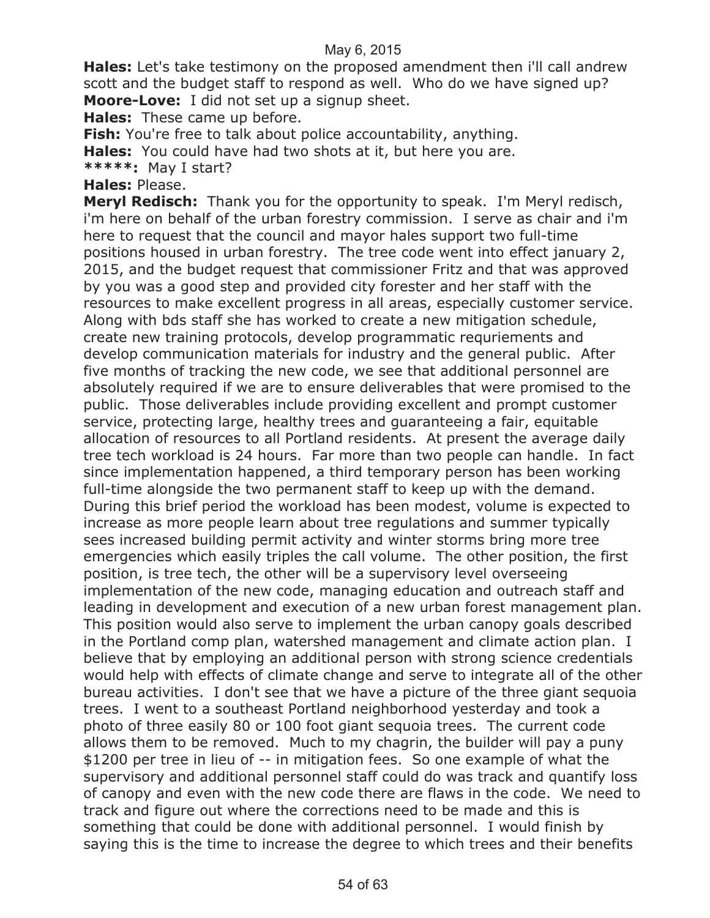**Hales:** Let's take testimony on the proposed amendment then i'll call andrew scott and the budget staff to respond as well. Who do we have signed up? **Moore-Love:** I did not set up a signup sheet.

**Hales:** These came up before.

**Fish:** You're free to talk about police accountability, anything.

**Hales:** You could have had two shots at it, but here you are.

**\*\*\*\*\*:** May I start?

#### **Hales:** Please.

**Meryl Redisch:** Thank you for the opportunity to speak. I'm Meryl redisch, i'm here on behalf of the urban forestry commission. I serve as chair and i'm here to request that the council and mayor hales support two full-time positions housed in urban forestry. The tree code went into effect january 2, 2015, and the budget request that commissioner Fritz and that was approved by you was a good step and provided city forester and her staff with the resources to make excellent progress in all areas, especially customer service. Along with bds staff she has worked to create a new mitigation schedule, create new training protocols, develop programmatic requriements and develop communication materials for industry and the general public. After five months of tracking the new code, we see that additional personnel are absolutely required if we are to ensure deliverables that were promised to the public. Those deliverables include providing excellent and prompt customer service, protecting large, healthy trees and guaranteeing a fair, equitable allocation of resources to all Portland residents. At present the average daily tree tech workload is 24 hours. Far more than two people can handle. In fact since implementation happened, a third temporary person has been working full-time alongside the two permanent staff to keep up with the demand. During this brief period the workload has been modest, volume is expected to increase as more people learn about tree regulations and summer typically sees increased building permit activity and winter storms bring more tree emergencies which easily triples the call volume. The other position, the first position, is tree tech, the other will be a supervisory level overseeing implementation of the new code, managing education and outreach staff and leading in development and execution of a new urban forest management plan. This position would also serve to implement the urban canopy goals described in the Portland comp plan, watershed management and climate action plan. I believe that by employing an additional person with strong science credentials would help with effects of climate change and serve to integrate all of the other bureau activities. I don't see that we have a picture of the three giant sequoia trees. I went to a southeast Portland neighborhood yesterday and took a photo of three easily 80 or 100 foot giant sequoia trees. The current code allows them to be removed. Much to my chagrin, the builder will pay a puny \$1200 per tree in lieu of -- in mitigation fees. So one example of what the supervisory and additional personnel staff could do was track and quantify loss of canopy and even with the new code there are flaws in the code. We need to track and figure out where the corrections need to be made and this is something that could be done with additional personnel. I would finish by saying this is the time to increase the degree to which trees and their benefits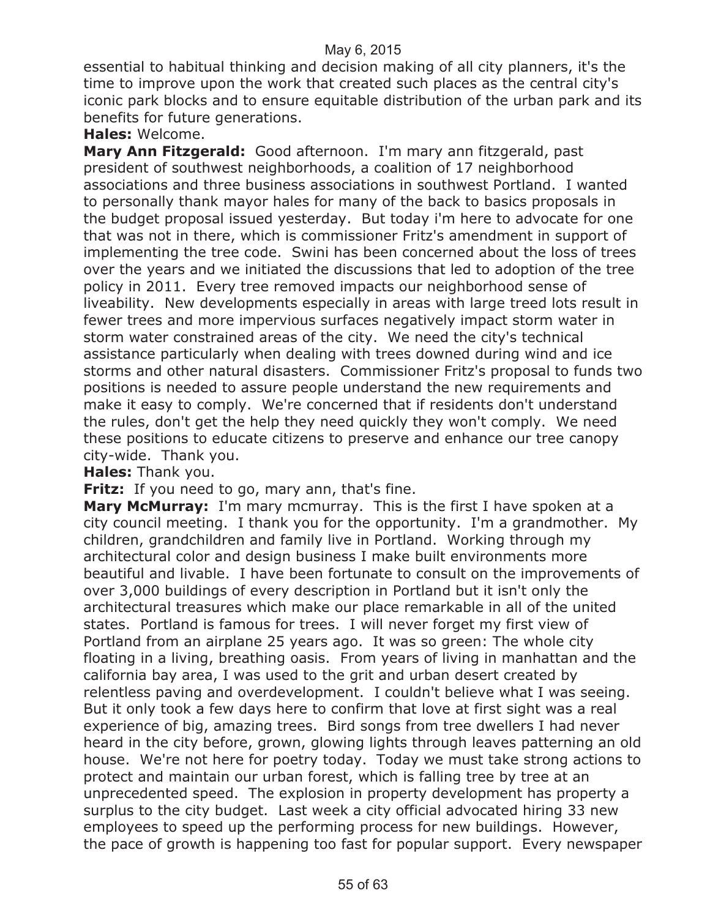essential to habitual thinking and decision making of all city planners, it's the time to improve upon the work that created such places as the central city's iconic park blocks and to ensure equitable distribution of the urban park and its benefits for future generations.

**Hales:** Welcome.

**Mary Ann Fitzgerald:** Good afternoon. I'm mary ann fitzgerald, past president of southwest neighborhoods, a coalition of 17 neighborhood associations and three business associations in southwest Portland. I wanted to personally thank mayor hales for many of the back to basics proposals in the budget proposal issued yesterday. But today i'm here to advocate for one that was not in there, which is commissioner Fritz's amendment in support of implementing the tree code. Swini has been concerned about the loss of trees over the years and we initiated the discussions that led to adoption of the tree policy in 2011. Every tree removed impacts our neighborhood sense of liveability. New developments especially in areas with large treed lots result in fewer trees and more impervious surfaces negatively impact storm water in storm water constrained areas of the city. We need the city's technical assistance particularly when dealing with trees downed during wind and ice storms and other natural disasters. Commissioner Fritz's proposal to funds two positions is needed to assure people understand the new requirements and make it easy to comply. We're concerned that if residents don't understand the rules, don't get the help they need quickly they won't comply. We need these positions to educate citizens to preserve and enhance our tree canopy city-wide. Thank you.

**Hales:** Thank you.

Fritz: If you need to go, mary ann, that's fine.

**Mary McMurray:** I'm mary mcmurray. This is the first I have spoken at a city council meeting. I thank you for the opportunity. I'm a grandmother. My children, grandchildren and family live in Portland. Working through my architectural color and design business I make built environments more beautiful and livable. I have been fortunate to consult on the improvements of over 3,000 buildings of every description in Portland but it isn't only the architectural treasures which make our place remarkable in all of the united states. Portland is famous for trees. I will never forget my first view of Portland from an airplane 25 years ago. It was so green: The whole city floating in a living, breathing oasis. From years of living in manhattan and the california bay area, I was used to the grit and urban desert created by relentless paving and overdevelopment. I couldn't believe what I was seeing. But it only took a few days here to confirm that love at first sight was a real experience of big, amazing trees. Bird songs from tree dwellers I had never heard in the city before, grown, glowing lights through leaves patterning an old house. We're not here for poetry today. Today we must take strong actions to protect and maintain our urban forest, which is falling tree by tree at an unprecedented speed. The explosion in property development has property a surplus to the city budget. Last week a city official advocated hiring 33 new employees to speed up the performing process for new buildings. However, the pace of growth is happening too fast for popular support. Every newspaper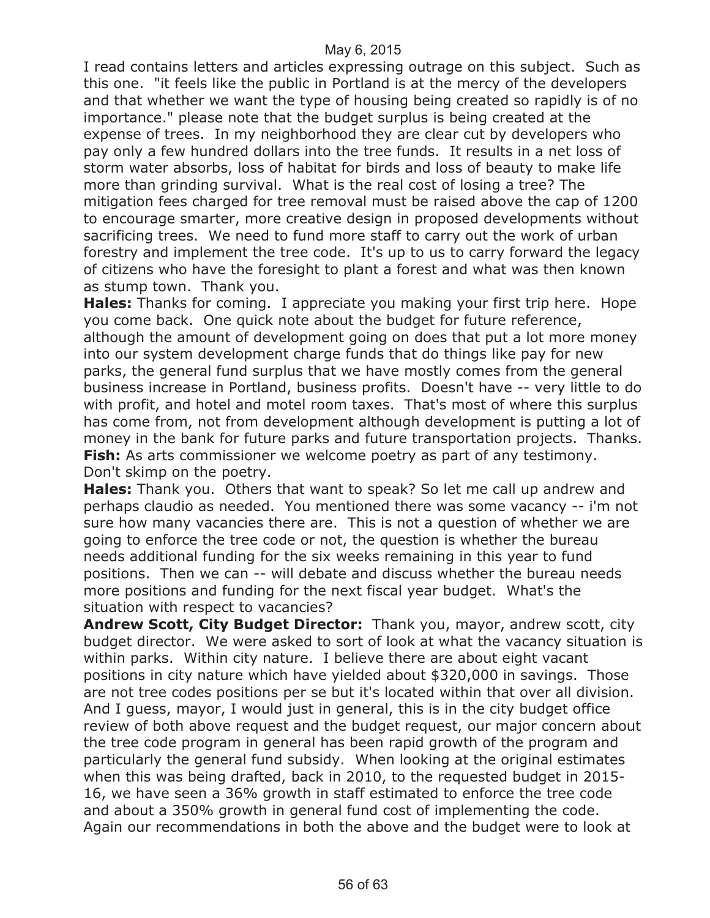I read contains letters and articles expressing outrage on this subject. Such as this one. "it feels like the public in Portland is at the mercy of the developers and that whether we want the type of housing being created so rapidly is of no importance." please note that the budget surplus is being created at the expense of trees. In my neighborhood they are clear cut by developers who pay only a few hundred dollars into the tree funds. It results in a net loss of storm water absorbs, loss of habitat for birds and loss of beauty to make life more than grinding survival. What is the real cost of losing a tree? The mitigation fees charged for tree removal must be raised above the cap of 1200 to encourage smarter, more creative design in proposed developments without sacrificing trees. We need to fund more staff to carry out the work of urban forestry and implement the tree code. It's up to us to carry forward the legacy of citizens who have the foresight to plant a forest and what was then known as stump town. Thank you.

**Hales:** Thanks for coming. I appreciate you making your first trip here. Hope you come back. One quick note about the budget for future reference, although the amount of development going on does that put a lot more money into our system development charge funds that do things like pay for new parks, the general fund surplus that we have mostly comes from the general business increase in Portland, business profits. Doesn't have -- very little to do with profit, and hotel and motel room taxes. That's most of where this surplus has come from, not from development although development is putting a lot of money in the bank for future parks and future transportation projects. Thanks. **Fish:** As arts commissioner we welcome poetry as part of any testimony. Don't skimp on the poetry.

**Hales:** Thank you. Others that want to speak? So let me call up andrew and perhaps claudio as needed. You mentioned there was some vacancy -- i'm not sure how many vacancies there are. This is not a question of whether we are going to enforce the tree code or not, the question is whether the bureau needs additional funding for the six weeks remaining in this year to fund positions. Then we can -- will debate and discuss whether the bureau needs more positions and funding for the next fiscal year budget. What's the situation with respect to vacancies?

**Andrew Scott, City Budget Director:** Thank you, mayor, andrew scott, city budget director. We were asked to sort of look at what the vacancy situation is within parks. Within city nature. I believe there are about eight vacant positions in city nature which have yielded about \$320,000 in savings. Those are not tree codes positions per se but it's located within that over all division. And I guess, mayor, I would just in general, this is in the city budget office review of both above request and the budget request, our major concern about the tree code program in general has been rapid growth of the program and particularly the general fund subsidy. When looking at the original estimates when this was being drafted, back in 2010, to the requested budget in 2015- 16, we have seen a 36% growth in staff estimated to enforce the tree code and about a 350% growth in general fund cost of implementing the code. Again our recommendations in both the above and the budget were to look at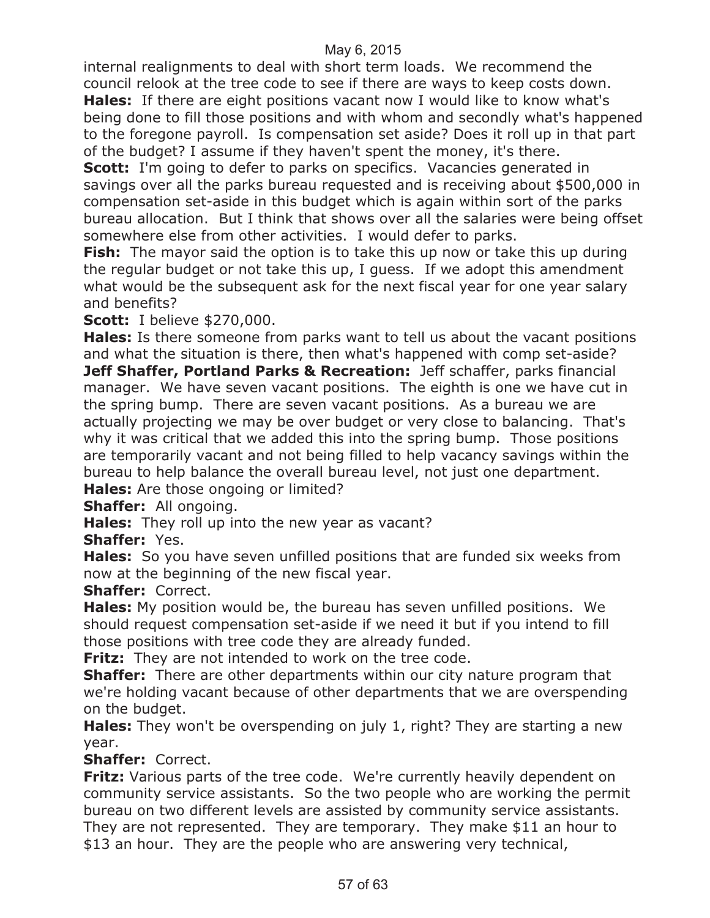internal realignments to deal with short term loads. We recommend the council relook at the tree code to see if there are ways to keep costs down. **Hales:** If there are eight positions vacant now I would like to know what's

being done to fill those positions and with whom and secondly what's happened to the foregone payroll. Is compensation set aside? Does it roll up in that part of the budget? I assume if they haven't spent the money, it's there.

**Scott:** I'm going to defer to parks on specifics. Vacancies generated in savings over all the parks bureau requested and is receiving about \$500,000 in compensation set-aside in this budget which is again within sort of the parks bureau allocation. But I think that shows over all the salaries were being offset somewhere else from other activities. I would defer to parks.

**Fish:** The mayor said the option is to take this up now or take this up during the regular budget or not take this up, I guess. If we adopt this amendment what would be the subsequent ask for the next fiscal year for one year salary and benefits?

**Scott:** I believe \$270,000.

**Hales:** Is there someone from parks want to tell us about the vacant positions and what the situation is there, then what's happened with comp set-aside? **Jeff Shaffer, Portland Parks & Recreation:** Jeff schaffer, parks financial manager. We have seven vacant positions. The eighth is one we have cut in the spring bump. There are seven vacant positions. As a bureau we are actually projecting we may be over budget or very close to balancing. That's why it was critical that we added this into the spring bump. Those positions are temporarily vacant and not being filled to help vacancy savings within the bureau to help balance the overall bureau level, not just one department.

**Hales:** Are those ongoing or limited?

**Shaffer:** All ongoing.

**Hales:** They roll up into the new year as vacant?

**Shaffer:** Yes.

**Hales:** So you have seven unfilled positions that are funded six weeks from now at the beginning of the new fiscal year.

**Shaffer:** Correct.

**Hales:** My position would be, the bureau has seven unfilled positions. We should request compensation set-aside if we need it but if you intend to fill those positions with tree code they are already funded.

**Fritz:** They are not intended to work on the tree code.

**Shaffer:** There are other departments within our city nature program that we're holding vacant because of other departments that we are overspending on the budget.

**Hales:** They won't be overspending on july 1, right? They are starting a new year.

**Shaffer:** Correct.

**Fritz:** Various parts of the tree code. We're currently heavily dependent on community service assistants. So the two people who are working the permit bureau on two different levels are assisted by community service assistants. They are not represented. They are temporary. They make \$11 an hour to \$13 an hour. They are the people who are answering very technical,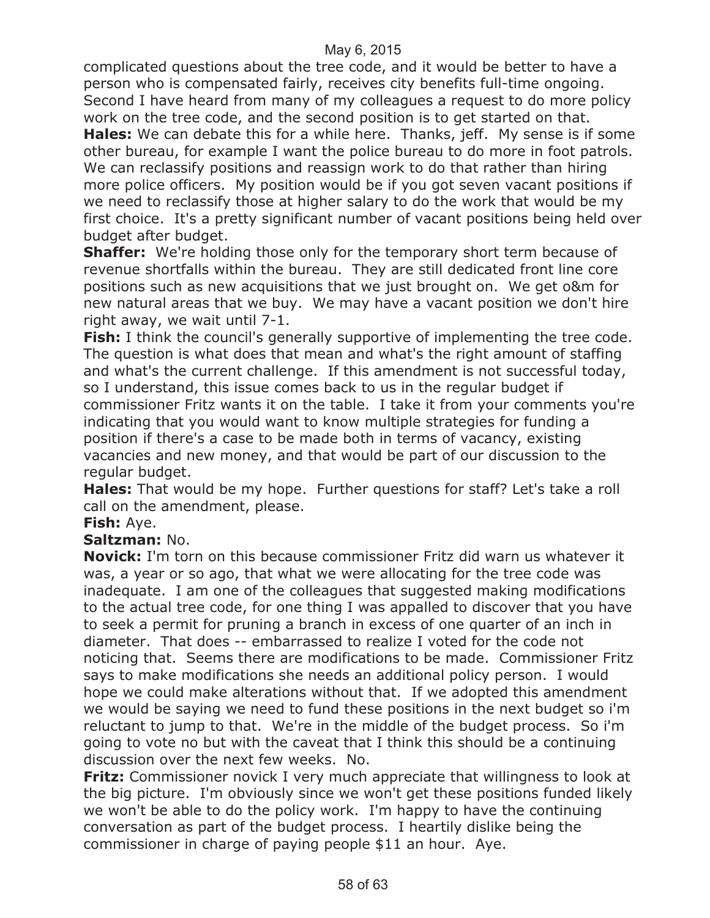complicated questions about the tree code, and it would be better to have a person who is compensated fairly, receives city benefits full-time ongoing. Second I have heard from many of my colleagues a request to do more policy work on the tree code, and the second position is to get started on that.

**Hales:** We can debate this for a while here. Thanks, jeff. My sense is if some other bureau, for example I want the police bureau to do more in foot patrols. We can reclassify positions and reassign work to do that rather than hiring more police officers. My position would be if you got seven vacant positions if we need to reclassify those at higher salary to do the work that would be my first choice. It's a pretty significant number of vacant positions being held over budget after budget.

**Shaffer:** We're holding those only for the temporary short term because of revenue shortfalls within the bureau. They are still dedicated front line core positions such as new acquisitions that we just brought on. We get o&m for new natural areas that we buy. We may have a vacant position we don't hire right away, we wait until 7-1.

**Fish:** I think the council's generally supportive of implementing the tree code. The question is what does that mean and what's the right amount of staffing and what's the current challenge. If this amendment is not successful today, so I understand, this issue comes back to us in the regular budget if commissioner Fritz wants it on the table. I take it from your comments you're indicating that you would want to know multiple strategies for funding a position if there's a case to be made both in terms of vacancy, existing vacancies and new money, and that would be part of our discussion to the regular budget.

**Hales:** That would be my hope. Further questions for staff? Let's take a roll call on the amendment, please.

#### **Fish:** Aye.

#### **Saltzman:** No.

**Novick:** I'm torn on this because commissioner Fritz did warn us whatever it was, a year or so ago, that what we were allocating for the tree code was inadequate. I am one of the colleagues that suggested making modifications to the actual tree code, for one thing I was appalled to discover that you have to seek a permit for pruning a branch in excess of one quarter of an inch in diameter. That does -- embarrassed to realize I voted for the code not noticing that. Seems there are modifications to be made. Commissioner Fritz says to make modifications she needs an additional policy person. I would hope we could make alterations without that. If we adopted this amendment we would be saying we need to fund these positions in the next budget so i'm reluctant to jump to that. We're in the middle of the budget process. So i'm going to vote no but with the caveat that I think this should be a continuing discussion over the next few weeks. No.

**Fritz:** Commissioner novick I very much appreciate that willingness to look at the big picture. I'm obviously since we won't get these positions funded likely we won't be able to do the policy work. I'm happy to have the continuing conversation as part of the budget process. I heartily dislike being the commissioner in charge of paying people \$11 an hour. Aye.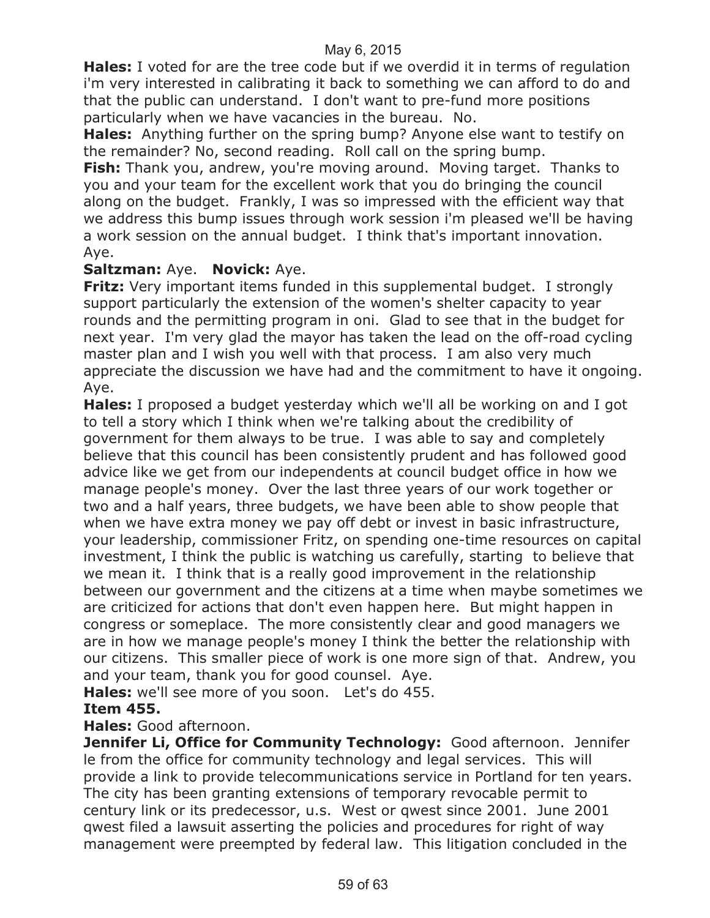**Hales:** I voted for are the tree code but if we overdid it in terms of regulation i'm very interested in calibrating it back to something we can afford to do and that the public can understand. I don't want to pre-fund more positions particularly when we have vacancies in the bureau. No.

**Hales:** Anything further on the spring bump? Anyone else want to testify on the remainder? No, second reading. Roll call on the spring bump.

**Fish:** Thank you, andrew, you're moving around. Moving target. Thanks to you and your team for the excellent work that you do bringing the council along on the budget. Frankly, I was so impressed with the efficient way that we address this bump issues through work session i'm pleased we'll be having a work session on the annual budget. I think that's important innovation. Aye.

#### **Saltzman:** Aye. **Novick:** Aye.

**Fritz:** Very important items funded in this supplemental budget. I strongly support particularly the extension of the women's shelter capacity to year rounds and the permitting program in oni. Glad to see that in the budget for next year. I'm very glad the mayor has taken the lead on the off-road cycling master plan and I wish you well with that process. I am also very much appreciate the discussion we have had and the commitment to have it ongoing. Aye.

**Hales:** I proposed a budget yesterday which we'll all be working on and I got to tell a story which I think when we're talking about the credibility of government for them always to be true. I was able to say and completely believe that this council has been consistently prudent and has followed good advice like we get from our independents at council budget office in how we manage people's money. Over the last three years of our work together or two and a half years, three budgets, we have been able to show people that when we have extra money we pay off debt or invest in basic infrastructure, your leadership, commissioner Fritz, on spending one-time resources on capital investment, I think the public is watching us carefully, starting to believe that we mean it. I think that is a really good improvement in the relationship between our government and the citizens at a time when maybe sometimes we are criticized for actions that don't even happen here. But might happen in congress or someplace. The more consistently clear and good managers we are in how we manage people's money I think the better the relationship with our citizens. This smaller piece of work is one more sign of that. Andrew, you and your team, thank you for good counsel. Aye.

**Hales:** we'll see more of you soon. Let's do 455. **Item 455.**

**Hales:** Good afternoon.

**Jennifer Li, Office for Community Technology:** Good afternoon. Jennifer le from the office for community technology and legal services. This will provide a link to provide telecommunications service in Portland for ten years. The city has been granting extensions of temporary revocable permit to century link or its predecessor, u.s. West or qwest since 2001. June 2001 qwest filed a lawsuit asserting the policies and procedures for right of way management were preempted by federal law. This litigation concluded in the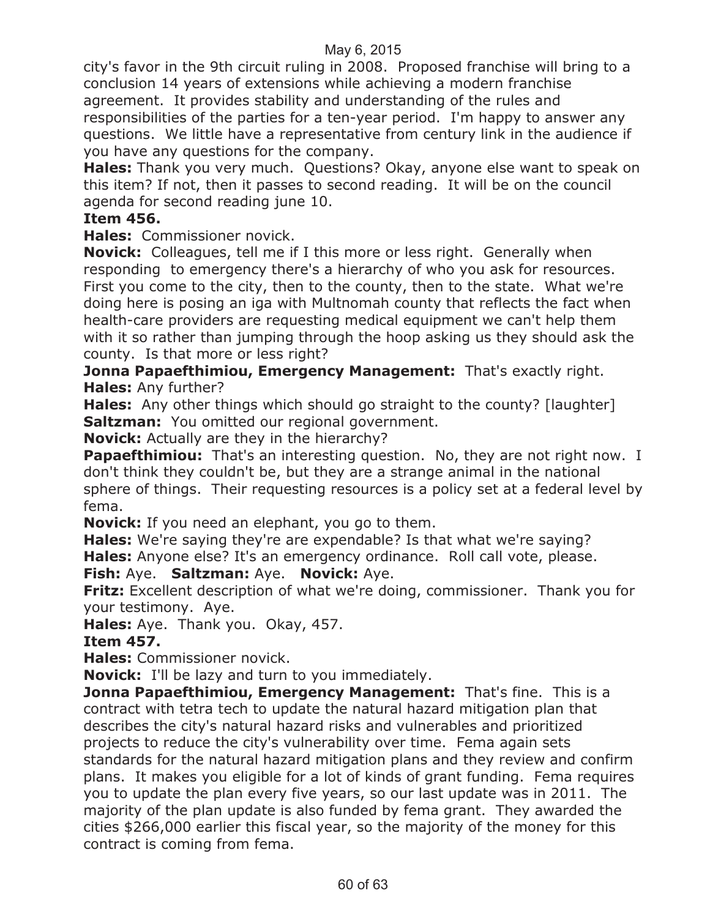city's favor in the 9th circuit ruling in 2008. Proposed franchise will bring to a conclusion 14 years of extensions while achieving a modern franchise agreement. It provides stability and understanding of the rules and responsibilities of the parties for a ten-year period. I'm happy to answer any questions. We little have a representative from century link in the audience if you have any questions for the company.

**Hales:** Thank you very much. Questions? Okay, anyone else want to speak on this item? If not, then it passes to second reading. It will be on the council agenda for second reading june 10.

#### **Item 456.**

**Hales:** Commissioner novick.

**Novick:** Colleagues, tell me if I this more or less right. Generally when responding to emergency there's a hierarchy of who you ask for resources. First you come to the city, then to the county, then to the state. What we're doing here is posing an iga with Multnomah county that reflects the fact when health-care providers are requesting medical equipment we can't help them with it so rather than jumping through the hoop asking us they should ask the county. Is that more or less right?

**Jonna Papaefthimiou, Emergency Management:** That's exactly right. **Hales:** Any further?

**Hales:** Any other things which should go straight to the county? [laughter] **Saltzman:** You omitted our regional government.

**Novick:** Actually are they in the hierarchy?

**Papaefthimiou:** That's an interesting question. No, they are not right now. I don't think they couldn't be, but they are a strange animal in the national sphere of things. Their requesting resources is a policy set at a federal level by fema.

**Novick:** If you need an elephant, you go to them.

**Hales:** We're saying they're are expendable? Is that what we're saying?

**Hales:** Anyone else? It's an emergency ordinance. Roll call vote, please.

**Fish:** Aye. **Saltzman:** Aye. **Novick:** Aye.

**Fritz:** Excellent description of what we're doing, commissioner. Thank you for your testimony. Aye.

**Hales:** Aye. Thank you. Okay, 457.

**Item 457.**

**Hales:** Commissioner novick.

**Novick:** I'll be lazy and turn to you immediately.

**Jonna Papaefthimiou, Emergency Management:** That's fine. This is a contract with tetra tech to update the natural hazard mitigation plan that describes the city's natural hazard risks and vulnerables and prioritized projects to reduce the city's vulnerability over time. Fema again sets standards for the natural hazard mitigation plans and they review and confirm plans. It makes you eligible for a lot of kinds of grant funding. Fema requires you to update the plan every five years, so our last update was in 2011. The majority of the plan update is also funded by fema grant. They awarded the cities \$266,000 earlier this fiscal year, so the majority of the money for this contract is coming from fema.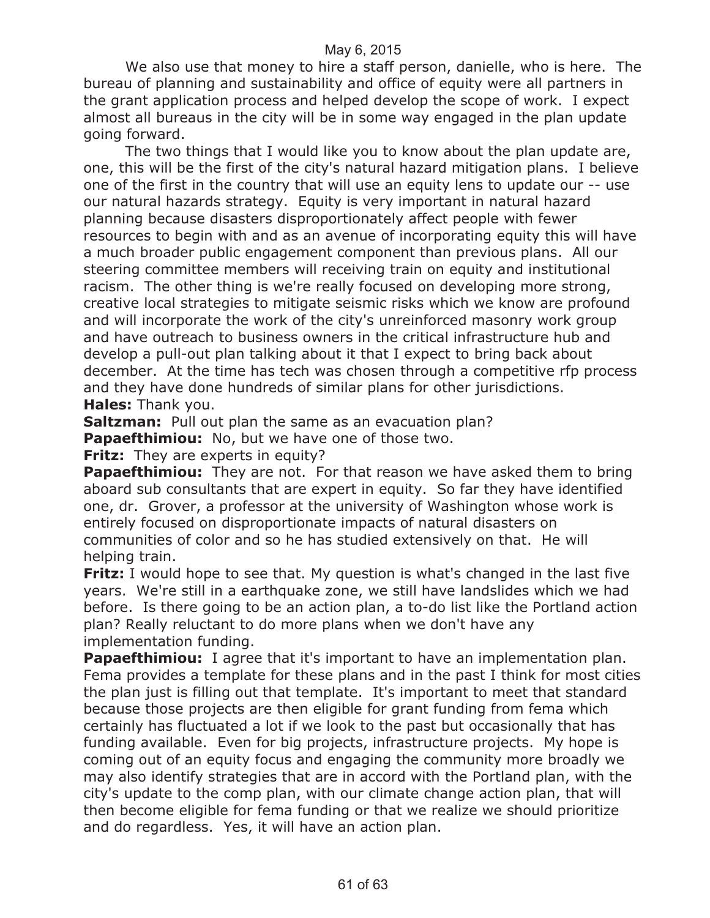We also use that money to hire a staff person, danielle, who is here. The bureau of planning and sustainability and office of equity were all partners in the grant application process and helped develop the scope of work. I expect almost all bureaus in the city will be in some way engaged in the plan update going forward.

The two things that I would like you to know about the plan update are, one, this will be the first of the city's natural hazard mitigation plans. I believe one of the first in the country that will use an equity lens to update our -- use our natural hazards strategy. Equity is very important in natural hazard planning because disasters disproportionately affect people with fewer resources to begin with and as an avenue of incorporating equity this will have a much broader public engagement component than previous plans. All our steering committee members will receiving train on equity and institutional racism. The other thing is we're really focused on developing more strong, creative local strategies to mitigate seismic risks which we know are profound and will incorporate the work of the city's unreinforced masonry work group and have outreach to business owners in the critical infrastructure hub and develop a pull-out plan talking about it that I expect to bring back about december. At the time has tech was chosen through a competitive rfp process and they have done hundreds of similar plans for other jurisdictions. **Hales:** Thank you.

**Saltzman:** Pull out plan the same as an evacuation plan?

**Papaefthimiou:** No, but we have one of those two.

**Fritz:** They are experts in equity?

**Papaefthimiou:** They are not. For that reason we have asked them to bring aboard sub consultants that are expert in equity. So far they have identified one, dr. Grover, a professor at the university of Washington whose work is entirely focused on disproportionate impacts of natural disasters on communities of color and so he has studied extensively on that. He will helping train.

**Fritz:** I would hope to see that. My question is what's changed in the last five years. We're still in a earthquake zone, we still have landslides which we had before. Is there going to be an action plan, a to-do list like the Portland action plan? Really reluctant to do more plans when we don't have any implementation funding.

**Papaefthimiou:** I agree that it's important to have an implementation plan. Fema provides a template for these plans and in the past I think for most cities the plan just is filling out that template. It's important to meet that standard because those projects are then eligible for grant funding from fema which certainly has fluctuated a lot if we look to the past but occasionally that has funding available. Even for big projects, infrastructure projects. My hope is coming out of an equity focus and engaging the community more broadly we may also identify strategies that are in accord with the Portland plan, with the city's update to the comp plan, with our climate change action plan, that will then become eligible for fema funding or that we realize we should prioritize and do regardless. Yes, it will have an action plan.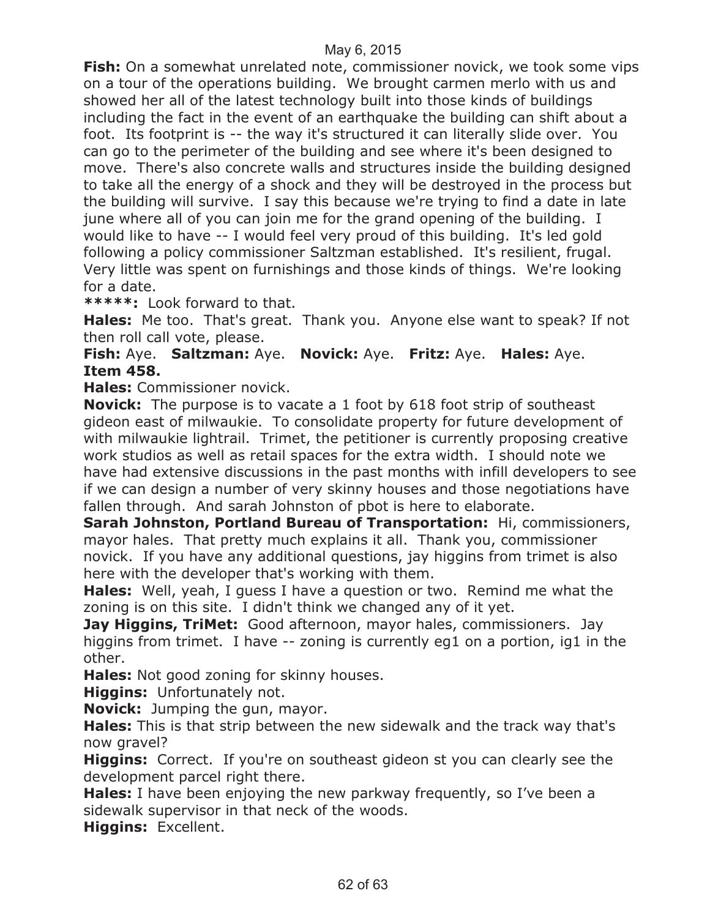**Fish:** On a somewhat unrelated note, commissioner novick, we took some vips on a tour of the operations building. We brought carmen merlo with us and showed her all of the latest technology built into those kinds of buildings including the fact in the event of an earthquake the building can shift about a foot. Its footprint is -- the way it's structured it can literally slide over. You can go to the perimeter of the building and see where it's been designed to move. There's also concrete walls and structures inside the building designed to take all the energy of a shock and they will be destroyed in the process but the building will survive. I say this because we're trying to find a date in late june where all of you can join me for the grand opening of the building. I would like to have -- I would feel very proud of this building. It's led gold following a policy commissioner Saltzman established. It's resilient, frugal. Very little was spent on furnishings and those kinds of things. We're looking for a date.

**\*\*\*\*\*:** Look forward to that.

**Hales:** Me too. That's great. Thank you. Anyone else want to speak? If not then roll call vote, please.

**Fish:** Aye. **Saltzman:** Aye. **Novick:** Aye. **Fritz:** Aye. **Hales:** Aye. **Item 458.**

**Hales:** Commissioner novick.

**Novick:** The purpose is to vacate a 1 foot by 618 foot strip of southeast gideon east of milwaukie. To consolidate property for future development of with milwaukie lightrail. Trimet, the petitioner is currently proposing creative work studios as well as retail spaces for the extra width. I should note we have had extensive discussions in the past months with infill developers to see if we can design a number of very skinny houses and those negotiations have fallen through. And sarah Johnston of pbot is here to elaborate.

**Sarah Johnston, Portland Bureau of Transportation:** Hi, commissioners, mayor hales. That pretty much explains it all. Thank you, commissioner novick. If you have any additional questions, jay higgins from trimet is also here with the developer that's working with them.

**Hales:** Well, yeah, I guess I have a question or two. Remind me what the zoning is on this site. I didn't think we changed any of it yet.

**Jay Higgins, TriMet:** Good afternoon, mayor hales, commissioners. Jay higgins from trimet. I have -- zoning is currently eg1 on a portion, ig1 in the other.

**Hales:** Not good zoning for skinny houses.

**Higgins:** Unfortunately not.

**Novick:** Jumping the gun, mayor.

**Hales:** This is that strip between the new sidewalk and the track way that's now gravel?

**Higgins:** Correct. If you're on southeast gideon st you can clearly see the development parcel right there.

**Hales:** I have been enjoying the new parkway frequently, so I've been a sidewalk supervisor in that neck of the woods.

**Higgins:** Excellent.